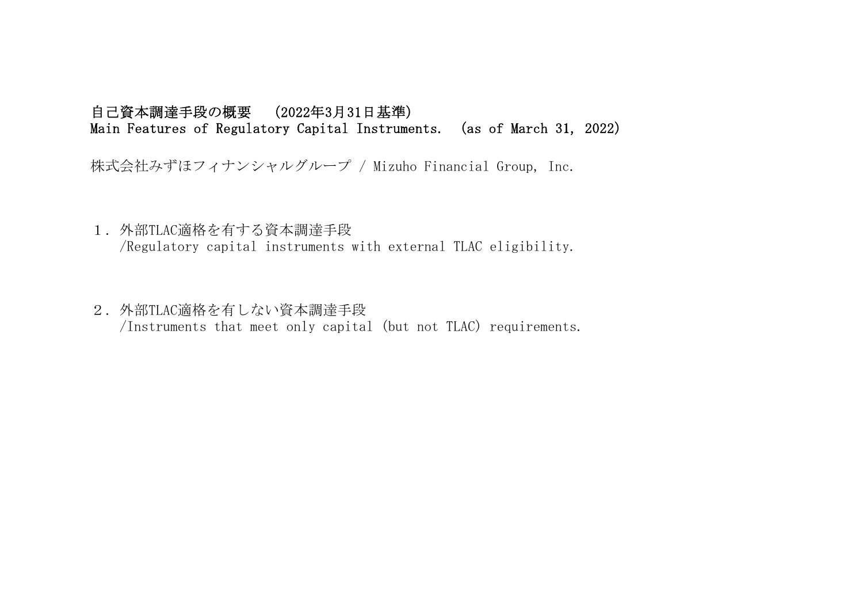## 自己資本調達手段の概要 (2022年3月31日基準) Main Features of Regulatory Capital Instruments. (as of March 31, 2022)

株式会社みずほフィナンシャルグループ / Mizuho Financial Group, Inc.

1.外部TLAC適格を有する資本調達手段

/Regulatory capital instruments with external TLAC eligibility.

2. 外部TLAC適格を有しない資本調達手段

/Instruments that meet only capital (but not TLAC) requirements.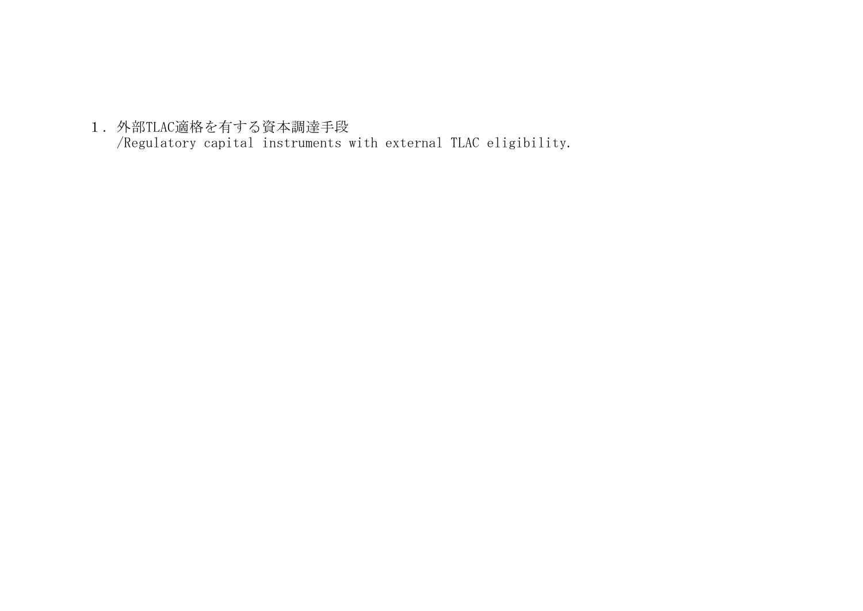1.外部TLAC適格を有する資本調達手段 /Regulatory capital instruments with external TLAC eligibility.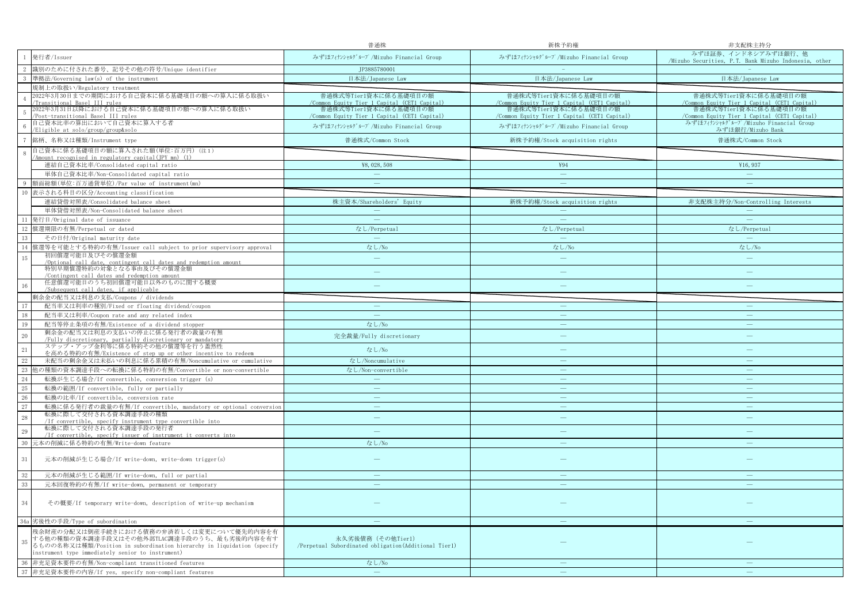|                 |                                                                                                                                                                           | 普通株                                                                          | 新株予約権                                                                | 非支配株主持分                                                                      |
|-----------------|---------------------------------------------------------------------------------------------------------------------------------------------------------------------------|------------------------------------------------------------------------------|----------------------------------------------------------------------|------------------------------------------------------------------------------|
| <sup>1</sup>    | 発行者/Issuer                                                                                                                                                                | みずほフィナンシャルグループ/Mizuho Financial Group                                        | みずほフィナンシャルグループ/Mizuho Financial Group                                | みずほ証券、インドネシアみずほ銀行、他<br>/Mizuho Securities, P.T. Bank Mizuho Indonesia, other |
| -2              | 識別のために付された番号、記号その他の符号/Unique identifier                                                                                                                                   | JP3885780001                                                                 |                                                                      |                                                                              |
| -3              | 準拠法/Governing law(s) of the instrument                                                                                                                                    | 日本法/Japanese Law                                                             | 日本法/Japanese Law                                                     | 日本法/Japanese Law                                                             |
|                 | 規制上の取扱い/Regulatory treatment                                                                                                                                              |                                                                              |                                                                      |                                                                              |
|                 | 2022年3月30日までの期間における自己資本に係る基礎項目の額への算入に係る取扱い                                                                                                                                | 普通株式等Tier1資本に係る基礎項目の額                                                        | 普通株式等Tier1資本に係る基礎項目の額                                                | 普通株式等Tier1資本に係る基礎項目の額                                                        |
|                 | Transitional Basel III rules<br>2022年3月31日以降における自己資本に係る基礎項目の額への算入に係る取扱い                                                                                                   | <u>/Common Equity Tier 1 Capital (CET1 Capital)</u><br>普通株式等Tier1資本に係る基礎項目の額 | Common Equity Tier 1 Capital (CET1 Capital)<br>普通株式等Tier1資本に係る基礎項目の額 | /Common Equity Tier 1 Capital (CET1 Capital)<br>普通株式等Tier1資本に係る基礎項目の額        |
| $\overline{5}$  | Post-transitional Basel III rules                                                                                                                                         | /Common Equity Tier 1 Capital (CET1 Capital)                                 | /Common Equity Tier 1 Capital (CET1 Capital)                         | /Common Equity Tier 1 Capital (CET1 Capital)                                 |
|                 | 自己資本比率の算出において自己資本に算入する者<br>/Eligible at solo/group/group&solo                                                                                                             | みずほフィナンシャルグループ/Mizuho Financial Group                                        | みずほフィナンシャルグループ/Mizuho Financial Group                                | みずほフィナンシャルグループ/Mizuho Financial Group<br>みずほ銀行/Mizuho Bank                   |
| $7\phantom{.0}$ | 銘柄、名称又は種類/Instrument type                                                                                                                                                 | 普通株式/Common Stock                                                            | 新株予約権/Stock acquisition rights                                       | 普通株式/Common Stock                                                            |
| 8               | 自己資本に係る基礎項目の額に算入された額(単位:百万円) (注1)                                                                                                                                         |                                                                              |                                                                      |                                                                              |
|                 | (1) /Amount recognised in regulatory capital (TPY mn) (1)                                                                                                                 |                                                                              |                                                                      |                                                                              |
|                 | 連結自己資本比率/Consolidated capital ratio                                                                                                                                       | ¥8,028,508                                                                   | ¥94                                                                  | ¥16,937                                                                      |
|                 | 単体自己資本比率/Non-Consolidated capital ratio                                                                                                                                   |                                                                              | $\overline{\phantom{a}}$                                             | $\overline{\phantom{a}}$                                                     |
|                 | 額面総額(単位:百万通貨単位)/Par value of instrument(mn)                                                                                                                               |                                                                              |                                                                      |                                                                              |
|                 | 表示される科目の区分/Accounting classification                                                                                                                                      |                                                                              |                                                                      |                                                                              |
|                 | 連結貸借対照表/Consolidated balance sheet                                                                                                                                        | 株主資本/Shareholders' Equity                                                    | 新株予約権/Stock acquisition rights                                       | 非支配株主持分/Non-Controlling Interests                                            |
|                 | 単体貸借対照表/Non-Consolidated balance sheet                                                                                                                                    | $\overline{\phantom{a}}$                                                     |                                                                      | $\overline{\phantom{a}}$                                                     |
| 11              | 発行日/Original date of issuance                                                                                                                                             |                                                                              |                                                                      |                                                                              |
| 12              | 償還期限の有無/Perpetual or dated                                                                                                                                                | なし/Perpetual                                                                 | なし/Perpetual                                                         | なし/Perpetual                                                                 |
| 13              | その日付/Original maturity date                                                                                                                                               | $\overline{\phantom{m}}$                                                     | $\qquad \qquad -$                                                    | $\equiv$                                                                     |
| 14              | 償還等を可能とする特約の有無/Issuer call subject to prior supervisory approval                                                                                                          | なし/No                                                                        | なし/No                                                                | なし/No                                                                        |
| 15              | 初回償還可能日及びその償還金額<br>/Optional call date, contingent call dates and redemption amount                                                                                       | $\sim$                                                                       | $\overline{\phantom{a}}$                                             | $\overline{\phantom{a}}$                                                     |
|                 | 特別早期償還特約の対象となる事由及びその償還金額<br>/Contingent call dates and redemption amount                                                                                                  |                                                                              |                                                                      |                                                                              |
|                 | 任意償還可能日のうち初回償還可能日以外のものに関する概要                                                                                                                                              | ÷                                                                            |                                                                      |                                                                              |
| 16              | /Subsequent call dates, if applicable                                                                                                                                     |                                                                              |                                                                      |                                                                              |
|                 | 剰余金の配当又は利息の支払/Coupons / dividends                                                                                                                                         |                                                                              |                                                                      |                                                                              |
| 17              | 配当率又は利率の種別/Fixed or floating dividend/coupon                                                                                                                              | $\qquad \qquad \longleftarrow$                                               |                                                                      |                                                                              |
| 18              | 配当率又は利率/Coupon rate and any related index                                                                                                                                 |                                                                              |                                                                      |                                                                              |
| 19              | 配当等停止条項の有無/Existence of a dividend stopper                                                                                                                                | なし/No                                                                        | $\longrightarrow$                                                    |                                                                              |
| 20              | 剰余金の配当又は利息の支払いの停止に係る発行者の裁量の有無<br>/Fully discretionary, partially discretionary or mandatory                                                                               | 完全裁量/Fully discretionary                                                     |                                                                      |                                                                              |
| 21              | ステップ・アップ金利等に係る特約その他の償還等を行う蓋然性<br>を高める特約の有無/Existence of step up or other incentive to redeem                                                                              | なし/No                                                                        |                                                                      |                                                                              |
|                 | 未配当の剰余金又は未払いの利息に係る累積の有無/Noncumulative or cumulative                                                                                                                       | なし/Noncumulative                                                             |                                                                      |                                                                              |
| $\frac{22}{23}$ | 他の種類の資本調達手段への転換に係る特約の有無/Convertible or non-convertible                                                                                                                    | なし/Non-convertible                                                           |                                                                      |                                                                              |
| 24              | 転換が生じる場合/If convertible, conversion trigger (s)                                                                                                                           | $\overline{\phantom{a}}$                                                     | $\equiv$                                                             |                                                                              |
| 25              | 転換の範囲/If convertible, fully or partially                                                                                                                                  | $\overline{\phantom{m}}$                                                     | $\overline{\phantom{m}}$                                             | $\overline{\phantom{0}}$                                                     |
| 26              | 転換の比率/If convertible, conversion rate                                                                                                                                     | ц.                                                                           | $\frac{1}{2}$                                                        |                                                                              |
| 27              | 転換に係る発行者の裁量の有無/If convertible, mandatory or optional conversion                                                                                                           | $\frac{1}{2}$                                                                | $\overline{\phantom{0}}$                                             |                                                                              |
| 28              | 転換に際して交付される資本調達手段の種類                                                                                                                                                      | ÷.                                                                           | $\equiv$                                                             |                                                                              |
|                 | /If convertible, specify instrument type convertible into                                                                                                                 |                                                                              |                                                                      |                                                                              |
| 29              | 転換に際して交付される資本調達手段の発行者<br>/If convertible, specify issuer of instrument it converts into                                                                                   | $\overline{\phantom{a}}$                                                     | $\overline{\phantom{0}}$                                             |                                                                              |
| 30              | 元本の削減に係る特約の有無/Write-down feature                                                                                                                                          | なし/No                                                                        |                                                                      |                                                                              |
| 31              | 元本の削減が生じる場合/If write-down, write-down trigger(s)                                                                                                                          |                                                                              |                                                                      |                                                                              |
| 32              | 元本の削減が生じる範囲/If write-down, full or partial                                                                                                                                |                                                                              |                                                                      |                                                                              |
| 33              | 元本回復特約の有無/If write-down, permanent or temporary                                                                                                                           |                                                                              |                                                                      |                                                                              |
|                 |                                                                                                                                                                           |                                                                              |                                                                      |                                                                              |
| 34              | その概要/If temporary write-down, description of write-up mechanism                                                                                                           |                                                                              |                                                                      |                                                                              |
|                 | 34a 劣後性の手段/Type of subordination                                                                                                                                          | $\overline{\phantom{0}}$                                                     |                                                                      |                                                                              |
|                 | 残余財産の分配又は倒産手続きにおける債務の弁済若しくは変更について優先的内容を有                                                                                                                                  |                                                                              |                                                                      |                                                                              |
| 35              | する他の種類の資本調達手段又はその他外部TLAC調達手段のうち、最も劣後的内容を有す<br>るものの名称又は種類/Position in subordination hierarchy in liquidation (specify<br>instrument type immediately senior to instrument) | 永久劣後債務 (その他Tier1)<br>/Perpetual Subordinated obligation(Additional Tier1)    |                                                                      |                                                                              |
| 36              | 非充足資本要件の有無/Non-compliant transitioned features                                                                                                                            | なし/No                                                                        |                                                                      |                                                                              |
|                 | 37 非充足資本要件の内容/If yes, specify non-compliant features                                                                                                                      | $\sim$                                                                       |                                                                      |                                                                              |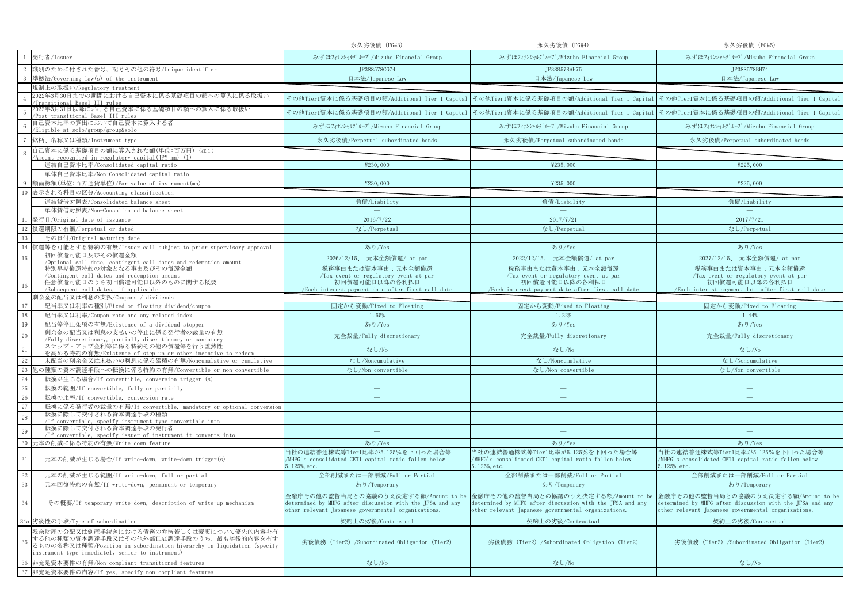|    |                                                                                                                                                                                                                       | 永久劣後債 (FG#3)                                                                                                                                             | 永久劣後債 (FG#4)                                                                                                                                             | 永久劣後債 (FG#5)                                                                                                                                             |
|----|-----------------------------------------------------------------------------------------------------------------------------------------------------------------------------------------------------------------------|----------------------------------------------------------------------------------------------------------------------------------------------------------|----------------------------------------------------------------------------------------------------------------------------------------------------------|----------------------------------------------------------------------------------------------------------------------------------------------------------|
|    | 発行者/Issuer                                                                                                                                                                                                            | みずほフィナンシャルグループ/Mizuho Financial Group                                                                                                                    | みずほフィナンシャルグループ/Mizuho Financial Group                                                                                                                    | みずほフィナンシャルグループ/Mizuho Financial Group                                                                                                                    |
|    | 識別のために付された番号、記号その他の符号/Unique identifier                                                                                                                                                                               | JP388578CG74                                                                                                                                             | JP388578AH75                                                                                                                                             | JP388578BH74                                                                                                                                             |
|    | 準拠法/Governing law(s) of the instrument                                                                                                                                                                                | 日本法/Japanese Law                                                                                                                                         | 日本法/Japanese Law                                                                                                                                         | 日本法/Japanese Law                                                                                                                                         |
|    | 規制上の取扱い/Regulatory treatment                                                                                                                                                                                          |                                                                                                                                                          |                                                                                                                                                          |                                                                                                                                                          |
|    | 2022年3月30日までの期間における自己資本に係る基礎項目の額への算入に係る取扱い<br>Transitional Basel III rules                                                                                                                                            |                                                                                                                                                          |                                                                                                                                                          | その他Tier1資本に係る基礎項目の額/Additional Tier 1 Capital その他Tier1資本に係る基礎項目の額/Additional Tier 1 Capital その他Tier1資本に係る基礎項目の額/Additional Tier 1 Capital                |
|    | 2022年3月31日以降における自己資本に係る基礎項目の額への算入に係る取扱い<br>Post-transitional Basel III rules                                                                                                                                          | その他Tier1資本に係る基礎項目の額/Additional Tier 1 Capital                                                                                                            |                                                                                                                                                          | その他Tier1資本に係る基礎項目の額/Additional Tier 1 Capital その他Tier1資本に係る基礎項目の額/Additional Tier 1 Capital                                                              |
|    | 自己資本比率の算出において自己資本に算入する者<br>/Eligible at solo/group/group&solo                                                                                                                                                         | みずほフィナンシャルグループ/Mizuho Financial Group                                                                                                                    | みずほフィナンシャルグループ/Mizuho Financial Group                                                                                                                    | みずほフィナンシャルグループ/Mizuho Financial Group                                                                                                                    |
|    | 銘柄、名称又は種類/Instrument type                                                                                                                                                                                             | 永久劣後債/Perpetual subordinated bonds                                                                                                                       | 永久劣後債/Perpetual subordinated bonds                                                                                                                       | 永久劣後債/Perpetual subordinated bonds                                                                                                                       |
| -8 | 自己資本に係る基礎項目の額に算入された額(単位:百万円)(注1)<br>Amount recognised in regulatory capital(JPY mn) (1)                                                                                                                               |                                                                                                                                                          |                                                                                                                                                          |                                                                                                                                                          |
|    | 連結自己資本比率/Consolidated capital ratio                                                                                                                                                                                   | ¥230,000                                                                                                                                                 | ¥235,000                                                                                                                                                 | ¥225,000                                                                                                                                                 |
|    | 単体自己資本比率/Non-Consolidated capital ratio                                                                                                                                                                               | $\sim$                                                                                                                                                   | $\sim$                                                                                                                                                   | $\overline{\phantom{a}}$                                                                                                                                 |
|    | 額面総額(単位:百万通貨単位)/Par value of instrument(mn)                                                                                                                                                                           | ¥230,000                                                                                                                                                 | ¥235,000                                                                                                                                                 | ¥225,000                                                                                                                                                 |
|    | 10 表示される科目の区分/Accounting classification                                                                                                                                                                               |                                                                                                                                                          |                                                                                                                                                          |                                                                                                                                                          |
|    | 連結貸借対照表/Consolidated balance sheet                                                                                                                                                                                    | 負債/Liability                                                                                                                                             | 負債/Liability                                                                                                                                             | 負債/Liability                                                                                                                                             |
|    | 単体貸借対照表/Non-Consolidated balance sheet                                                                                                                                                                                | $\equiv$                                                                                                                                                 | $\sim$                                                                                                                                                   | $\sim$                                                                                                                                                   |
| 11 | 発行日/Original date of issuance                                                                                                                                                                                         | 2016/7/22                                                                                                                                                | 2017/7/21                                                                                                                                                | 2017/7/21                                                                                                                                                |
|    | 12 償還期限の有無/Perpetual or dated                                                                                                                                                                                         | なし/Perpetual                                                                                                                                             | なし/Perpetual                                                                                                                                             | なし/Perpetual                                                                                                                                             |
| 13 | その日付/Original maturity date                                                                                                                                                                                           | $\sim$                                                                                                                                                   | $\longrightarrow$                                                                                                                                        | $\equiv$                                                                                                                                                 |
| 14 | 償還等を可能とする特約の有無/Issuer call subject to prior supervisory approval                                                                                                                                                      | あり/Yes                                                                                                                                                   | あり/Yes                                                                                                                                                   | あり/Yes                                                                                                                                                   |
| 15 | 初回償還可能日及びその償還金額                                                                                                                                                                                                       | 2026/12/15、 元本全額償還/ at par                                                                                                                               | 2022/12/15、 元本全額償還/ at par                                                                                                                               | 2027/12/15、 元本全額償還/ at par                                                                                                                               |
|    | /Optional call date, contingent call dates and redemption amount<br>特別早期償還特約の対象となる事由及びその償還金額                                                                                                                          | 税務事由または資本事由:元本全額償還                                                                                                                                       | 税務事由または資本事由:元本全額償還                                                                                                                                       | 税務事由または資本事由:元本全額償還                                                                                                                                       |
|    | Contingent call dates and redemption amount                                                                                                                                                                           | Tax event or regulatory event at par                                                                                                                     | Tax event or regulatory event at par                                                                                                                     | Tax event or regulatory event at par                                                                                                                     |
|    | 任意償還可能日のうち初回償還可能日以外のものに関する概要                                                                                                                                                                                          | 初回償還可能日以降の各利払日                                                                                                                                           | 初回償還可能日以降の各利払日                                                                                                                                           | 初回償還可能日以降の各利払日                                                                                                                                           |
|    | /Subsequent call dates, if applicable<br>剰余金の配当又は利息の支払/Coupons / dividends                                                                                                                                            | /Each interest payment date after first call date                                                                                                        | /Each interest payment date after first call date                                                                                                        | /Each interest payment date after first call date                                                                                                        |
| 17 | 配当率又は利率の種別/Fixed or floating dividend/coupon                                                                                                                                                                          | 固定から変動/Fixed to Floating                                                                                                                                 | 固定から変動/Fixed to Floating                                                                                                                                 | 固定から変動/Fixed to Floating                                                                                                                                 |
| 18 | 配当率又は利率/Coupon rate and any related index                                                                                                                                                                             | 1.55%                                                                                                                                                    | 1.22%                                                                                                                                                    | 1.44%                                                                                                                                                    |
| 19 | 配当等停止条項の有無/Existence of a dividend stopper                                                                                                                                                                            | あり/Yes                                                                                                                                                   | あり/Yes                                                                                                                                                   | あり/Yes                                                                                                                                                   |
| 20 | 剰余金の配当又は利息の支払いの停止に係る発行者の裁量の有無                                                                                                                                                                                         |                                                                                                                                                          |                                                                                                                                                          |                                                                                                                                                          |
|    | /Fully discretionary, partially discretionary or mandatory                                                                                                                                                            | 完全裁量/Fully discretionary                                                                                                                                 | 完全裁量/Fully discretionary                                                                                                                                 | 完全裁量/Fully discretionary                                                                                                                                 |
| 21 | ステップ・アップ金利等に係る特約その他の償還等を行う蓋然性<br>を高める特約の有無/Existence of step up or other incentive to redeem                                                                                                                          | なし/No                                                                                                                                                    | なし/No                                                                                                                                                    | なし/No                                                                                                                                                    |
| 22 | 未配当の剰余金又は未払いの利息に係る累積の有無/Noncumulative or cumulative                                                                                                                                                                   | なし/Noncumulative                                                                                                                                         | なし/Noncumulative                                                                                                                                         | なし/Noncumulative                                                                                                                                         |
| 23 | 他の種類の資本調達手段への転換に係る特約の有無/Convertible or non-convertible                                                                                                                                                                | なし/Non-convertible                                                                                                                                       | なし/Non-convertible                                                                                                                                       | なし/Non-convertible                                                                                                                                       |
| 24 | 転換が生じる場合/If convertible, conversion trigger (s)                                                                                                                                                                       |                                                                                                                                                          |                                                                                                                                                          |                                                                                                                                                          |
| 25 | 転換の範囲/If convertible, fully or partially                                                                                                                                                                              | $\overline{\phantom{m}}$                                                                                                                                 | $\qquad \qquad -$                                                                                                                                        | $\overline{\phantom{m}}$                                                                                                                                 |
| 26 | 転換の比率/If convertible, conversion rate                                                                                                                                                                                 | $\equiv$                                                                                                                                                 | $\equiv$                                                                                                                                                 | $\equiv$                                                                                                                                                 |
| 27 | 転換に係る発行者の裁量の有無/If convertible, mandatory or optional conversion                                                                                                                                                       | $\overline{\phantom{m}}$                                                                                                                                 | $\qquad \qquad -$                                                                                                                                        | $\overline{\phantom{m}}$                                                                                                                                 |
| 28 | 転換に際して交付される資本調達手段の種類<br>/If convertible, specify instrument type convertible into                                                                                                                                     | ÷                                                                                                                                                        | $\equiv$                                                                                                                                                 | $\equiv$                                                                                                                                                 |
| 29 | 転換に際して交付される資本調達手段の発行者<br>/If convertible, specify issuer of instrument it converts into                                                                                                                               | ÷                                                                                                                                                        | $\frac{1}{2}$                                                                                                                                            |                                                                                                                                                          |
| 30 | 元本の削減に係る特約の有無/Write-down feature                                                                                                                                                                                      | あり/Yes                                                                                                                                                   | あり/Yes                                                                                                                                                   | あり/Yes                                                                                                                                                   |
| 31 | 元本の削減が生じる場合/If write-down, write-down trigger(s)                                                                                                                                                                      | 当社の連結普通株式等Tier1比率が5.125%を下回った場合等<br>/MHFG's consolidated CET1 capital ratio fallen below<br>5.125%, etc.                                                 | 当社の連結普通株式等Tier1比率が5.125%を下回った場合等<br>/MHFG's consolidated CET1 capital ratio fallen below<br>5.125%, etc.                                                 | 当社の連結普通株式等Tier1比率が5.125%を下回った場合等<br>/MHFG's consolidated CET1 capital ratio fallen below<br>5.125%, etc.                                                 |
| 32 | 元本の削減が生じる範囲/If write-down, full or partial                                                                                                                                                                            | 全部削減または一部削減/Full or Partial                                                                                                                              | 全部削減または一部削減/Full or Partial                                                                                                                              | 全部削減または一部削減/Full or Partial                                                                                                                              |
| 33 | 元本回復特約の有無/If write-down, permanent or temporary                                                                                                                                                                       | あり/Temporary                                                                                                                                             | あり/Temporary                                                                                                                                             | あり/Temporary                                                                                                                                             |
| 34 | その概要/If temporary write-down, description of write-up mechanism                                                                                                                                                       | 金融庁その他の監督当局との協議のうえ決定する額/Amount to be<br>determined by MHFG after discussion with the JFSA and any<br>other relevant Japanese governmental organizations. | 金融庁その他の監督当局との協議のうえ決定する額/Amount to be<br>determined by MHFG after discussion with the JFSA and any<br>other relevant Japanese governmental organizations. | 金融庁その他の監督当局との協議のうえ決定する額/Amount to be<br>determined by MHFG after discussion with the JFSA and any<br>other relevant Japanese governmental organizations. |
|    | 34a 劣後性の手段/Type of subordination                                                                                                                                                                                      | 契約上の劣後/Contractual                                                                                                                                       | 契約上の劣後/Contractual                                                                                                                                       | 契約上の劣後/Contractual                                                                                                                                       |
| 35 | 残余財産の分配又は倒産手続きにおける債務の弁済若しくは変更について優先的内容を有<br>する他の種類の資本調達手段又はその他外部TLAC調達手段のうち、最も劣後的内容を有す<br>るものの名称又は種類/Position in subordination hierarchy in liquidation (specify<br>instrument type immediately senior to instrument) | 劣後債務 (Tier2) /Subordinated Obligation (Tier2)                                                                                                            | 劣後債務 (Tier2) /Subordinated Obligation (Tier2)                                                                                                            | 劣後債務 (Tier2) /Subordinated Obligation (Tier2)                                                                                                            |
| 36 | 非充足資本要件の有無/Non-compliant transitioned features                                                                                                                                                                        | なし/No                                                                                                                                                    | なし/No                                                                                                                                                    | なし/No                                                                                                                                                    |
|    | 37 非充足資本要件の内容/If yes, specify non-compliant features                                                                                                                                                                  | $\sim$                                                                                                                                                   | $\equiv$                                                                                                                                                 |                                                                                                                                                          |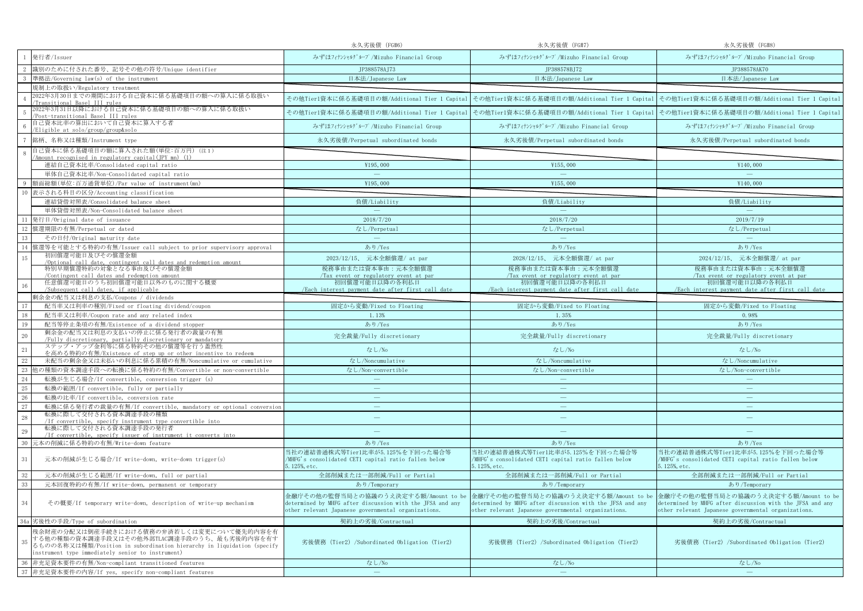|    |                                                                                                                                                                                                                       | 永久劣後債 (FG#6)                                                                                                                                             | 永久劣後債 (FG#7)                                                                                                                                             | 永久劣後債 (FG#8)                                                                                                                                             |
|----|-----------------------------------------------------------------------------------------------------------------------------------------------------------------------------------------------------------------------|----------------------------------------------------------------------------------------------------------------------------------------------------------|----------------------------------------------------------------------------------------------------------------------------------------------------------|----------------------------------------------------------------------------------------------------------------------------------------------------------|
|    | 発行者/Issuer                                                                                                                                                                                                            | みずほフィナンシャルグループ/Mizuho Financial Group                                                                                                                    | みずほフィナンシャルグループ/Mizuho Financial Group                                                                                                                    | みずほフィナンシャルグループ/Mizuho Financial Group                                                                                                                    |
|    | 識別のために付された番号、記号その他の符号/Unique identifier                                                                                                                                                                               | JP388578AJ73                                                                                                                                             | JP388578BJ72                                                                                                                                             | JP388578AK70                                                                                                                                             |
|    | 準拠法/Governing law(s) of the instrument                                                                                                                                                                                | 日本法/Japanese Law                                                                                                                                         | 日本法/Japanese Law                                                                                                                                         | 日本法/Japanese Law                                                                                                                                         |
|    | 規制上の取扱い/Regulatory treatment                                                                                                                                                                                          |                                                                                                                                                          |                                                                                                                                                          |                                                                                                                                                          |
|    | 2022年3月30日までの期間における自己資本に係る基礎項目の額への算入に係る取扱い<br>Transitional Basel III rules                                                                                                                                            |                                                                                                                                                          |                                                                                                                                                          | その他Tier1資本に係る基礎項目の額/Additional Tier 1 Capital その他Tier1資本に係る基礎項目の額/Additional Tier 1 Capital その他Tier1資本に係る基礎項目の額/Additional Tier 1 Capital                |
|    | 2022年3月31日以降における自己資本に係る基礎項目の額への算入に係る取扱い<br>Post-transitional Basel III rules                                                                                                                                          | その他Tier1資本に係る基礎項目の額/Additional Tier 1 Capital                                                                                                            |                                                                                                                                                          | その他Tier1資本に係る基礎項目の額/Additional Tier 1 Capital その他Tier1資本に係る基礎項目の額/Additional Tier 1 Capital                                                              |
|    | 自己資本比率の算出において自己資本に算入する者<br>/Eligible at solo/group/group&solo                                                                                                                                                         | みずほフィナンシャルグループ/Mizuho Financial Group                                                                                                                    | みずほフィナンシャルグループ/Mizuho Financial Group                                                                                                                    | みずほフィナンシャルグループ/Mizuho Financial Group                                                                                                                    |
|    | 銘柄、名称又は種類/Instrument type                                                                                                                                                                                             | 永久劣後債/Perpetual subordinated bonds                                                                                                                       | 永久劣後債/Perpetual subordinated bonds                                                                                                                       | 永久劣後債/Perpetual subordinated bonds                                                                                                                       |
| -8 | 自己資本に係る基礎項目の額に算入された額(単位:百万円)(注1)<br>Amount recognised in regulatory capital(JPY mn) (1)                                                                                                                               |                                                                                                                                                          |                                                                                                                                                          |                                                                                                                                                          |
|    | 連結自己資本比率/Consolidated capital ratio                                                                                                                                                                                   | ¥195,000                                                                                                                                                 | ¥155,000                                                                                                                                                 | ¥140,000                                                                                                                                                 |
|    | 単体自己資本比率/Non-Consolidated capital ratio                                                                                                                                                                               | $\equiv$                                                                                                                                                 | $\sim$                                                                                                                                                   | $\equiv$                                                                                                                                                 |
|    | 額面総額(単位:百万通貨単位)/Par value of instrument(mn)                                                                                                                                                                           | ¥195,000                                                                                                                                                 | ¥155,000                                                                                                                                                 | ¥140,000                                                                                                                                                 |
|    | 10 表示される科目の区分/Accounting classification                                                                                                                                                                               |                                                                                                                                                          |                                                                                                                                                          |                                                                                                                                                          |
|    | 連結貸借対照表/Consolidated balance sheet                                                                                                                                                                                    | 負債/Liability                                                                                                                                             | 負債/Liability                                                                                                                                             | 負債/Liability                                                                                                                                             |
|    | 単体貸借対照表/Non-Consolidated balance sheet                                                                                                                                                                                | $\equiv$                                                                                                                                                 | $\sim$                                                                                                                                                   | $\sim$                                                                                                                                                   |
| 11 | 発行日/Original date of issuance                                                                                                                                                                                         | 2018/7/20                                                                                                                                                | 2018/7/20                                                                                                                                                | 2019/7/19                                                                                                                                                |
|    | 12 償還期限の有無/Perpetual or dated                                                                                                                                                                                         | なし/Perpetual                                                                                                                                             | なし/Perpetual                                                                                                                                             | なし/Perpetual                                                                                                                                             |
| 13 | その日付/Original maturity date                                                                                                                                                                                           | $\longrightarrow$                                                                                                                                        | $\longrightarrow$                                                                                                                                        | $\equiv$                                                                                                                                                 |
| 14 | 償還等を可能とする特約の有無/Issuer call subject to prior supervisory approval                                                                                                                                                      | あり/Yes                                                                                                                                                   | あり/Yes                                                                                                                                                   | あり/Yes                                                                                                                                                   |
| 15 | 初回償還可能日及びその償還金額<br>/Optional call date, contingent call dates and redemption amount                                                                                                                                   | 2023/12/15、 元本全額償還/ at par                                                                                                                               | 2028/12/15、 元本全額償還/ at par                                                                                                                               | 2024/12/15、 元本全額償還/ at par                                                                                                                               |
|    | 特別早期償還特約の対象となる事由及びその償還金額                                                                                                                                                                                              | 税務事由または資本事由:元本全額償還                                                                                                                                       | 税務事由または資本事由:元本全額償還                                                                                                                                       | 税務事由または資本事由:元本全額償還                                                                                                                                       |
|    | Contingent call dates and redemption amount                                                                                                                                                                           | Tax event or regulatory event at par                                                                                                                     | Tax event or regulatory event at par                                                                                                                     | Tax event or regulatory event at par                                                                                                                     |
|    | 任意償還可能日のうち初回償還可能日以外のものに関する概要<br>/Subsequent call dates, if applicable                                                                                                                                                 | 初回償還可能日以降の各利払日<br>/Each interest payment date after first call date                                                                                      | 初回償還可能日以降の各利払日<br>/Each interest payment date after first call date                                                                                      | 初回償還可能日以降の各利払日<br>/Each interest payment date after first call date                                                                                      |
|    | 剰余金の配当又は利息の支払/Coupons / dividends                                                                                                                                                                                     |                                                                                                                                                          |                                                                                                                                                          |                                                                                                                                                          |
| 17 | 配当率又は利率の種別/Fixed or floating dividend/coupon                                                                                                                                                                          | 固定から変動/Fixed to Floating                                                                                                                                 | 固定から変動/Fixed to Floating                                                                                                                                 | 固定から変動/Fixed to Floating                                                                                                                                 |
| 18 | 配当率又は利率/Coupon rate and any related index                                                                                                                                                                             | 1.13%                                                                                                                                                    | 1.35%                                                                                                                                                    | 0.98%                                                                                                                                                    |
| 19 | 配当等停止条項の有無/Existence of a dividend stopper                                                                                                                                                                            | あり/Yes                                                                                                                                                   | あり/Yes                                                                                                                                                   | あり/Yes                                                                                                                                                   |
| 20 | 剰余金の配当又は利息の支払いの停止に係る発行者の裁量の有無                                                                                                                                                                                         | 完全裁量/Fully discretionary                                                                                                                                 | 完全裁量/Fully discretionary                                                                                                                                 | 完全裁量/Fully discretionary                                                                                                                                 |
| 21 | /Fully discretionary, partially discretionary or mandatory<br>ステップ・アップ金利等に係る特約その他の償還等を行う蓋然性<br>を高める特約の有無/Existence of step up or other incentive to redeem                                                            | なし/No                                                                                                                                                    | なし/No                                                                                                                                                    | なし/No                                                                                                                                                    |
| 22 | 未配当の剰余金又は未払いの利息に係る累積の有無/Noncumulative or cumulative                                                                                                                                                                   | なし/Noncumulative                                                                                                                                         | なし/Noncumulative                                                                                                                                         | なし/Noncumulative                                                                                                                                         |
| 23 | 他の種類の資本調達手段への転換に係る特約の有無/Convertible or non-convertible                                                                                                                                                                | なし/Non-convertible                                                                                                                                       | なし/Non-convertible                                                                                                                                       | なし/Non-convertible                                                                                                                                       |
| 24 | 転換が生じる場合/If convertible, conversion trigger (s)                                                                                                                                                                       |                                                                                                                                                          |                                                                                                                                                          |                                                                                                                                                          |
| 25 | 転換の範囲/If convertible, fully or partially                                                                                                                                                                              | $\overline{\phantom{m}}$                                                                                                                                 | $\qquad \qquad -$                                                                                                                                        | $\overline{\phantom{m}}$                                                                                                                                 |
| 26 | 転換の比率/If convertible, conversion rate                                                                                                                                                                                 | $\equiv$                                                                                                                                                 | $\equiv$                                                                                                                                                 | $\equiv$                                                                                                                                                 |
| 27 | 転換に係る発行者の裁量の有無/If convertible, mandatory or optional conversion                                                                                                                                                       | $\overline{\phantom{m}}$                                                                                                                                 | $\qquad \qquad -$                                                                                                                                        | $\overline{\phantom{m}}$                                                                                                                                 |
| 28 | 転換に際して交付される資本調達手段の種類<br>/If convertible, specify instrument type convertible into                                                                                                                                     | ÷                                                                                                                                                        | $\equiv$                                                                                                                                                 | $\equiv$                                                                                                                                                 |
| 29 | 転換に際して交付される資本調達手段の発行者<br>/If convertible, specify issuer of instrument it converts into                                                                                                                               | ÷                                                                                                                                                        | $\frac{1}{2}$                                                                                                                                            |                                                                                                                                                          |
| 30 | 元本の削減に係る特約の有無/Write-down feature                                                                                                                                                                                      | あり/Yes                                                                                                                                                   | あり/Yes                                                                                                                                                   | あり/Yes                                                                                                                                                   |
| 31 | 元本の削減が生じる場合/If write-down, write-down trigger(s)                                                                                                                                                                      | 当社の連結普通株式等Tier1比率が5.125%を下回った場合等<br>/MHFG's consolidated CET1 capital ratio fallen below<br>5.125%, etc.                                                 | 当社の連結普通株式等Tier1比率が5.125%を下回った場合等<br>/MHFG's consolidated CET1 capital ratio fallen below<br>5.125%, etc.                                                 | 当社の連結普通株式等Tier1比率が5.125%を下回った場合等<br>/MHFG's consolidated CET1 capital ratio fallen below<br>5.125%, etc.                                                 |
| 32 | 元本の削減が生じる範囲/If write-down, full or partial                                                                                                                                                                            | 全部削減または一部削減/Full or Partial                                                                                                                              | 全部削減または一部削減/Full or Partial                                                                                                                              | 全部削減または一部削減/Full or Partial                                                                                                                              |
| 33 | 元本回復特約の有無/If write-down, permanent or temporary                                                                                                                                                                       | あり/Temporary                                                                                                                                             | あり/Temporary                                                                                                                                             | あり/Temporary                                                                                                                                             |
| 34 | その概要/If temporary write-down, description of write-up mechanism                                                                                                                                                       | 金融庁その他の監督当局との協議のうえ決定する額/Amount to be<br>determined by MHFG after discussion with the JFSA and any<br>other relevant Japanese governmental organizations. | 金融庁その他の監督当局との協議のうえ決定する額/Amount to be<br>determined by MHFG after discussion with the JFSA and any<br>other relevant Japanese governmental organizations. | 金融庁その他の監督当局との協議のうえ決定する額/Amount to be<br>determined by MHFG after discussion with the JFSA and any<br>other relevant Japanese governmental organizations. |
|    | 34a 劣後性の手段/Type of subordination                                                                                                                                                                                      | 契約上の劣後/Contractual                                                                                                                                       | 契約上の劣後/Contractual                                                                                                                                       | 契約上の劣後/Contractual                                                                                                                                       |
| 35 | 残余財産の分配又は倒産手続きにおける債務の弁済若しくは変更について優先的内容を有<br>する他の種類の資本調達手段又はその他外部TLAC調達手段のうち、最も劣後的内容を有す<br>るものの名称又は種類/Position in subordination hierarchy in liquidation (specify<br>instrument type immediately senior to instrument) | 劣後債務 (Tier2) /Subordinated Obligation (Tier2)                                                                                                            | 劣後債務 (Tier2) /Subordinated Obligation (Tier2)                                                                                                            | 劣後債務 (Tier2) /Subordinated Obligation (Tier2)                                                                                                            |
| 36 | 非充足資本要件の有無/Non-compliant transitioned features                                                                                                                                                                        | なし/No                                                                                                                                                    | なし/No                                                                                                                                                    | なし/No                                                                                                                                                    |
|    | 37 非充足資本要件の内容/If yes, specify non-compliant features                                                                                                                                                                  | $\sim$                                                                                                                                                   | $\equiv$                                                                                                                                                 |                                                                                                                                                          |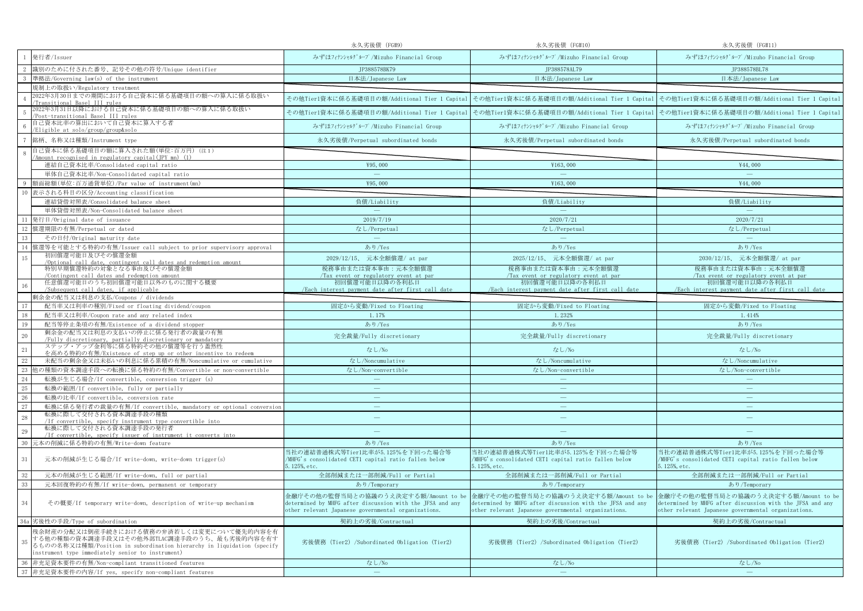|    |                                                                                                                                                                                                                       | 永久劣後債 (FG#9)                                                                                                                                             | 永久劣後債 (FG#10)                                                                                                                                            | 永久劣後債 (FG#11)                                                                                                                                            |
|----|-----------------------------------------------------------------------------------------------------------------------------------------------------------------------------------------------------------------------|----------------------------------------------------------------------------------------------------------------------------------------------------------|----------------------------------------------------------------------------------------------------------------------------------------------------------|----------------------------------------------------------------------------------------------------------------------------------------------------------|
|    | 発行者/Issuer                                                                                                                                                                                                            | みずほフィナンシャルグループ/Mizuho Financial Group                                                                                                                    | みずほフィナンシャルグループ/Mizuho Financial Group                                                                                                                    | みずほフィナンシャルグループ/Mizuho Financial Group                                                                                                                    |
|    | 識別のために付された番号、記号その他の符号/Unique identifier                                                                                                                                                                               | JP388578BK79                                                                                                                                             | JP388578AL79                                                                                                                                             | JP388578BL78                                                                                                                                             |
|    | 準拠法/Governing law(s) of the instrument                                                                                                                                                                                | 日本法/Japanese Law                                                                                                                                         | 日本法/Japanese Law                                                                                                                                         | 日本法/Japanese Law                                                                                                                                         |
|    | 規制上の取扱い/Regulatory treatment                                                                                                                                                                                          |                                                                                                                                                          |                                                                                                                                                          |                                                                                                                                                          |
|    | 2022年3月30日までの期間における自己資本に係る基礎項目の額への算入に係る取扱い<br>Transitional Basel III rules                                                                                                                                            |                                                                                                                                                          |                                                                                                                                                          | その他Tier1資本に係る基礎項目の額/Additional Tier 1 Capital その他Tier1資本に係る基礎項目の額/Additional Tier 1 Capital その他Tier1資本に係る基礎項目の額/Additional Tier 1 Capital                |
|    | 2022年3月31日以降における自己資本に係る基礎項目の額への算入に係る取扱い<br>Post-transitional Basel III rules                                                                                                                                          | その他Tier1資本に係る基礎項目の額/Additional Tier 1 Capital                                                                                                            |                                                                                                                                                          | その他Tier1資本に係る基礎項目の額/Additional Tier 1 Capital その他Tier1資本に係る基礎項目の額/Additional Tier 1 Capital                                                              |
|    | 自己資本比率の算出において自己資本に算入する者<br>/Eligible at solo/group/group&solo                                                                                                                                                         | みずほフィナンシャルグループ/Mizuho Financial Group                                                                                                                    | みずほフィナンシャルグループ/Mizuho Financial Group                                                                                                                    | みずほフィナンシャルグループ/Mizuho Financial Group                                                                                                                    |
|    | 銘柄、名称又は種類/Instrument type                                                                                                                                                                                             | 永久劣後債/Perpetual subordinated bonds                                                                                                                       | 永久劣後債/Perpetual subordinated bonds                                                                                                                       | 永久劣後債/Perpetual subordinated bonds                                                                                                                       |
| -8 | 自己資本に係る基礎項目の額に算入された額(単位:百万円)(注1)<br>Amount recognised in regulatory capital(JPY mn) (1)                                                                                                                               |                                                                                                                                                          |                                                                                                                                                          |                                                                                                                                                          |
|    | 連結自己資本比率/Consolidated capital ratio                                                                                                                                                                                   | ¥95,000                                                                                                                                                  | ¥163,000                                                                                                                                                 | ¥44,000                                                                                                                                                  |
|    | 単体自己資本比率/Non-Consolidated capital ratio                                                                                                                                                                               | $\equiv$                                                                                                                                                 | $\sim$                                                                                                                                                   | $\equiv$                                                                                                                                                 |
|    | 額面総額(単位:百万通貨単位)/Par value of instrument(mn)                                                                                                                                                                           | ¥95,000                                                                                                                                                  | ¥163,000                                                                                                                                                 | ¥44,000                                                                                                                                                  |
|    | 10 表示される科目の区分/Accounting classification                                                                                                                                                                               |                                                                                                                                                          |                                                                                                                                                          |                                                                                                                                                          |
|    | 連結貸借対照表/Consolidated balance sheet                                                                                                                                                                                    | 負債/Liability                                                                                                                                             | 負債/Liability                                                                                                                                             | 負債/Liability                                                                                                                                             |
|    | 単体貸借対照表/Non-Consolidated balance sheet                                                                                                                                                                                | $\sim$                                                                                                                                                   | $\sim$                                                                                                                                                   | $\sim$                                                                                                                                                   |
| 11 | 発行日/Original date of issuance                                                                                                                                                                                         | 2019/7/19                                                                                                                                                | 2020/7/21                                                                                                                                                | 2020/7/21                                                                                                                                                |
|    | 12 償還期限の有無/Perpetual or dated                                                                                                                                                                                         | なし/Perpetual                                                                                                                                             | なし/Perpetual                                                                                                                                             | なし/Perpetual                                                                                                                                             |
| 13 | その日付/Original maturity date                                                                                                                                                                                           | $\sim$                                                                                                                                                   | $\sim$                                                                                                                                                   | $\equiv$                                                                                                                                                 |
| 14 | 償還等を可能とする特約の有無/Issuer call subject to prior supervisory approval                                                                                                                                                      | あり/Yes                                                                                                                                                   | あり/Yes                                                                                                                                                   | あり/Yes                                                                                                                                                   |
| 15 | 初回償還可能日及びその償還金額                                                                                                                                                                                                       | 2029/12/15、 元本全額償還/ at par                                                                                                                               | 2025/12/15、 元本全額償還/ at par                                                                                                                               | 2030/12/15、 元本全額償還/ at par                                                                                                                               |
|    | /Optional call date, contingent call dates and redemption amount<br>特別早期償還特約の対象となる事由及びその償還金額                                                                                                                          | 税務事由または資本事由:元本全額償還                                                                                                                                       | 税務事由または資本事由:元本全額償還                                                                                                                                       | 税務事由または資本事由:元本全額償還                                                                                                                                       |
|    | Contingent call dates and redemption amount                                                                                                                                                                           | Tax event or regulatory event at par                                                                                                                     | Tax event or regulatory event at par                                                                                                                     | Tax event or regulatory event at par                                                                                                                     |
|    | 任意償還可能日のうち初回償還可能日以外のものに関する概要<br>/Subsequent call dates, if applicable                                                                                                                                                 | 初回償還可能日以降の各利払日<br>/Each interest payment date after first call date                                                                                      | 初回償還可能日以降の各利払日<br>/Each interest payment date after first call date                                                                                      | 初回償還可能日以降の各利払日<br>/Each interest payment date after first call date                                                                                      |
|    | 剰余金の配当又は利息の支払/Coupons / dividends                                                                                                                                                                                     |                                                                                                                                                          |                                                                                                                                                          |                                                                                                                                                          |
| 17 | 配当率又は利率の種別/Fixed or floating dividend/coupon                                                                                                                                                                          | 固定から変動/Fixed to Floating                                                                                                                                 | 固定から変動/Fixed to Floating                                                                                                                                 | 固定から変動/Fixed to Floating                                                                                                                                 |
| 18 | 配当率又は利率/Coupon rate and any related index                                                                                                                                                                             | 1.17%                                                                                                                                                    | 1.232%                                                                                                                                                   | 1.414%                                                                                                                                                   |
| 19 | 配当等停止条項の有無/Existence of a dividend stopper                                                                                                                                                                            | あり/Yes                                                                                                                                                   | あり/Yes                                                                                                                                                   | あり/Yes                                                                                                                                                   |
| 20 | 剰余金の配当又は利息の支払いの停止に係る発行者の裁量の有無                                                                                                                                                                                         | 完全裁量/Fully discretionary                                                                                                                                 | 完全裁量/Fully discretionary                                                                                                                                 | 完全裁量/Fully discretionary                                                                                                                                 |
|    | /Fully discretionary, partially discretionary or mandatory<br>ステップ・アップ金利等に係る特約その他の償還等を行う蓋然性                                                                                                                           |                                                                                                                                                          |                                                                                                                                                          |                                                                                                                                                          |
| 21 | を高める特約の有無/Existence of step up or other incentive to redeem                                                                                                                                                           | なし/No                                                                                                                                                    | なし/No                                                                                                                                                    | なし/No                                                                                                                                                    |
| 22 | 未配当の剰余金又は未払いの利息に係る累積の有無/Noncumulative or cumulative                                                                                                                                                                   | なし/Noncumulative                                                                                                                                         | なし/Noncumulative                                                                                                                                         | なし/Noncumulative                                                                                                                                         |
| 23 | 他の種類の資本調達手段への転換に係る特約の有無/Convertible or non-convertible                                                                                                                                                                | なし/Non-convertible                                                                                                                                       | なし/Non-convertible                                                                                                                                       | なし/Non-convertible                                                                                                                                       |
| 24 | 転換が生じる場合/If convertible, conversion trigger (s)                                                                                                                                                                       |                                                                                                                                                          |                                                                                                                                                          |                                                                                                                                                          |
| 25 | 転換の範囲/If convertible, fully or partially                                                                                                                                                                              | $\longrightarrow$                                                                                                                                        | $\qquad \qquad -$                                                                                                                                        | $\overline{\phantom{m}}$                                                                                                                                 |
| 26 | 転換の比率/If convertible, conversion rate                                                                                                                                                                                 | $\equiv$                                                                                                                                                 | $\equiv$                                                                                                                                                 | $\equiv$                                                                                                                                                 |
| 27 | 転換に係る発行者の裁量の有無/If convertible, mandatory or optional conversion                                                                                                                                                       | $\overline{\phantom{m}}$                                                                                                                                 | $\qquad \qquad -$                                                                                                                                        | $\overline{\phantom{m}}$                                                                                                                                 |
| 28 | 転換に際して交付される資本調達手段の種類<br>/If convertible, specify instrument type convertible into                                                                                                                                     | ÷                                                                                                                                                        | $\equiv$                                                                                                                                                 | $\equiv$                                                                                                                                                 |
| 29 | 転換に際して交付される資本調達手段の発行者<br>/If convertible, specify issuer of instrument it converts into                                                                                                                               | ÷                                                                                                                                                        | $\frac{1}{2}$                                                                                                                                            |                                                                                                                                                          |
| 30 | 元本の削減に係る特約の有無/Write-down feature                                                                                                                                                                                      | あり/Yes                                                                                                                                                   | あり/Yes                                                                                                                                                   | あり/Yes                                                                                                                                                   |
| 31 | 元本の削減が生じる場合/If write-down, write-down trigger(s)                                                                                                                                                                      | 当社の連結普通株式等Tier1比率が5.125%を下回った場合等<br>/MHFG's consolidated CET1 capital ratio fallen below<br>5.125%, etc.                                                 | 当社の連結普通株式等Tier1比率が5.125%を下回った場合等<br>/MHFG's consolidated CET1 capital ratio fallen below<br>5.125%, etc.                                                 | 当社の連結普通株式等Tier1比率が5.125%を下回った場合等<br>/MHFG's consolidated CET1 capital ratio fallen below<br>5.125%, etc.                                                 |
| 32 | 元本の削減が生じる範囲/If write-down, full or partial                                                                                                                                                                            | 全部削減または一部削減/Full or Partial                                                                                                                              | 全部削減または一部削減/Full or Partial                                                                                                                              | 全部削減または一部削減/Full or Partial                                                                                                                              |
| 33 | 元本回復特約の有無/If write-down, permanent or temporary                                                                                                                                                                       | あり/Temporary                                                                                                                                             | あり/Temporary                                                                                                                                             | あり/Temporary                                                                                                                                             |
| 34 | その概要/If temporary write-down, description of write-up mechanism                                                                                                                                                       | 金融庁その他の監督当局との協議のうえ決定する額/Amount to be<br>determined by MHFG after discussion with the JFSA and any<br>other relevant Japanese governmental organizations. | 金融庁その他の監督当局との協議のうえ決定する額/Amount to be<br>determined by MHFG after discussion with the JFSA and any<br>other relevant Japanese governmental organizations. | 金融庁その他の監督当局との協議のうえ決定する額/Amount to be<br>determined by MHFG after discussion with the JFSA and any<br>other relevant Japanese governmental organizations. |
|    | 34a 劣後性の手段/Type of subordination                                                                                                                                                                                      | 契約上の劣後/Contractual                                                                                                                                       | 契約上の劣後/Contractual                                                                                                                                       | 契約上の劣後/Contractual                                                                                                                                       |
| 35 | 残余財産の分配又は倒産手続きにおける債務の弁済若しくは変更について優先的内容を有<br>する他の種類の資本調達手段又はその他外部TLAC調達手段のうち、最も劣後的内容を有す<br>るものの名称又は種類/Position in subordination hierarchy in liquidation (specify<br>instrument type immediately senior to instrument) | 劣後債務 (Tier2) /Subordinated Obligation (Tier2)                                                                                                            | 劣後債務 (Tier2) /Subordinated Obligation (Tier2)                                                                                                            | 劣後債務 (Tier2) /Subordinated Obligation (Tier2)                                                                                                            |
| 36 | 非充足資本要件の有無/Non-compliant transitioned features                                                                                                                                                                        | なし/No                                                                                                                                                    | なし/No                                                                                                                                                    | なし/No                                                                                                                                                    |
|    | 37 非充足資本要件の内容/If yes, specify non-compliant features                                                                                                                                                                  | $\sim$                                                                                                                                                   | $\equiv$                                                                                                                                                 |                                                                                                                                                          |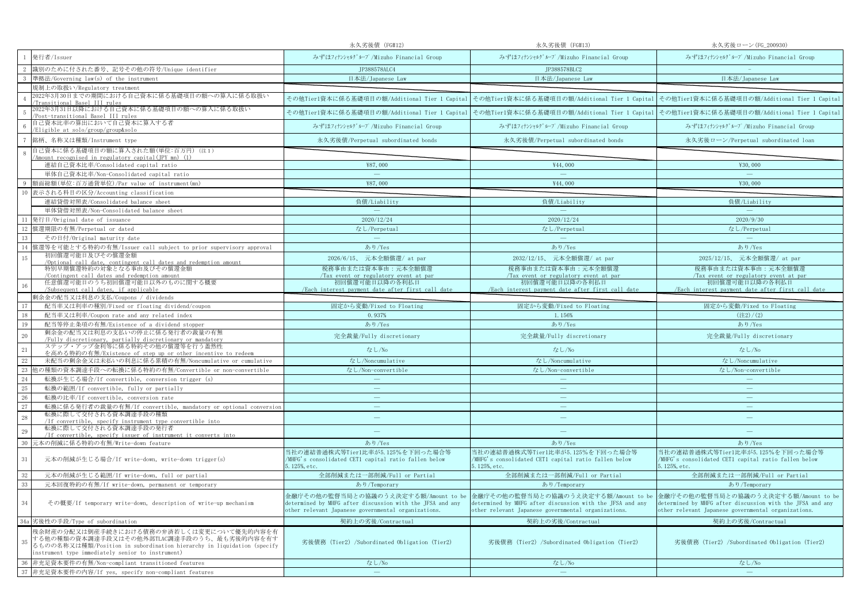|          |                                                                                                                                                                                                                       | 永久劣後債 (FG#12)                                                                                                                                            | 永久劣後債 (FG#13)                                                                                                                                            | 永久劣後ローン (FG_200930)                                                                                                                                      |
|----------|-----------------------------------------------------------------------------------------------------------------------------------------------------------------------------------------------------------------------|----------------------------------------------------------------------------------------------------------------------------------------------------------|----------------------------------------------------------------------------------------------------------------------------------------------------------|----------------------------------------------------------------------------------------------------------------------------------------------------------|
|          | 発行者/Issuer                                                                                                                                                                                                            | みずほフィナンシャルグループ/Mizuho Financial Group                                                                                                                    | みずほフィナンシャルグループ/Mizuho Financial Group                                                                                                                    | みずほフィナンシャルグループ/Mizuho Financial Group                                                                                                                    |
|          | 識別のために付された番号、記号その他の符号/Unique identifier                                                                                                                                                                               | JP388578ALC4                                                                                                                                             | JP388578BLC2                                                                                                                                             |                                                                                                                                                          |
|          | 準拠法/Governing law(s) of the instrument                                                                                                                                                                                | 日本法/Japanese Law                                                                                                                                         | 日本法/Japanese Law                                                                                                                                         | 日本法/Japanese Law                                                                                                                                         |
|          | 規制上の取扱い/Regulatory treatment                                                                                                                                                                                          |                                                                                                                                                          |                                                                                                                                                          |                                                                                                                                                          |
|          | 2022年3月30日までの期間における自己資本に係る基礎項目の額への算入に係る取扱い<br>Transitional Basel III rules                                                                                                                                            |                                                                                                                                                          | その他Tier1資本に係る基礎項目の額/Additional Tier 1 Capital その他Tier1資本に係る基礎項目の額/Additional Tier 1 Capital その他Tier1資本に係る基礎項目の額/Additional Tier 1 Capital                |                                                                                                                                                          |
|          | 2022年3月31日以降における自己資本に係る基礎項目の額への算入に係る取扱い<br>Post-transitional Basel III rules                                                                                                                                          | その他Tier1資本に係る基礎項目の額/Additional Tier 1 Capital                                                                                                            |                                                                                                                                                          | その他Tier1資本に係る基礎項目の額/Additional Tier 1 Capital その他Tier1資本に係る基礎項目の額/Additional Tier 1 Capital                                                              |
|          | 自己資本比率の算出において自己資本に算入する者<br>/Eligible at solo/group/group&solo                                                                                                                                                         | みずほフィナンシャルグループ/Mizuho Financial Group                                                                                                                    | みずほフィナンシャルグループ/Mizuho Financial Group                                                                                                                    | みずほフィナンシャルグループ/Mizuho Financial Group                                                                                                                    |
|          | 銘柄、名称又は種類/Instrument type                                                                                                                                                                                             | 永久劣後債/Perpetual subordinated bonds                                                                                                                       | 永久劣後債/Perpetual subordinated bonds                                                                                                                       | 永久劣後ローン/Perpetual subordinated loan                                                                                                                      |
| -8       | 自己資本に係る基礎項目の額に算入された額(単位:百万円)(注1)<br>Amount recognised in regulatory capital(JPY mn) (1)                                                                                                                               |                                                                                                                                                          |                                                                                                                                                          |                                                                                                                                                          |
|          | 連結自己資本比率/Consolidated capital ratio                                                                                                                                                                                   | ¥87,000                                                                                                                                                  | ¥44,000                                                                                                                                                  | ¥30,000                                                                                                                                                  |
|          | 単体自己資本比率/Non-Consolidated capital ratio                                                                                                                                                                               | $\equiv$                                                                                                                                                 | $\equiv$                                                                                                                                                 | $\overline{\phantom{a}}$                                                                                                                                 |
|          | 額面総額(単位:百万通貨単位)/Par value of instrument(mn)                                                                                                                                                                           | ¥87,000                                                                                                                                                  | ¥44,000                                                                                                                                                  | ¥30,000                                                                                                                                                  |
|          | 10 表示される科目の区分/Accounting classification                                                                                                                                                                               |                                                                                                                                                          |                                                                                                                                                          |                                                                                                                                                          |
|          | 連結貸借対照表/Consolidated balance sheet                                                                                                                                                                                    | 負債/Liability                                                                                                                                             | 負債/Liability                                                                                                                                             | 負債/Liability                                                                                                                                             |
|          | 単体貸借対照表/Non-Consolidated balance sheet                                                                                                                                                                                | $\sim$                                                                                                                                                   | $\sim$                                                                                                                                                   | $\sim$                                                                                                                                                   |
| 11       | 発行日/Original date of issuance                                                                                                                                                                                         | 2020/12/24                                                                                                                                               | 2020/12/24                                                                                                                                               | 2020/9/30                                                                                                                                                |
|          | 12 償還期限の有無/Perpetual or dated                                                                                                                                                                                         | なし/Perpetual                                                                                                                                             | なし/Perpetual                                                                                                                                             | なし/Perpetual                                                                                                                                             |
| 13       | その日付/Original maturity date                                                                                                                                                                                           | $\sim$                                                                                                                                                   | $\sim$                                                                                                                                                   | $\equiv$                                                                                                                                                 |
| 14       | 償還等を可能とする特約の有無/Issuer call subject to prior supervisory approval                                                                                                                                                      | あり/Yes                                                                                                                                                   | あり/Yes                                                                                                                                                   | あり/Yes                                                                                                                                                   |
| 15       | 初回償還可能日及びその償還金額                                                                                                                                                                                                       | 2026/6/15、 元本全額償還/ at par                                                                                                                                | 2032/12/15、 元本全額償還/ at par                                                                                                                               | 2025/12/15、 元本全額償還/ at par                                                                                                                               |
|          | /Optional call date, contingent call dates and redemption amount<br>特別早期償還特約の対象となる事由及びその償還金額                                                                                                                          | 税務事由または資本事由:元本全額償還                                                                                                                                       | 税務事由または資本事由:元本全額償還                                                                                                                                       | 税務事由または資本事由:元本全額償還                                                                                                                                       |
|          | Contingent call dates and redemption amount                                                                                                                                                                           | Tax event or regulatory event at par                                                                                                                     | Tax event or regulatory event at par                                                                                                                     | Tax event or regulatory event at par                                                                                                                     |
|          | 任意償還可能日のうち初回償還可能日以外のものに関する概要                                                                                                                                                                                          | 初回償還可能日以降の各利払日<br>/Each interest payment date after first call date                                                                                      | 初回償還可能日以降の各利払日<br>/Each interest payment date after first call date                                                                                      | 初回償還可能日以降の各利払日                                                                                                                                           |
|          | /Subsequent call dates, if applicable<br>剰余金の配当又は利息の支払/Coupons / dividends                                                                                                                                            |                                                                                                                                                          |                                                                                                                                                          | /Each interest payment date after first call date                                                                                                        |
| 17       | 配当率又は利率の種別/Fixed or floating dividend/coupon                                                                                                                                                                          | 固定から変動/Fixed to Floating                                                                                                                                 | 固定から変動/Fixed to Floating                                                                                                                                 | 固定から変動/Fixed to Floating                                                                                                                                 |
| 18       | 配当率又は利率/Coupon rate and any related index                                                                                                                                                                             | 0.937%                                                                                                                                                   | 1.156%                                                                                                                                                   | $(\pm 2)/(2)$                                                                                                                                            |
| 19       | 配当等停止条項の有無/Existence of a dividend stopper                                                                                                                                                                            | あり/Yes                                                                                                                                                   | あり/Yes                                                                                                                                                   | あり/Yes                                                                                                                                                   |
| 20       | 剰余金の配当又は利息の支払いの停止に係る発行者の裁量の有無                                                                                                                                                                                         | 完全裁量/Fully discretionary                                                                                                                                 | 完全裁量/Fully discretionary                                                                                                                                 | 完全裁量/Fully discretionary                                                                                                                                 |
| 21       | /Fully discretionary, partially discretionary or mandatory<br>ステップ・アップ金利等に係る特約その他の償還等を行う蓋然性                                                                                                                           | なし/No                                                                                                                                                    | なし/No                                                                                                                                                    | なし/No                                                                                                                                                    |
|          | を高める特約の有無/Existence of step up or other incentive to redeem                                                                                                                                                           |                                                                                                                                                          |                                                                                                                                                          |                                                                                                                                                          |
| 22       | 未配当の剰余金又は未払いの利息に係る累積の有無/Noncumulative or cumulative                                                                                                                                                                   | なし/Noncumulative                                                                                                                                         | なし/Noncumulative                                                                                                                                         | なし/Noncumulative                                                                                                                                         |
| 23       | 他の種類の資本調達手段への転換に係る特約の有無/Convertible or non-convertible                                                                                                                                                                | なし/Non-convertible                                                                                                                                       | なし/Non-convertible                                                                                                                                       | なし/Non-convertible                                                                                                                                       |
| 24<br>25 | 転換が生じる場合/If convertible, conversion trigger (s)                                                                                                                                                                       | $\overline{\phantom{m}}$                                                                                                                                 | $\qquad \qquad -$                                                                                                                                        | $\overline{\phantom{m}}$                                                                                                                                 |
| 26       | 転換の範囲/If convertible, fully or partially                                                                                                                                                                              | $\equiv$                                                                                                                                                 | $\equiv$                                                                                                                                                 | $\equiv$                                                                                                                                                 |
| 27       | 転換の比率/If convertible, conversion rate<br>転換に係る発行者の裁量の有無/If convertible, mandatory or optional conversion                                                                                                              | $\overline{\phantom{m}}$                                                                                                                                 | $\qquad \qquad -$                                                                                                                                        | $\overline{\phantom{m}}$                                                                                                                                 |
| 28       | 転換に際して交付される資本調達手段の種類                                                                                                                                                                                                  | ÷                                                                                                                                                        | $\equiv$                                                                                                                                                 | $\equiv$                                                                                                                                                 |
|          | /If convertible, specify instrument type convertible into<br>転換に際して交付される資本調達手段の発行者                                                                                                                                    |                                                                                                                                                          |                                                                                                                                                          |                                                                                                                                                          |
| 29       | /If convertible, specify issuer of instrument it converts into                                                                                                                                                        | ÷                                                                                                                                                        | $\frac{1}{2}$                                                                                                                                            |                                                                                                                                                          |
| 30       | 元本の削減に係る特約の有無/Write-down feature                                                                                                                                                                                      | あり/Yes                                                                                                                                                   | あり/Yes                                                                                                                                                   | あり/Yes                                                                                                                                                   |
| 31       | 元本の削減が生じる場合/If write-down, write-down trigger(s)                                                                                                                                                                      | 当社の連結普通株式等Tier1比率が5.125%を下回った場合等<br>/MHFG's consolidated CET1 capital ratio fallen below<br>5.125%, etc.                                                 | 当社の連結普通株式等Tier1比率が5.125%を下回った場合等<br>/MHFG's consolidated CET1 capital ratio fallen below<br>5.125%, etc.                                                 | 当社の連結普通株式等Tier1比率が5.125%を下回った場合等<br>/MHFG's consolidated CET1 capital ratio fallen below<br>5.125%, etc.                                                 |
| 32       | 元本の削減が生じる範囲/If write-down, full or partial                                                                                                                                                                            | 全部削減または一部削減/Full or Partial                                                                                                                              | 全部削減または一部削減/Full or Partial                                                                                                                              | 全部削減または一部削減/Full or Partial                                                                                                                              |
| 33       | 元本回復特約の有無/If write-down, permanent or temporary                                                                                                                                                                       | あり/Temporary                                                                                                                                             | あり/Temporary                                                                                                                                             | あり/Temporary                                                                                                                                             |
| 34       | その概要/If temporary write-down, description of write-up mechanism                                                                                                                                                       | 金融庁その他の監督当局との協議のうえ決定する額/Amount to be<br>determined by MHFG after discussion with the JFSA and any<br>other relevant Japanese governmental organizations. | 金融庁その他の監督当局との協議のうえ決定する額/Amount to be<br>determined by MHFG after discussion with the JFSA and any<br>other relevant Japanese governmental organizations. | 金融庁その他の監督当局との協議のうえ決定する額/Amount to be<br>determined by MHFG after discussion with the JFSA and any<br>other relevant Japanese governmental organizations. |
|          | 34a 劣後性の手段/Type of subordination                                                                                                                                                                                      | 契約上の劣後/Contractual                                                                                                                                       | 契約上の劣後/Contractual                                                                                                                                       | 契約上の劣後/Contractual                                                                                                                                       |
| 35       | 残余財産の分配又は倒産手続きにおける債務の弁済若しくは変更について優先的内容を有<br>する他の種類の資本調達手段又はその他外部TLAC調達手段のうち、最も劣後的内容を有す<br>るものの名称又は種類/Position in subordination hierarchy in liquidation (specify<br>instrument type immediately senior to instrument) | 劣後債務 (Tier2) /Subordinated Obligation (Tier2)                                                                                                            | 劣後債務 (Tier2) /Subordinated Obligation (Tier2)                                                                                                            | 劣後債務 (Tier2) /Subordinated Obligation (Tier2)                                                                                                            |
| 36       | 非充足資本要件の有無/Non-compliant transitioned features                                                                                                                                                                        | なし/No                                                                                                                                                    | なし/No                                                                                                                                                    | なし/No                                                                                                                                                    |
|          | 37 非充足資本要件の内容/If yes, specify non-compliant features                                                                                                                                                                  | $\sim$                                                                                                                                                   | $\equiv$                                                                                                                                                 |                                                                                                                                                          |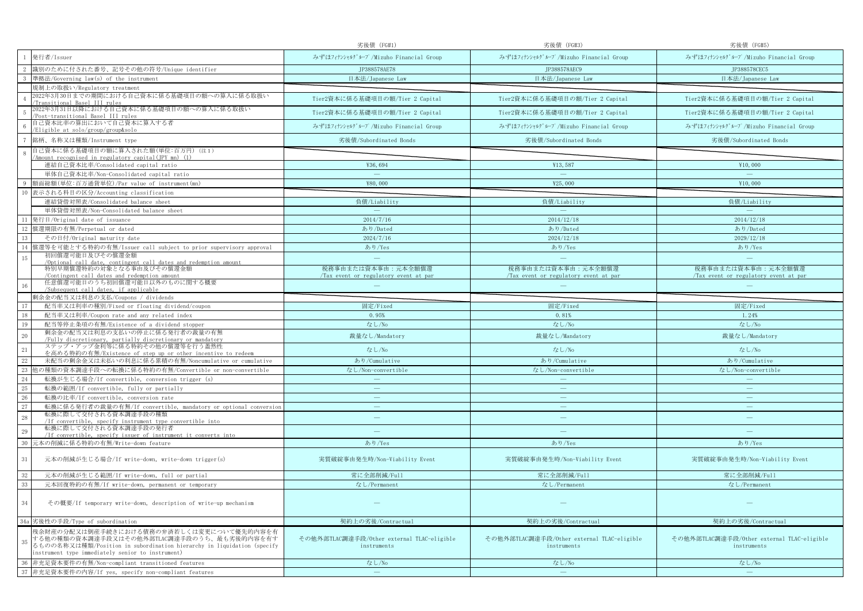|                                                                                                                                                                                                                             | 劣後債 (FG#1)                                                 | 劣後債 (FG#3)                                                 | 劣後債 (FG#5)                                                 |
|-----------------------------------------------------------------------------------------------------------------------------------------------------------------------------------------------------------------------------|------------------------------------------------------------|------------------------------------------------------------|------------------------------------------------------------|
| 発行者/Issuer                                                                                                                                                                                                                  | みずほフィナンシャルグループ/Mizuho Financial Group                      | みずほフィナンシャルグループ/Mizuho Financial Group                      | みずほフィナンシャルグループ/Mizuho Financial Group                      |
| 識別のために付された番号、記号その他の符号/Unique identifier                                                                                                                                                                                     | JP388578AE78                                               | JP388578AEC9                                               | JP388578CEC5                                               |
| 準拠法/Governing law(s) of the instrument                                                                                                                                                                                      | 日本法/Japanese Law                                           | 日本法/Japanese Law                                           | 日本法/Japanese Law                                           |
| 規制上の取扱い/Regulatory treatment                                                                                                                                                                                                |                                                            |                                                            |                                                            |
| 2022年3月30日までの期間における自己資本に係る基礎項目の額への算入に係る取扱い<br>ransitional Basel III rules                                                                                                                                                   | Tier2資本に係る基礎項目の額/Tier 2 Capital                            | Tier2資本に係る基礎項目の額/Tier 2 Capital                            | Tier2資本に係る基礎項目の額/Tier 2 Capital                            |
| 022年3月31日以降における自己資本に係る基礎項目の額への算入に係る取扱い<br>Post-transitional Basel III rules                                                                                                                                                 | Tier2資本に係る基礎項目の額/Tier 2 Capital                            | Tier2資本に係る基礎項目の額/Tier 2 Capital                            | Tier2資本に係る基礎項目の額/Tier 2 Capital                            |
| 自己資本比率の算出において自己資本に算入する者<br>Eligible at solo/group/group&solo                                                                                                                                                                | みずほフィナンシャルグループ/Mizuho Financial Group                      | みずほフィナンシャルグループ/Mizuho Financial Group                      | みずほフィナンシャルグループ/Mizuho Financial Group                      |
| 銘柄、名称又は種類/Instrument type                                                                                                                                                                                                   | 劣後債/Subordinated Bonds                                     | 劣後債/Subordinated Bonds                                     | 劣後債/Subordinated Bonds                                     |
| 自己資本に係る基礎項目の額に算入された額(単位:百万円)(注1)<br>Amount recognised in regulatory capital(JPY mn) (1)                                                                                                                                     |                                                            |                                                            |                                                            |
| 連結自己資本比率/Consolidated capital ratio                                                                                                                                                                                         | ¥36,694                                                    | ¥13,587                                                    | ¥10,000                                                    |
| 単体自己資本比率/Non-Consolidated capital ratio                                                                                                                                                                                     | $\hspace{0.1mm}-\hspace{0.1mm}$                            | $\overline{\phantom{m}}$                                   | $\overline{\phantom{m}}$                                   |
| 質面総額(単位:百万通貨単位)/Par value of instrument(mn)                                                                                                                                                                                 | ¥80,000                                                    | ¥25,000                                                    | ¥10,000                                                    |
| 10<br>表示される科目の区分/Accounting classification                                                                                                                                                                                  |                                                            |                                                            |                                                            |
| 連結貸借対照表/Consolidated balance sheet                                                                                                                                                                                          | 負債/Liability                                               | 負債/Liability                                               | 負債/Liability                                               |
| 単体貸借対照表/Non-Consolidated balance sheet                                                                                                                                                                                      | $\overline{\phantom{a}}$                                   | $\sim$                                                     | $\sim$                                                     |
| 11<br>発行日/Original date of issuance                                                                                                                                                                                         | 2014/7/16                                                  | 2014/12/18                                                 | 2014/12/18                                                 |
| 償還期限の有無/Perpetual or dated<br>12                                                                                                                                                                                            | あり/Dated                                                   | あり/Dated                                                   | あり/Dated                                                   |
| 13<br>その日付/Original maturity date                                                                                                                                                                                           | 2024/7/16                                                  | 2024/12/18                                                 | 2029/12/18                                                 |
| 賞還等を可能とする特約の有無/Issuer call subject to prior supervisory approval<br>14<br>初回償還可能日及びその償還金額                                                                                                                                   | あり/Yes                                                     | あり/Yes                                                     | あり/Yes                                                     |
| 15<br>/Optional call date, contingent call dates and redemption amount                                                                                                                                                      | $\sim$                                                     | $\sim$                                                     |                                                            |
| 特別早期償還特約の対象となる事由及びその償還金額<br>Contingent call dates and redemption amount                                                                                                                                                     | 税務事由または資本事由:元本全額償還<br>Tax event or regulatory event at par | 税務事由または資本事由:元本全額償還<br>Tax event or regulatory event at par | 税務事由または資本事由:元本全額償還<br>Tax event or regulatory event at par |
| 任意償還可能日のうち初回償還可能日以外のものに関する概要<br>16<br>/Subsequent call dates, if applicable                                                                                                                                                 |                                                            |                                                            |                                                            |
| 剰余金の配当又は利息の支払/Coupons / dividends                                                                                                                                                                                           |                                                            |                                                            |                                                            |
| 17<br>配当率又は利率の種別/Fixed or floating dividend/coupon                                                                                                                                                                          | 固定/Fixed                                                   | 固定/Fixed                                                   | 固定/Fixed                                                   |
| 18<br>配当率又は利率/Coupon rate and any related index                                                                                                                                                                             | 0.95%                                                      | 0.81%                                                      | 1.24%                                                      |
| 19<br>配当等停止条項の有無/Existence of a dividend stopper                                                                                                                                                                            | なし/No                                                      | なし/No                                                      | なし/No                                                      |
| 剰余金の配当又は利息の支払いの停止に係る発行者の裁量の有無<br>20<br>/Fully discretionary, partially discretionary or mandatory                                                                                                                           | 裁量なし/Mandatory                                             | 裁量なし/Mandatory                                             | 裁量なし/Mandatory                                             |
| ステップ・アップ金利等に係る特約その他の償還等を行う蓋然性<br>21<br>を高める特約の有無/Existence of step up or other incentive to redeem                                                                                                                          | なし/No                                                      | なし/No                                                      | なし/No                                                      |
| 22<br>未配当の剰余金又は未払いの利息に係る累積の有無/Noncumulative or cumulative                                                                                                                                                                   | あり/Cumulative                                              | あり/Cumulative                                              | あり/Cumulative                                              |
| 23<br>』の種類の資本調達手段への転換に係る特約の有無/Convertible or non-convertible                                                                                                                                                                | なし/Non-convertible                                         | なし/Non-convertible                                         | なし/Non-convertible                                         |
| 24<br>転換が生じる場合/If convertible, conversion trigger (s)                                                                                                                                                                       | $\overline{\phantom{a}}$                                   |                                                            |                                                            |
| $25\,$<br>転換の範囲/If convertible, fully or partially                                                                                                                                                                          | $\longrightarrow$                                          | $\overline{\phantom{a}}$                                   | $\overline{\phantom{a}}$                                   |
| 26<br>転換の比率/If convertible, conversion rate                                                                                                                                                                                 | $\sim$                                                     | $\equiv$                                                   | $\overline{\phantom{m}}$                                   |
| 27<br>転換に係る発行者の裁量の有無/If convertible, mandatory or optional conversion                                                                                                                                                       | $\overline{\phantom{m}}$                                   | $\overline{\phantom{m}}$                                   |                                                            |
| 転換に際して交付される資本調達手段の種類<br>28<br>/If convertible, specify instrument type convertible into                                                                                                                                     | ÷                                                          | $\overline{\phantom{m}}$                                   | $\sim$                                                     |
| 転換に際して交付される資本調達手段の発行者<br>29<br>/If convertible, specify issuer of instrument it converts into                                                                                                                               |                                                            |                                                            |                                                            |
| 30<br>元本の削減に係る特約の有無/Write-down feature                                                                                                                                                                                      | あり/Yes                                                     | あり/Yes                                                     | あり/Yes                                                     |
| 31<br>元本の削減が生じる場合/If write-down, write-down trigger(s)                                                                                                                                                                      | 実質破綻事由発生時/Non-Viability Event                              | 実質破綻事由発生時/Non-Viability Event                              | 実質破綻事由発生時/Non-Viability Event                              |
| 32<br>元本の削減が生じる範囲/If write-down, full or partial                                                                                                                                                                            | 常に全部削減/Full                                                | 常に全部削減/Full                                                | 常に全部削減/Full                                                |
| $33\,$<br>元本回復特約の有無/If write-down, permanent or temporary                                                                                                                                                                   | なし/Permanent                                               | なし/Permanent                                               | なし/Permanent                                               |
|                                                                                                                                                                                                                             |                                                            |                                                            |                                                            |
| 34<br>その概要/If temporary write-down, description of write-up mechanism                                                                                                                                                       |                                                            |                                                            |                                                            |
| 34a 劣後性の手段/Type of subordination                                                                                                                                                                                            | 契約上の劣後/Contractual                                         | 契約上の劣後/Contractual                                         | 契約上の劣後/Contractual                                         |
| 残余財産の分配又は倒産手続きにおける債務の弁済若しくは変更について優先的内容を有<br>する他の種類の資本調達手段又はその他外部TLAC調達手段のうち、最も劣後的内容を有す<br>35<br>るものの名称又は種類/Position in subordination hierarchy in liquidation (specify<br>instrument type immediately senior to instrument) | その他外部TLAC調達手段/Other external TLAC-eligible<br>instruments  | その他外部TLAC調達手段/Other external TLAC-eligible<br>instruments  | その他外部TLAC調達手段/Other external TLAC-eligible<br>instruments  |
| 非充足資本要件の有無/Non-compliant transitioned features<br>36                                                                                                                                                                        | なし/No                                                      | なし/No                                                      | なし/No                                                      |
| 37 非充足資本要件の内容/If yes, specify non-compliant features                                                                                                                                                                        | $\sim$                                                     | $\overline{\phantom{m}}$                                   | $\equiv$                                                   |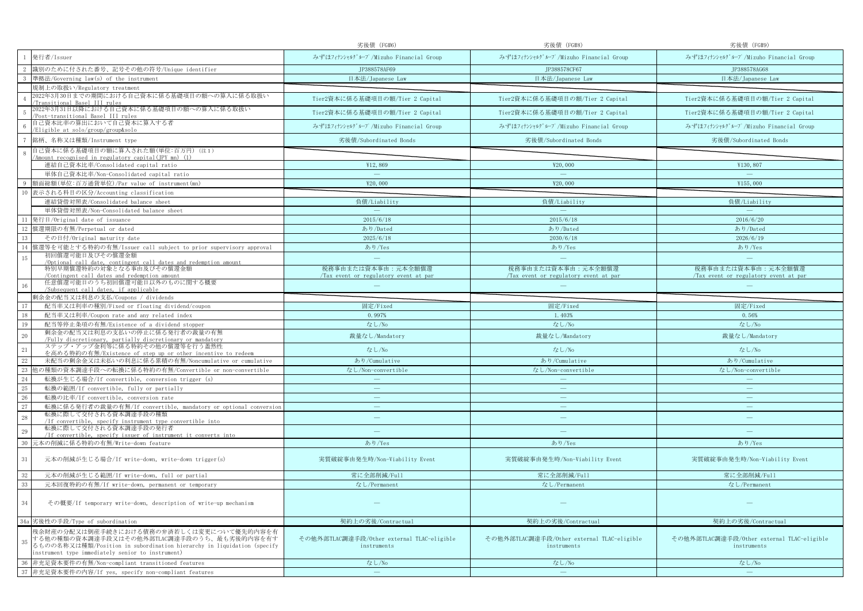|                                                                                                                                                                                                                             | 劣後債 (FG#6)                                                 | 劣後債 (FG#8)                                                 | 劣後債 (FG#9)                                                 |
|-----------------------------------------------------------------------------------------------------------------------------------------------------------------------------------------------------------------------------|------------------------------------------------------------|------------------------------------------------------------|------------------------------------------------------------|
| 発行者/Issuer                                                                                                                                                                                                                  | みずほフィナンシャルグループ/Mizuho Financial Group                      | みずほフィナンシャルグループ/Mizuho Financial Group                      | みずほフィナンシャルグループ/Mizuho Financial Group                      |
| 識別のために付された番号、記号その他の符号/Unique identifier                                                                                                                                                                                     | JP388578AF69                                               | JP388578CF67                                               | JP388578AG68                                               |
| 準拠法/Governing law(s) of the instrument                                                                                                                                                                                      | 日本法/Japanese Law                                           | 日本法/Japanese Law                                           | 日本法/Japanese Law                                           |
| 規制上の取扱い/Regulatory treatment                                                                                                                                                                                                |                                                            |                                                            |                                                            |
| 2022年3月30日までの期間における自己資本に係る基礎項目の額への算入に係る取扱い<br>ransi <u>tional Basel III rules</u>                                                                                                                                           | Tier2資本に係る基礎項目の額/Tier 2 Capital                            | Tier2資本に係る基礎項目の額/Tier 2 Capital                            | Tier2資本に係る基礎項目の額/Tier 2 Capital                            |
| 022年3月31日以降における自己資本に係る基礎項目の額への算入に係る取扱い<br>Post-transitional Basel III rules                                                                                                                                                 | Tier2資本に係る基礎項目の額/Tier 2 Capital                            | Tier2資本に係る基礎項目の額/Tier 2 Capital                            | Tier2資本に係る基礎項目の額/Tier 2 Capital                            |
| 自己資本比率の算出において自己資本に算入する者<br>Eligible at solo/group/group&solo                                                                                                                                                                | みずほフィナンシャルグループ/Mizuho Financial Group                      | みずほフィナンシャルグループ/Mizuho Financial Group                      | みずほフィナンシャルグループ/Mizuho Financial Group                      |
| 銘柄、名称又は種類/Instrument type                                                                                                                                                                                                   | 劣後債/Subordinated Bonds                                     | 劣後債/Subordinated Bonds                                     | 劣後債/Subordinated Bonds                                     |
| 自己資本に係る基礎項目の額に算入された額(単位:百万円)(注1)<br>Amount recognised in regulatory capital(JPY mn) (1)                                                                                                                                     |                                                            |                                                            |                                                            |
| 連結自己資本比率/Consolidated capital ratio                                                                                                                                                                                         | ¥12,869                                                    | ¥20,000                                                    | ¥130,807                                                   |
| 単体自己資本比率/Non-Consolidated capital ratio                                                                                                                                                                                     | $\overline{\phantom{m}}$                                   | $\overline{\phantom{m}}$                                   | $\overline{\phantom{m}}$                                   |
| 質面総額(単位:百万通貨単位)/Par value of instrument(mn)                                                                                                                                                                                 | ¥20,000                                                    | ¥20,000                                                    | ¥155,000                                                   |
| 10<br>表示される科目の区分/Accounting classification                                                                                                                                                                                  |                                                            |                                                            |                                                            |
| 連結貸借対照表/Consolidated balance sheet                                                                                                                                                                                          | 負債/Liability                                               | 負債/Liability                                               | 負債/Liability                                               |
| 単体貸借対照表/Non-Consolidated balance sheet                                                                                                                                                                                      | $\overline{\phantom{a}}$                                   | $\sim$                                                     | $\sim$                                                     |
| 11<br>発行日/Original date of issuance                                                                                                                                                                                         | 2015/6/18                                                  | 2015/6/18                                                  | 2016/6/20                                                  |
| 償還期限の有無/Perpetual or dated<br>12                                                                                                                                                                                            | あり/Dated                                                   | あり/Dated                                                   | あり/Dated                                                   |
| 13<br>その日付/Original maturity date                                                                                                                                                                                           | 2025/6/18                                                  | 2030/6/18                                                  | 2026/6/19                                                  |
| 賞還等を可能とする特約の有無/Issuer call subject to prior supervisory approval<br>14                                                                                                                                                      | あり/Yes                                                     | あり/Yes                                                     | あり/Yes                                                     |
| 初回償還可能日及びその償還金額<br>15<br>/Optional call date, contingent call dates and redemption amount                                                                                                                                   | $\sim$                                                     | $\sim$                                                     |                                                            |
| 特別早期償還特約の対象となる事由及びその償還金額<br>Contingent call dates and redemption amount                                                                                                                                                     | 税務事由または資本事由:元本全額償還<br>Tax event or regulatory event at par | 税務事由または資本事由:元本全額償還<br>Tax event or regulatory event at par | 税務事由または資本事由:元本全額償還<br>Tax event or regulatory event at par |
| 任意償還可能日のうち初回償還可能日以外のものに関する概要<br>16<br>/Subsequent call dates, if applicable                                                                                                                                                 |                                                            |                                                            |                                                            |
| 剰余金の配当又は利息の支払/Coupons / dividends                                                                                                                                                                                           |                                                            |                                                            |                                                            |
| 17<br>配当率又は利率の種別/Fixed or floating dividend/coupon                                                                                                                                                                          | 固定/Fixed                                                   | 固定/Fixed                                                   | 固定/Fixed                                                   |
| 18<br>配当率又は利率/Coupon rate and any related index                                                                                                                                                                             | 0.997%                                                     | 1.403%                                                     | 0.56%                                                      |
| 19<br>配当等停止条項の有無/Existence of a dividend stopper                                                                                                                                                                            | なし/No                                                      | なし/No                                                      | なし/No                                                      |
| 剰余金の配当又は利息の支払いの停止に係る発行者の裁量の有無<br>20                                                                                                                                                                                         | 裁量なし/Mandatory                                             | 裁量なし/Mandatory                                             | 裁量なし/Mandatory                                             |
| /Fully discretionary, partially discretionary or mandatory                                                                                                                                                                  |                                                            |                                                            |                                                            |
| ステップ・アップ金利等に係る特約その他の償還等を行う蓋然性<br>21<br>を高める特約の有無/Existence of step up or other incentive to redeem                                                                                                                          | なし/No                                                      | なし/No                                                      | なし/No                                                      |
| 22<br>未配当の剰余金又は未払いの利息に係る累積の有無/Noncumulative or cumulative                                                                                                                                                                   | あり/Cumulative                                              | あり/Cumulative                                              | あり/Cumulative                                              |
| 23<br>』の種類の資本調達手段への転換に係る特約の有無/Convertible or non-convertible                                                                                                                                                                | なし/Non-convertible                                         | なし/Non-convertible                                         | なし/Non-convertible                                         |
| 24<br>転換が生じる場合/If convertible, conversion trigger (s)                                                                                                                                                                       | $\overline{\phantom{a}}$                                   |                                                            |                                                            |
| $25\,$<br>転換の範囲/If convertible, fully or partially                                                                                                                                                                          | $\longrightarrow$                                          | $\overline{\phantom{a}}$                                   | $\overline{\phantom{a}}$                                   |
| 26<br>転換の比率/If convertible, conversion rate                                                                                                                                                                                 | $\sim$                                                     | $\equiv$                                                   | $\overline{\phantom{m}}$                                   |
| 27<br>転換に係る発行者の裁量の有無/If convertible, mandatory or optional conversion                                                                                                                                                       | $\overline{\phantom{m}}$                                   | $\overline{\phantom{m}}$                                   |                                                            |
| 転換に際して交付される資本調達手段の種類<br>28<br>/If convertible, specify instrument type convertible into                                                                                                                                     | ÷                                                          | $\overline{\phantom{m}}$                                   | $\sim$                                                     |
| 転換に際して交付される資本調達手段の発行者<br>29<br>/If convertible, specify issuer of instrument it converts into                                                                                                                               |                                                            |                                                            |                                                            |
| 30<br>元本の削減に係る特約の有無/Write-down feature                                                                                                                                                                                      | あり/Yes                                                     | あり/Yes                                                     | あり/Yes                                                     |
| 31<br>元本の削減が生じる場合/If write-down, write-down trigger(s)                                                                                                                                                                      | 実質破綻事由発生時/Non-Viability Event                              | 実質破綻事由発生時/Non-Viability Event                              | 実質破綻事由発生時/Non-Viability Event                              |
| 32<br>元本の削減が生じる範囲/If write-down, full or partial                                                                                                                                                                            | 常に全部削減/Full                                                | 常に全部削減/Full                                                | 常に全部削減/Full                                                |
| $33\,$<br>元本回復特約の有無/If write-down, permanent or temporary                                                                                                                                                                   | なし/Permanent                                               | なし/Permanent                                               | なし/Permanent                                               |
|                                                                                                                                                                                                                             |                                                            |                                                            |                                                            |
| 34<br>その概要/If temporary write-down, description of write-up mechanism                                                                                                                                                       |                                                            |                                                            |                                                            |
| 34a 劣後性の手段/Type of subordination                                                                                                                                                                                            | 契約上の劣後/Contractual                                         | 契約上の劣後/Contractual                                         | 契約上の劣後/Contractual                                         |
| 残余財産の分配又は倒産手続きにおける債務の弁済若しくは変更について優先的内容を有<br>する他の種類の資本調達手段又はその他外部TLAC調達手段のうち、最も劣後的内容を有す<br>35<br>るものの名称又は種類/Position in subordination hierarchy in liquidation (specify<br>instrument type immediately senior to instrument) | その他外部TLAC調達手段/Other external TLAC-eligible<br>instruments  | その他外部TLAC調達手段/Other external TLAC-eligible<br>instruments  | その他外部TLAC調達手段/Other external TLAC-eligible<br>instruments  |
| 非充足資本要件の有無/Non-compliant transitioned features<br>36                                                                                                                                                                        | なし/No                                                      | なし/No                                                      | なし/No                                                      |
| 37 非充足資本要件の内容/If yes, specify non-compliant features                                                                                                                                                                        | $\sim$                                                     | $\overline{\phantom{m}}$                                   | $\equiv$                                                   |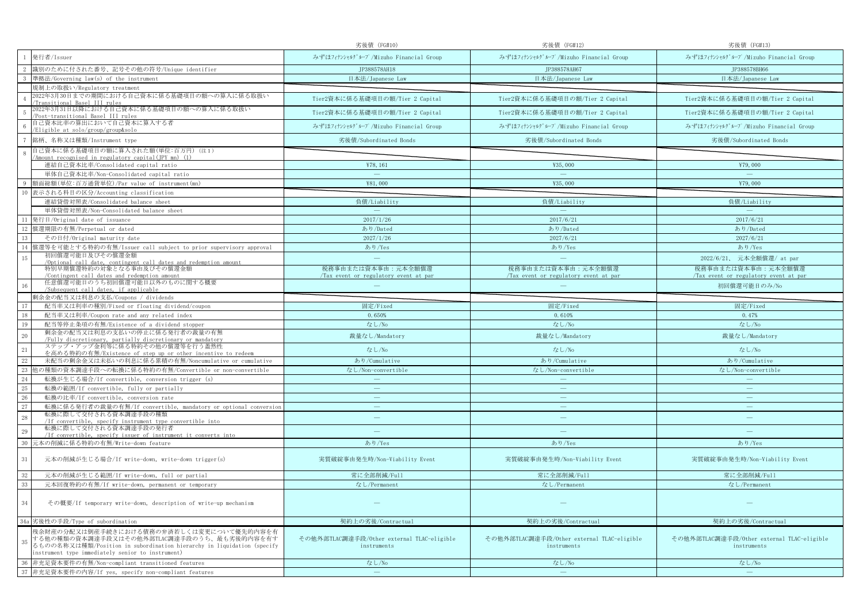|                                                                                                                                                                                                                             | 劣後債 (FG#10)                                                | 劣後債 (FG#12)                                                | 劣後債 (FG#13)                                                |
|-----------------------------------------------------------------------------------------------------------------------------------------------------------------------------------------------------------------------------|------------------------------------------------------------|------------------------------------------------------------|------------------------------------------------------------|
| 発行者/Issuer                                                                                                                                                                                                                  | みずほフィナンシャルグループ/Mizuho Financial Group                      | みずほフィナンシャルグループ/Mizuho Financial Group                      | みずほフィナンシャルグループ/Mizuho Financial Group                      |
| 識別のために付された番号、記号その他の符号/Unique identifier                                                                                                                                                                                     | JP388578AH18                                               | JP388578AH67                                               | JP388578BH66                                               |
| 準拠法/Governing law(s) of the instrument                                                                                                                                                                                      | 日本法/Japanese Law                                           | 日本法/Japanese Law                                           | 日本法/Japanese Law                                           |
| 規制上の取扱い/Regulatory treatment                                                                                                                                                                                                |                                                            |                                                            |                                                            |
| 2022年3月30日までの期間における自己資本に係る基礎項目の額への算入に係る取扱い<br>ransitional Basel III rules                                                                                                                                                   | Tier2資本に係る基礎項目の額/Tier 2 Capital                            | Tier2資本に係る基礎項目の額/Tier 2 Capital                            | Tier2資本に係る基礎項目の額/Tier 2 Capital                            |
| 022年3月31日以降における自己資本に係る基礎項目の額への算入に係る取扱い<br>Post-transitional Basel III rules                                                                                                                                                 | Tier2資本に係る基礎項目の額/Tier 2 Capital                            | Tier2資本に係る基礎項目の額/Tier 2 Capital                            | Tier2資本に係る基礎項目の額/Tier 2 Capital                            |
| 自己資本比率の算出において自己資本に算入する者<br>Eligible at solo/group/group&solo                                                                                                                                                                | みずほフィナンシャルグループ/Mizuho Financial Group                      | みずほフィナンシャルグループ/Mizuho Financial Group                      | みずほフィナンシャルグループ/Mizuho Financial Group                      |
| 銘柄、名称又は種類/Instrument type                                                                                                                                                                                                   | 劣後債/Subordinated Bonds                                     | 劣後債/Subordinated Bonds                                     | 劣後債/Subordinated Bonds                                     |
| 自己資本に係る基礎項目の額に算入された額(単位:百万円)(注1)<br>Amount recognised in regulatory capital(JPY mn) (1)                                                                                                                                     |                                                            |                                                            |                                                            |
| 連結自己資本比率/Consolidated capital ratio                                                                                                                                                                                         | ¥78, 161                                                   | ¥35,000                                                    | ¥79,000                                                    |
| 単体自己資本比率/Non-Consolidated capital ratio                                                                                                                                                                                     | $\overline{\phantom{m}}$                                   | $\overline{\phantom{m}}$                                   | $\overline{\phantom{m}}$                                   |
| 質面総額(単位:百万通貨単位)/Par value of instrument(mn)                                                                                                                                                                                 | ¥81,000                                                    | ¥35,000                                                    | ¥79,000                                                    |
| 10<br>表示される科目の区分/Accounting classification                                                                                                                                                                                  |                                                            |                                                            |                                                            |
| 連結貸借対照表/Consolidated balance sheet                                                                                                                                                                                          | 負債/Liability                                               | 負債/Liability                                               | 負債/Liability                                               |
| 単体貸借対照表/Non-Consolidated balance sheet                                                                                                                                                                                      | $\overline{\phantom{a}}$                                   | $\sim$                                                     | $\sim$                                                     |
| 11<br>発行日/Original date of issuance                                                                                                                                                                                         | 2017/1/26                                                  | 2017/6/21                                                  | 2017/6/21                                                  |
| 償還期限の有無/Perpetual or dated<br>12                                                                                                                                                                                            | あり/Dated                                                   | あり/Dated                                                   | あり/Dated                                                   |
| 13<br>その日付/Original maturity date                                                                                                                                                                                           | 2027/1/26                                                  | 2027/6/21                                                  | 2027/6/21                                                  |
| 賞還等を可能とする特約の有無/Issuer call subject to prior supervisory approval<br>14                                                                                                                                                      | あり/Yes                                                     | あり/Yes                                                     | あり/Yes                                                     |
| 初回償還可能日及びその償還金額<br>15<br>/Optional call date, contingent call dates and redemption amount                                                                                                                                   | $\sim$                                                     | $\sim$                                                     | 2022/6/21、 元本全額償還/ at par                                  |
| 特別早期償還特約の対象となる事由及びその償還金額<br>Contingent call dates and redemption amount                                                                                                                                                     | 税務事由または資本事由:元本全額償還<br>Tax event or regulatory event at par | 税務事由または資本事由:元本全額償還<br>Tax event or regulatory event at par | 税務事由または資本事由:元本全額償還<br>Tax event or regulatory event at par |
| 任意償還可能日のうち初回償還可能日以外のものに関する概要<br>16<br>/Subsequent call dates, if applicable                                                                                                                                                 |                                                            |                                                            | 初回償還可能日のみ/No                                               |
| 剰余金の配当又は利息の支払/Coupons / dividends                                                                                                                                                                                           |                                                            |                                                            |                                                            |
| 17<br>配当率又は利率の種別/Fixed or floating dividend/coupon                                                                                                                                                                          | 固定/Fixed                                                   | 固定/Fixed                                                   | 固定/Fixed                                                   |
| 18<br>配当率又は利率/Coupon rate and any related index                                                                                                                                                                             | 0.650%                                                     | 0.610%                                                     | 0.47%                                                      |
| 19<br>配当等停止条項の有無/Existence of a dividend stopper                                                                                                                                                                            | なし/No                                                      | なし/No                                                      | なし/No                                                      |
| 剰余金の配当又は利息の支払いの停止に係る発行者の裁量の有無<br>20                                                                                                                                                                                         | 裁量なし/Mandatory                                             | 裁量なし/Mandatory                                             | 裁量なし/Mandatory                                             |
| /Fully discretionary, partially discretionary or mandatory<br>ステップ・アップ金利等に係る特約その他の償還等を行う蓋然性                                                                                                                                 |                                                            |                                                            |                                                            |
| 21<br>を高める特約の有無/Existence of step up or other incentive to redeem                                                                                                                                                           | なし/No                                                      | なし/No                                                      | なし/No                                                      |
| 22<br>未配当の剰余金又は未払いの利息に係る累積の有無/Noncumulative or cumulative                                                                                                                                                                   | あり/Cumulative                                              | あり/Cumulative                                              | あり/Cumulative                                              |
| 23<br>』の種類の資本調達手段への転換に係る特約の有無/Convertible or non-convertible                                                                                                                                                                | なし/Non-convertible                                         | なし/Non-convertible                                         | なし/Non-convertible                                         |
| 24<br>転換が生じる場合/If convertible, conversion trigger (s)                                                                                                                                                                       | $\overline{\phantom{a}}$                                   |                                                            |                                                            |
| $25\,$<br>転換の範囲/If convertible, fully or partially                                                                                                                                                                          | $\overline{\phantom{a}}$                                   | $\overline{\phantom{a}}$                                   | $\overline{\phantom{a}}$                                   |
| 26<br>転換の比率/If convertible, conversion rate                                                                                                                                                                                 | سن                                                         | $\equiv$                                                   | $\overline{\phantom{m}}$                                   |
| 27<br>転換に係る発行者の裁量の有無/If convertible, mandatory or optional conversion                                                                                                                                                       | $\overline{\phantom{m}}$                                   | $\overline{\phantom{m}}$                                   | $\overline{\phantom{m}}$                                   |
| 転換に際して交付される資本調達手段の種類<br>28<br>/If convertible, specify instrument type convertible into                                                                                                                                     | ÷                                                          | $\overline{\phantom{m}}$                                   | $\sim$                                                     |
| 転換に際して交付される資本調達手段の発行者<br>29<br>/If convertible, specify issuer of instrument it converts into                                                                                                                               |                                                            |                                                            |                                                            |
| 30<br>元本の削減に係る特約の有無/Write-down feature                                                                                                                                                                                      | あり/Yes                                                     | あり/Yes                                                     | あり/Yes                                                     |
| 31<br>元本の削減が生じる場合/If write-down, write-down trigger(s)                                                                                                                                                                      | 実質破綻事由発生時/Non-Viability Event                              | 実質破綻事由発生時/Non-Viability Event                              | 実質破綻事由発生時/Non-Viability Event                              |
| 32<br>元本の削減が生じる範囲/If write-down, full or partial                                                                                                                                                                            | 常に全部削減/Full                                                | 常に全部削減/Full                                                | 常に全部削減/Full                                                |
| $33\,$<br>元本回復特約の有無/If write-down, permanent or temporary                                                                                                                                                                   | なし/Permanent                                               | なし/Permanent                                               | なし/Permanent                                               |
|                                                                                                                                                                                                                             |                                                            |                                                            |                                                            |
| 34<br>その概要/If temporary write-down, description of write-up mechanism                                                                                                                                                       |                                                            |                                                            |                                                            |
| 34a 劣後性の手段/Type of subordination                                                                                                                                                                                            | 契約上の劣後/Contractual                                         | 契約上の劣後/Contractual                                         | 契約上の劣後/Contractual                                         |
| 残余財産の分配又は倒産手続きにおける債務の弁済若しくは変更について優先的内容を有<br>する他の種類の資本調達手段又はその他外部TLAC調達手段のうち、最も劣後的内容を有す<br>35<br>るものの名称又は種類/Position in subordination hierarchy in liquidation (specify<br>instrument type immediately senior to instrument) | その他外部TLAC調達手段/Other external TLAC-eligible<br>instruments  | その他外部TLAC調達手段/Other external TLAC-eligible<br>instruments  | その他外部TLAC調達手段/Other external TLAC-eligible<br>instruments  |
| 非充足資本要件の有無/Non-compliant transitioned features<br>36                                                                                                                                                                        | なし/No                                                      | なし/No                                                      | なし/No                                                      |
| 37 非充足資本要件の内容/If yes, specify non-compliant features                                                                                                                                                                        | $\sim$                                                     | $\overline{\phantom{m}}$                                   | $\overline{\phantom{m}}$                                   |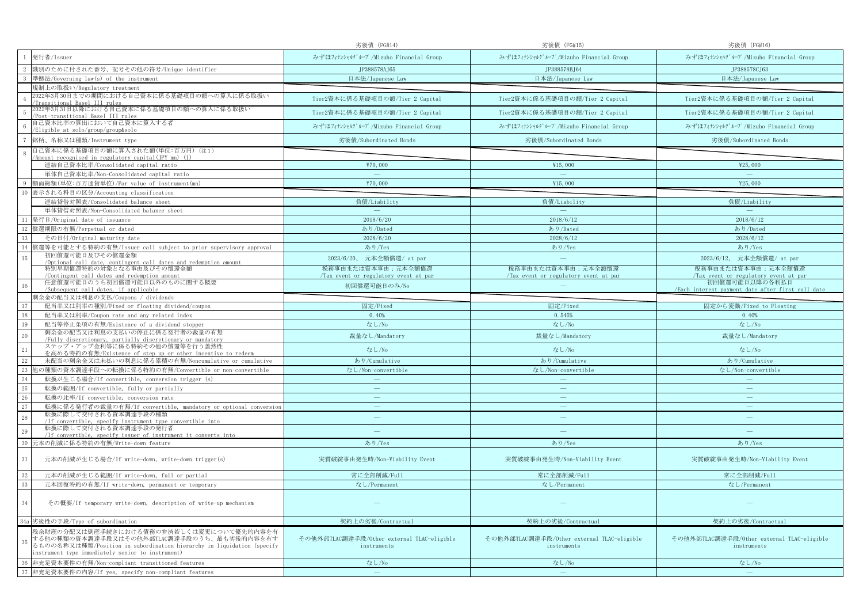|                                                                                                                                                                                                                             | 劣後債 (FG#14)                                               | 劣後債 (FG#15)                                               | 劣後債 (FG#16)                                               |
|-----------------------------------------------------------------------------------------------------------------------------------------------------------------------------------------------------------------------------|-----------------------------------------------------------|-----------------------------------------------------------|-----------------------------------------------------------|
| 発行者/Issuer                                                                                                                                                                                                                  | みずほフィナンシャルグループ/Mizuho Financial Group                     | みずほフィナンシャルグループ/Mizuho Financial Group                     | みずほフィナンシャルグループ/Mizuho Financial Group                     |
| 識別のために付された番号、記号その他の符号/Unique identifier                                                                                                                                                                                     | JP388578AJ65                                              | JP388578BJ64                                              | JP388578CJ63                                              |
| 準拠法/Governing law(s) of the instrument                                                                                                                                                                                      | 日本法/Japanese Law                                          | 日本法/Japanese Law                                          | 日本法/Japanese Law                                          |
| 規制上の取扱い/Regulatory treatment                                                                                                                                                                                                |                                                           |                                                           |                                                           |
| 2022年3月30日までの期間における自己資本に係る基礎項目の額への算入に係る取扱い<br>ransi <u>tional Basel III rules</u>                                                                                                                                           | Tier2資本に係る基礎項目の額/Tier 2 Capital                           | Tier2資本に係る基礎項目の額/Tier 2 Capital                           | Tier2資本に係る基礎項目の額/Tier 2 Capital                           |
| 022年3月31日以降における自己資本に係る基礎項目の額への算入に係る取扱い<br>Post-transitional Basel III rules                                                                                                                                                 | Tier2資本に係る基礎項目の額/Tier 2 Capital                           | Tier2資本に係る基礎項目の額/Tier 2 Capital                           | Tier2資本に係る基礎項目の額/Tier 2 Capital                           |
| 自己資本比率の算出において自己資本に算入する者<br>Eligible at solo/group/group&solo                                                                                                                                                                | みずほフィナンシャルグループ/Mizuho Financial Group                     | みずほフィナンシャルグループ/Mizuho Financial Group                     | みずほフィナンシャルグループ/Mizuho Financial Group                     |
| 銘柄、名称又は種類/Instrument type                                                                                                                                                                                                   | 劣後債/Subordinated Bonds                                    | 劣後債/Subordinated Bonds                                    | 劣後債/Subordinated Bonds                                    |
| 自己資本に係る基礎項目の額に算入された額(単位:百万円)(注1)<br>Amount recognised in regulatory capital(JPY mn) (1)                                                                                                                                     |                                                           |                                                           |                                                           |
| 連結自己資本比率/Consolidated capital ratio                                                                                                                                                                                         | ¥70,000                                                   | ¥15,000                                                   | ¥25,000                                                   |
| 単体自己資本比率/Non-Consolidated capital ratio                                                                                                                                                                                     | $\hspace{0.1mm}-\hspace{0.1mm}$                           | $\overline{\phantom{m}}$                                  | $\overline{\phantom{m}}$                                  |
| 質面総額(単位:百万通貨単位)/Par value of instrument(mn)                                                                                                                                                                                 | ¥70,000                                                   | ¥15,000                                                   | ¥25,000                                                   |
| 表示される科目の区分/Accounting classification<br>10                                                                                                                                                                                  |                                                           |                                                           |                                                           |
| 連結貸借対照表/Consolidated balance sheet                                                                                                                                                                                          | 負債/Liability                                              | 負債/Liability                                              | 負債/Liability                                              |
| 単体貸借対照表/Non-Consolidated balance sheet                                                                                                                                                                                      | $\overline{\phantom{a}}$                                  | $\sim$                                                    | $\sim$                                                    |
| 11<br>発行日/Original date of issuance                                                                                                                                                                                         | 2018/6/20                                                 | 2018/6/12                                                 | 2018/6/12                                                 |
| 償還期限の有無/Perpetual or dated<br>12                                                                                                                                                                                            | あり/Dated                                                  | あり/Dated                                                  | あり/Dated                                                  |
| 13<br>その日付/Original maturity date                                                                                                                                                                                           | 2028/6/20                                                 | 2028/6/12                                                 | 2028/6/12                                                 |
| 賞還等を可能とする特約の有無/Issuer call subject to prior supervisory approval<br>14                                                                                                                                                      | あり/Yes                                                    | あり/Yes                                                    | あり/Yes                                                    |
| 初回償還可能日及びその償還金額<br>15                                                                                                                                                                                                       | 2023/6/20、 元本全額償還/ at par                                 | $\sim$                                                    | 2023/6/12、 元本全額償還/ at par                                 |
| /Optional call date, contingent call dates and redemption amount<br>特別早期償還特約の対象となる事由及びその償還金額                                                                                                                                | 税務事由または資本事由:元本全額償還                                        | 税務事由または資本事由:元本全額償還                                        | 税務事由または資本事由:元本全額償還                                        |
| Contingent call dates and redemption amount                                                                                                                                                                                 | Tax event or regulatory event at par                      | Tax event or regulatory event at par                      | Tax event or regulatory event at par                      |
| 任意償還可能日のうち初回償還可能日以外のものに関する概要<br>16                                                                                                                                                                                          | 初回償還可能日のみ/No                                              |                                                           | 初回償還可能日以降の各利払日                                            |
| /Subsequent call dates, if applicable<br>剰余金の配当又は利息の支払/Coupons / dividends                                                                                                                                                  |                                                           |                                                           | /Each interest payment date after first call date         |
| 17<br>配当率又は利率の種別/Fixed or floating dividend/coupon                                                                                                                                                                          | 固定/Fixed                                                  | 固定/Fixed                                                  | 固定から変動/Fixed to Floating                                  |
| 18<br>配当率又は利率/Coupon rate and any related index                                                                                                                                                                             | 0.40%                                                     | 0.545%                                                    | 0.40%                                                     |
| 19<br>配当等停止条項の有無/Existence of a dividend stopper                                                                                                                                                                            | なし/No                                                     | なし/No                                                     | なし/No                                                     |
| 剰余金の配当又は利息の支払いの停止に係る発行者の裁量の有無                                                                                                                                                                                               |                                                           |                                                           |                                                           |
| 20<br>/Fully discretionary, partially discretionary or mandatory                                                                                                                                                            | 裁量なし/Mandatory                                            | 裁量なし/Mandatory                                            | 裁量なし/Mandatory                                            |
| ステップ・アップ金利等に係る特約その他の償還等を行う蓋然性<br>21<br>を高める特約の有無/Existence of step up or other incentive to redeem                                                                                                                          | なし/No                                                     | なし/No                                                     | なし/No                                                     |
| 22<br>未配当の剰余金又は未払いの利息に係る累積の有無/Noncumulative or cumulative                                                                                                                                                                   | あり/Cumulative                                             | あり/Cumulative                                             | あり/Cumulative                                             |
| 23<br>』の種類の資本調達手段への転換に係る特約の有無/Convertible or non-convertible                                                                                                                                                                | なし/Non-convertible                                        | なし/Non-convertible                                        | なし/Non-convertible                                        |
| 24<br>転換が生じる場合/If convertible, conversion trigger (s)                                                                                                                                                                       | $\overline{\phantom{a}}$                                  |                                                           |                                                           |
| $25\,$<br>転換の範囲/If convertible, fully or partially                                                                                                                                                                          | $\overline{\phantom{a}}$                                  | $\overline{\phantom{a}}$                                  | $\overline{\phantom{a}}$                                  |
| 26<br>転換の比率/If convertible, conversion rate                                                                                                                                                                                 | سن                                                        | $\equiv$                                                  | $\overline{\phantom{m}}$                                  |
| 27<br>転換に係る発行者の裁量の有無/If convertible, mandatory or optional conversion                                                                                                                                                       | $\overline{\phantom{m}}$                                  | $\qquad \qquad \longleftarrow$                            | $\overline{\phantom{m}}$                                  |
| 転換に際して交付される資本調達手段の種類<br>28<br>/If convertible, specify instrument type convertible into                                                                                                                                     | ÷                                                         | $\overline{\phantom{m}}$                                  | $\sim$                                                    |
| 転換に際して交付される資本調達手段の発行者<br>29<br>/If convertible, specify issuer of instrument it converts into                                                                                                                               |                                                           |                                                           |                                                           |
| 30<br>元本の削減に係る特約の有無/Write-down feature                                                                                                                                                                                      | あり/Yes                                                    | あり/Yes                                                    | あり/Yes                                                    |
| 31<br>元本の削減が生じる場合/If write-down, write-down trigger(s)                                                                                                                                                                      | 実質破綻事由発生時/Non-Viability Event                             | 実質破綻事由発生時/Non-Viability Event                             | 実質破綻事由発生時/Non-Viability Event                             |
| 32<br>元本の削減が生じる範囲/If write-down, full or partial                                                                                                                                                                            | 常に全部削減/Full                                               | 常に全部削減/Full                                               | 常に全部削減/Full                                               |
| $33\,$<br>元本回復特約の有無/If write-down, permanent or temporary                                                                                                                                                                   | なし/Permanent                                              | なし/Permanent                                              | なし/Permanent                                              |
|                                                                                                                                                                                                                             |                                                           |                                                           |                                                           |
| 34<br>その概要/If temporary write-down, description of write-up mechanism                                                                                                                                                       |                                                           |                                                           |                                                           |
| 34a 劣後性の手段/Type of subordination                                                                                                                                                                                            | 契約上の劣後/Contractual                                        | 契約上の劣後/Contractual                                        | 契約上の劣後/Contractual                                        |
| 残余財産の分配又は倒産手続きにおける債務の弁済若しくは変更について優先的内容を有<br>する他の種類の資本調達手段又はその他外部TLAC調達手段のうち、最も劣後的内容を有す<br>35<br>るものの名称又は種類/Position in subordination hierarchy in liquidation (specify<br>instrument type immediately senior to instrument) | その他外部TLAC調達手段/Other external TLAC-eligible<br>instruments | その他外部TLAC調達手段/Other external TLAC-eligible<br>instruments | その他外部TLAC調達手段/Other external TLAC-eligible<br>instruments |
| 非充足資本要件の有無/Non-compliant transitioned features<br>36                                                                                                                                                                        | なし/No                                                     | なし/No                                                     | なし/No                                                     |
| 37 非充足資本要件の内容/If yes, specify non-compliant features                                                                                                                                                                        | $\sim$                                                    | $\overline{\phantom{m}}$                                  | $\overline{\phantom{m}}$                                  |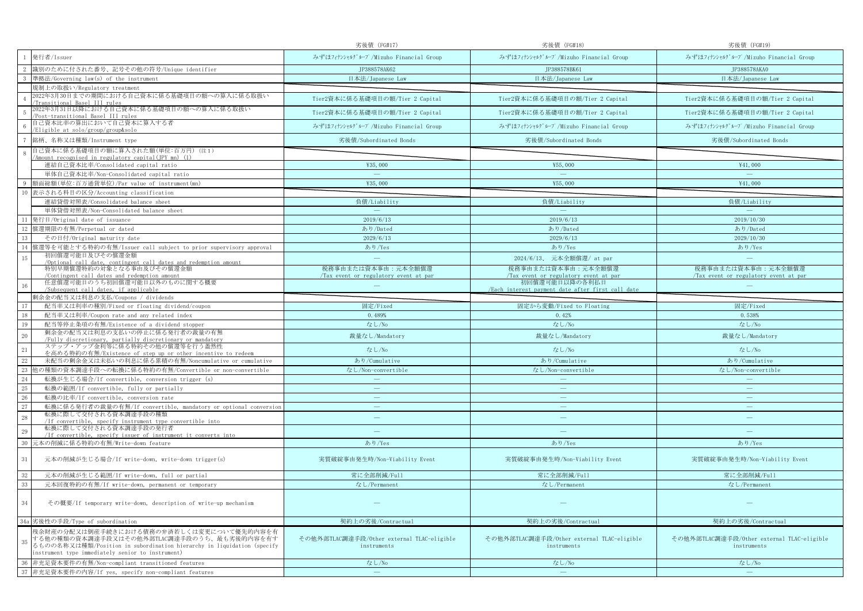|                                                                                                                                                                                                                             | 劣後債 (FG#17)                                               | 劣後債 (FG#18)                                                         | 劣後債 (FG#19)                                               |
|-----------------------------------------------------------------------------------------------------------------------------------------------------------------------------------------------------------------------------|-----------------------------------------------------------|---------------------------------------------------------------------|-----------------------------------------------------------|
| 発行者/Issuer                                                                                                                                                                                                                  | みずほフィナンシャルグループ/Mizuho Financial Group                     | みずほフィナンシャルグループ/Mizuho Financial Group                               | みずほフィナンシャルグループ/Mizuho Financial Group                     |
| 識別のために付された番号、記号その他の符号/Unique identifier                                                                                                                                                                                     | JP388578AK62                                              | JP388578BK61                                                        | JP388578AKA0                                              |
| 準拠法/Governing law(s) of the instrument                                                                                                                                                                                      | 日本法/Japanese Law                                          | 日本法/Japanese Law                                                    | 日本法/Japanese Law                                          |
| 規制上の取扱い/Regulatory treatment                                                                                                                                                                                                |                                                           |                                                                     |                                                           |
| 2022年3月30日までの期間における自己資本に係る基礎項目の額への算入に係る取扱い<br>ransi <u>tional Basel III rules</u>                                                                                                                                           | Tier2資本に係る基礎項目の額/Tier 2 Capital                           | Tier2資本に係る基礎項目の額/Tier 2 Capital                                     | Tier2資本に係る基礎項目の額/Tier 2 Capital                           |
| 022年3月31日以降における自己資本に係る基礎項目の額への算入に係る取扱い<br>Post-transitional Basel III rules                                                                                                                                                 | Tier2資本に係る基礎項目の額/Tier 2 Capital                           | Tier2資本に係る基礎項目の額/Tier 2 Capital                                     | Tier2資本に係る基礎項目の額/Tier 2 Capital                           |
| 自己資本比率の算出において自己資本に算入する者<br>Eligible at solo/group/group&solo                                                                                                                                                                | みずほフィナンシャルグループ/Mizuho Financial Group                     | みずほフィナンシャルグループ/Mizuho Financial Group                               | みずほフィナンシャルグループ/Mizuho Financial Group                     |
| 銘柄、名称又は種類/Instrument type                                                                                                                                                                                                   | 劣後債/Subordinated Bonds                                    | 劣後債/Subordinated Bonds                                              | 劣後債/Subordinated Bonds                                    |
| 自己資本に係る基礎項目の額に算入された額(単位:百万円)(注1)<br>Amount recognised in regulatory capital(JPY mn) (1)                                                                                                                                     |                                                           |                                                                     |                                                           |
| 連結自己資本比率/Consolidated capital ratio                                                                                                                                                                                         | ¥35,000                                                   | ¥55,000                                                             | ¥41,000                                                   |
| 単体自己資本比率/Non-Consolidated capital ratio                                                                                                                                                                                     | $\hspace{0.1mm}-\hspace{0.1mm}$                           | $\overline{\phantom{m}}$                                            | $\overline{\phantom{m}}$                                  |
| 質面総額(単位:百万通貨単位)/Par value of instrument(mn)                                                                                                                                                                                 | ¥35,000                                                   | ¥55,000                                                             | ¥41,000                                                   |
| 表示される科目の区分/Accounting classification<br>10                                                                                                                                                                                  |                                                           |                                                                     |                                                           |
| 連結貸借対照表/Consolidated balance sheet                                                                                                                                                                                          | 負債/Liability                                              | 負債/Liability                                                        | 負債/Liability                                              |
| 単体貸借対照表/Non-Consolidated balance sheet                                                                                                                                                                                      | $\overline{\phantom{a}}$                                  | $\sim$                                                              | $\sim$                                                    |
| 11<br>発行日/Original date of issuance                                                                                                                                                                                         | 2019/6/13                                                 | 2019/6/13                                                           | 2019/10/30                                                |
| 償還期限の有無/Perpetual or dated<br>12                                                                                                                                                                                            | あり/Dated                                                  | あり/Dated                                                            | あり/Dated                                                  |
| 13<br>その日付/Original maturity date                                                                                                                                                                                           | 2029/6/13                                                 | 2029/6/13                                                           | 2029/10/30                                                |
| 賞還等を可能とする特約の有無/Issuer call subject to prior supervisory approval<br>14                                                                                                                                                      | あり/Yes                                                    | あり/Yes                                                              | あり/Yes                                                    |
| 初回償還可能日及びその償還金額<br>15<br>/Optional call date, contingent call dates and redemption amount                                                                                                                                   | $\sim$                                                    | 2024/6/13、 元本全額償還/ at par                                           |                                                           |
| 特別早期償還特約の対象となる事由及びその償還金額                                                                                                                                                                                                    | 税務事由または資本事由:元本全額償還                                        | 税務事由または資本事由:元本全額償還                                                  | 税務事由または資本事由:元本全額償還                                        |
| Contingent call dates and redemption amount                                                                                                                                                                                 | Tax event or regulatory event at par                      | Tax event or regulatory event at par                                | Tax event or regulatory event at par                      |
| 任意償還可能日のうち初回償還可能日以外のものに関する概要<br>16<br>/Subsequent call dates, if applicable                                                                                                                                                 |                                                           | 初回償還可能日以降の各利払日<br>/Each interest payment date after first call date |                                                           |
| 剰余金の配当又は利息の支払/Coupons / dividends                                                                                                                                                                                           |                                                           |                                                                     |                                                           |
| 17<br>配当率又は利率の種別/Fixed or floating dividend/coupon                                                                                                                                                                          | 固定/Fixed                                                  | 固定から変動/Fixed to Floating                                            | 固定/Fixed                                                  |
| 18<br>配当率又は利率/Coupon rate and any related index                                                                                                                                                                             | 0.489%                                                    | 0.42%                                                               | 0.538%                                                    |
| 19<br>配当等停止条項の有無/Existence of a dividend stopper                                                                                                                                                                            | なし/No                                                     | なし/No                                                               | なし/No                                                     |
| 剰余金の配当又は利息の支払いの停止に係る発行者の裁量の有無<br>20                                                                                                                                                                                         | 裁量なし/Mandatory                                            | 裁量なし/Mandatory                                                      | 裁量なし/Mandatory                                            |
| /Fully discretionary, partially discretionary or mandatory<br>ステップ・アップ金利等に係る特約その他の償還等を行う蓋然性                                                                                                                                 |                                                           |                                                                     |                                                           |
| 21<br>を高める特約の有無/Existence of step up or other incentive to redeem                                                                                                                                                           | なし/No                                                     | なし/No                                                               | なし/No                                                     |
| 22<br>未配当の剰余金又は未払いの利息に係る累積の有無/Noncumulative or cumulative                                                                                                                                                                   | あり/Cumulative                                             | あり/Cumulative                                                       | あり/Cumulative                                             |
| 23<br>』の種類の資本調達手段への転換に係る特約の有無/Convertible or non-convertible                                                                                                                                                                | なし/Non-convertible                                        | なし/Non-convertible                                                  | なし/Non-convertible                                        |
| 24<br>転換が生じる場合/If convertible, conversion trigger (s)                                                                                                                                                                       | $\overline{\phantom{a}}$                                  |                                                                     |                                                           |
| $25\,$<br>転換の範囲/If convertible, fully or partially                                                                                                                                                                          | $\overline{\phantom{a}}$                                  | $\overline{\phantom{a}}$                                            | $\overline{\phantom{a}}$                                  |
| 26<br>転換の比率/If convertible, conversion rate                                                                                                                                                                                 | $\sim$                                                    | $\equiv$                                                            | $\overline{\phantom{a}}$                                  |
| 27<br>転換に係る発行者の裁量の有無/If convertible, mandatory or optional conversion                                                                                                                                                       | $\overline{\phantom{0}}$                                  | $\overline{\phantom{m}}$                                            | $\overline{\phantom{0}}$                                  |
| 転換に際して交付される資本調達手段の種類<br>28<br>/If convertible, specify instrument type convertible into                                                                                                                                     | ÷                                                         | $\overline{\phantom{m}}$                                            | $\sim$                                                    |
| 転換に際して交付される資本調達手段の発行者<br>29<br>/If convertible, specify issuer of instrument it converts into                                                                                                                               |                                                           |                                                                     |                                                           |
| 30<br>元本の削減に係る特約の有無/Write-down feature                                                                                                                                                                                      | あり/Yes                                                    | あり/Yes                                                              | あり/Yes                                                    |
| 31<br>元本の削減が生じる場合/If write-down, write-down trigger(s)                                                                                                                                                                      | 実質破綻事由発生時/Non-Viability Event                             | 実質破綻事由発生時/Non-Viability Event                                       | 実質破綻事由発生時/Non-Viability Event                             |
| 32<br>元本の削減が生じる範囲/If write-down, full or partial                                                                                                                                                                            | 常に全部削減/Full                                               | 常に全部削減/Full                                                         | 常に全部削減/Full                                               |
| $33\,$<br>元本回復特約の有無/If write-down, permanent or temporary                                                                                                                                                                   | なし/Permanent                                              | なし/Permanent                                                        | なし/Permanent                                              |
|                                                                                                                                                                                                                             |                                                           |                                                                     |                                                           |
| 34<br>その概要/If temporary write-down, description of write-up mechanism                                                                                                                                                       |                                                           |                                                                     |                                                           |
| 34a 劣後性の手段/Type of subordination                                                                                                                                                                                            | 契約上の劣後/Contractual                                        | 契約上の劣後/Contractual                                                  | 契約上の劣後/Contractual                                        |
| 残余財産の分配又は倒産手続きにおける債務の弁済若しくは変更について優先的内容を有<br>する他の種類の資本調達手段又はその他外部TLAC調達手段のうち、最も劣後的内容を有す<br>35<br>るものの名称又は種類/Position in subordination hierarchy in liquidation (specify<br>instrument type immediately senior to instrument) | その他外部TLAC調達手段/Other external TLAC-eligible<br>instruments | その他外部TLAC調達手段/Other external TLAC-eligible<br>instruments           | その他外部TLAC調達手段/Other external TLAC-eligible<br>instruments |
| 非充足資本要件の有無/Non-compliant transitioned features<br>36                                                                                                                                                                        | なし/No                                                     | なし/No                                                               | なし/No                                                     |
| 37 非充足資本要件の内容/If yes, specify non-compliant features                                                                                                                                                                        | $\sim$                                                    | $\overline{\phantom{m}}$                                            | $\equiv$                                                  |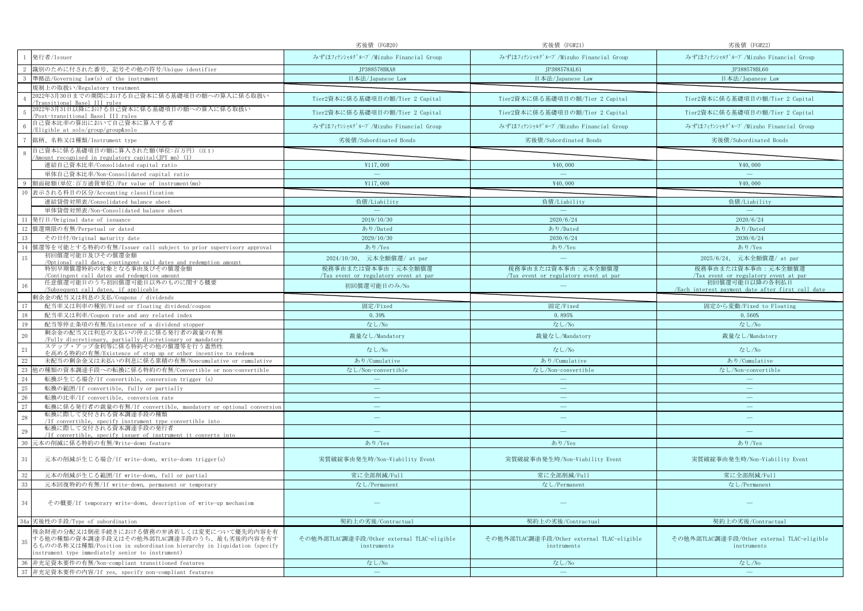|                                                                                                                                                                                                                             | 劣後債 (FG#20)                                               | 劣後債 (FG#21)                                               | 劣後債 (FG#22)                                                         |
|-----------------------------------------------------------------------------------------------------------------------------------------------------------------------------------------------------------------------------|-----------------------------------------------------------|-----------------------------------------------------------|---------------------------------------------------------------------|
| 発行者/Issuer                                                                                                                                                                                                                  | みずほフィナンシャルグループ/Mizuho Financial Group                     | みずほフィナンシャルグループ/Mizuho Financial Group                     | みずほフィナンシャルグループ/Mizuho Financial Group                               |
| 識別のために付された番号、記号その他の符号/Unique identifier                                                                                                                                                                                     | JP388578BKA8                                              | JP388578AL61                                              | JP388578BL60                                                        |
| 準拠法/Governing law(s) of the instrument                                                                                                                                                                                      | 日本法/Japanese Law                                          | 日本法/Japanese Law                                          | 日本法/Japanese Law                                                    |
| 見制上の取扱い/Regulatory treatment                                                                                                                                                                                                |                                                           |                                                           |                                                                     |
| 2022年3月30日までの期間における自己資本に係る基礎項目の額への算入に係る取扱い<br><u>Fransitional Basel III rules</u>                                                                                                                                           | Tier2資本に係る基礎項目の額/Tier 2 Capital                           | Tier2資本に係る基礎項目の額/Tier 2 Capital                           | Tier2資本に係る基礎項目の額/Tier 2 Capital                                     |
| 2022年3月31日以降における自己資本に係る基礎項目の額への算入に係る取扱い<br>Post-transitional Basel III rules                                                                                                                                                | Tier2資本に係る基礎項目の額/Tier 2 Capital                           | Tier2資本に係る基礎項目の額/Tier 2 Capital                           | Tier2資本に係る基礎項目の額/Tier 2 Capital                                     |
| 自己資本比率の算出において自己資本に算入する者<br>Eligible at solo/group/group&solo                                                                                                                                                                | みずほフィナンシャルグループ/Mizuho Financial Group                     | みずほフィナンシャルグループ/Mizuho Financial Group                     | みずほフィナンシャルグループ/Mizuho Financial Group                               |
| 銘柄、名称又は種類/Instrument type                                                                                                                                                                                                   | 劣後債/Subordinated Bonds                                    | 劣後債/Subordinated Bonds                                    | 劣後債/Subordinated Bonds                                              |
| 自己資本に係る基礎項目の額に算入された額(単位:百万円)(注1)<br>Amount recognised in regulatory capital(JPY mn) (1)                                                                                                                                     |                                                           |                                                           |                                                                     |
| 連結自己資本比率/Consolidated capital ratio                                                                                                                                                                                         | ¥117,000                                                  | ¥40,000                                                   | ¥40,000                                                             |
| 単体自己資本比率/Non-Consolidated capital ratio                                                                                                                                                                                     | $\sim$                                                    | $\sim$                                                    | $\equiv$                                                            |
| 頁面総額(単位:百万通貨単位)/Par value of instrument(mn)                                                                                                                                                                                 | ¥117,000                                                  | ¥40,000                                                   | ¥40,000                                                             |
| 表示される科目の区分/Accounting classification<br>10                                                                                                                                                                                  |                                                           |                                                           |                                                                     |
| 連結貸借対照表/Consolidated balance sheet                                                                                                                                                                                          | 負債/Liability                                              | 負債/Liability                                              | 負債/Liability                                                        |
| 単体貸借対照表/Non-Consolidated balance sheet                                                                                                                                                                                      | <b>Contract Contract Contract</b>                         | <b>Contract</b>                                           | <b>Contract Contract Contract</b>                                   |
| 11<br>発行日/Original date of issuance                                                                                                                                                                                         | 2019/10/30                                                | 2020/6/24                                                 | 2020/6/24                                                           |
| 12<br>償還期限の有無/Perpetual or dated                                                                                                                                                                                            | あり/Dated                                                  | あり/Dated                                                  | あり/Dated                                                            |
| 13<br>その日付/Original maturity date                                                                                                                                                                                           | 2029/10/30                                                | 2030/6/24                                                 | 2030/6/24                                                           |
| 償還等を可能とする特約の有無/Issuer call subject to prior supervisory approval<br>14                                                                                                                                                      | あり/Yes                                                    | あり/Yes                                                    | あり/Yes                                                              |
| 初回償還可能日及びその償還金額<br>15<br>/Optional call date, contingent call dates and redemption amount                                                                                                                                   | 2024/10/30、 元本全額償還/ at par                                | $\overline{\phantom{a}}$                                  | 2025/6/24、 元本全額償還/ at par                                           |
| 特別早期償還特約の対象となる事由及びその償還金額                                                                                                                                                                                                    | 税務事由または資本事由:元本全額償還                                        | 税務事由または資本事由:元本全額償還                                        | 税務事由または資本事由:元本全額償還                                                  |
| Contingent call dates and redemption amount                                                                                                                                                                                 | Tax event or regulatory event at par                      | Tax event or regulatory event at par                      | Tax event or regulatory event at par                                |
| 任意償還可能日のうち初回償還可能日以外のものに関する概要<br>16<br>/Subsequent call dates, if applicable                                                                                                                                                 | 初回償還可能日のみ/No                                              |                                                           | 初回償還可能日以降の各利払日<br>/Each interest payment date after first call date |
| 剰余金の配当又は利息の支払/Coupons / dividends                                                                                                                                                                                           |                                                           |                                                           |                                                                     |
| 17<br>配当率又は利率の種別/Fixed or floating dividend/coupon                                                                                                                                                                          | 固定/Fixed                                                  | 固定/Fixed                                                  | 固定から変動/Fixed to Floating                                            |
| 18<br>配当率又は利率/Coupon rate and any related index                                                                                                                                                                             | 0.39%                                                     | 0.895%                                                    | 0.560%                                                              |
| 19<br>配当等停止条項の有無/Existence of a dividend stopper                                                                                                                                                                            | なし/No                                                     | なし/No                                                     | なし/No                                                               |
| 剰余金の配当又は利息の支払いの停止に係る発行者の裁量の有無<br>20                                                                                                                                                                                         | 裁量なし/Mandatory                                            | 裁量なし/Mandatory                                            | 裁量なし/Mandatory                                                      |
| /Fully discretionary, partially discretionary or mandatory<br>ステップ・アップ金利等に係る特約その他の償還等を行う蓋然性<br>21                                                                                                                           | なし/No                                                     | なし/No                                                     | なし/No                                                               |
| を高める特約の有無/Existence of step up or other incentive to redeem<br>22                                                                                                                                                           | あり/Cumulative                                             | あり/Cumulative                                             | あり/Cumulative                                                       |
| 未配当の剰余金又は未払いの利息に係る累積の有無/Noncumulative or cumulative<br>23                                                                                                                                                                   |                                                           |                                                           |                                                                     |
| 1の種類の資本調達手段への転換に係る特約の有無/Convertible or non-convertible                                                                                                                                                                      | なし/Non-convertible<br>$\equiv$                            | なし/Non-convertible                                        | なし/Non-convertible                                                  |
| 24<br>転換が生じる場合/If convertible, conversion trigger (s)<br>25<br>転換の範囲/If convertible, fully or partially                                                                                                                     | $\equiv$                                                  |                                                           | $\overline{\phantom{m}}$                                            |
| 26<br>転換の比率/If convertible, conversion rate                                                                                                                                                                                 |                                                           |                                                           | $\overline{\phantom{m}}$                                            |
| 27<br>転換に係る発行者の裁量の有無/If convertible, mandatory or optional conversion                                                                                                                                                       | $\overline{\phantom{0}}$                                  | $\qquad \qquad \longleftarrow$                            | $\overline{\phantom{m}}$                                            |
| 転換に際して交付される資本調達手段の種類<br>28                                                                                                                                                                                                  | ÷                                                         | $\overline{\phantom{m}}$                                  | $\overline{\phantom{m}}$                                            |
| /If convertible, specify instrument type convertible into<br>転換に際して交付される資本調達手段の発行者<br>29                                                                                                                                    | $\overline{\phantom{0}}$                                  | $\frac{1}{2}$                                             |                                                                     |
| /If convertible, specify issuer of instrument it converts into                                                                                                                                                              |                                                           |                                                           |                                                                     |
| 30<br>元本の削減に係る特約の有無/Write-down feature                                                                                                                                                                                      | あり/Yes                                                    | あり/Yes                                                    | あり/Yes                                                              |
| 31<br>元本の削減が生じる場合/If write-down, write-down trigger(s)                                                                                                                                                                      | 実質破綻事由発生時/Non-Viability Event                             | 実質破綻事由発生時/Non-Viability Event                             | 実質破綻事由発生時/Non-Viability Event                                       |
| 32<br>元本の削減が生じる範囲/If write-down, full or partial                                                                                                                                                                            | 常に全部削減/Full                                               | 常に全部削減/Full                                               | 常に全部削減/Full                                                         |
| 33<br>元本回復特約の有無/If write-down, permanent or temporary                                                                                                                                                                       | なし/Permanent                                              | なし/Permanent                                              | なし/Permanent                                                        |
| 34<br>その概要/If temporary write-down, description of write-up mechanism                                                                                                                                                       |                                                           |                                                           |                                                                     |
| 34a 劣後性の手段/Type of subordination                                                                                                                                                                                            | 契約上の劣後/Contractual                                        | 契約上の劣後/Contractual                                        | 契約上の劣後/Contractual                                                  |
| 残余財産の分配又は倒産手続きにおける債務の弁済若しくは変更について優先的内容を有<br>する他の種類の資本調達手段又はその他外部TLAC調達手段のうち、最も劣後的内容を有す<br>35<br>るものの名称又は種類/Position in subordination hierarchy in liquidation (specify<br>instrument type immediately senior to instrument) | その他外部TLAC調達手段/Other external TLAC-eligible<br>instruments | その他外部TLAC調達手段/Other external TLAC-eligible<br>instruments | その他外部TLAC調達手段/Other external TLAC-eligible<br>instruments           |
| 36<br>非充足資本要件の有無/Non-compliant transitioned features                                                                                                                                                                        | なし/No                                                     | なし/No                                                     | なし/No                                                               |
| 37 非充足資本要件の内容/If yes, specify non-compliant features                                                                                                                                                                        | $\sim$                                                    | $\overline{\phantom{a}}$                                  | $\equiv$                                                            |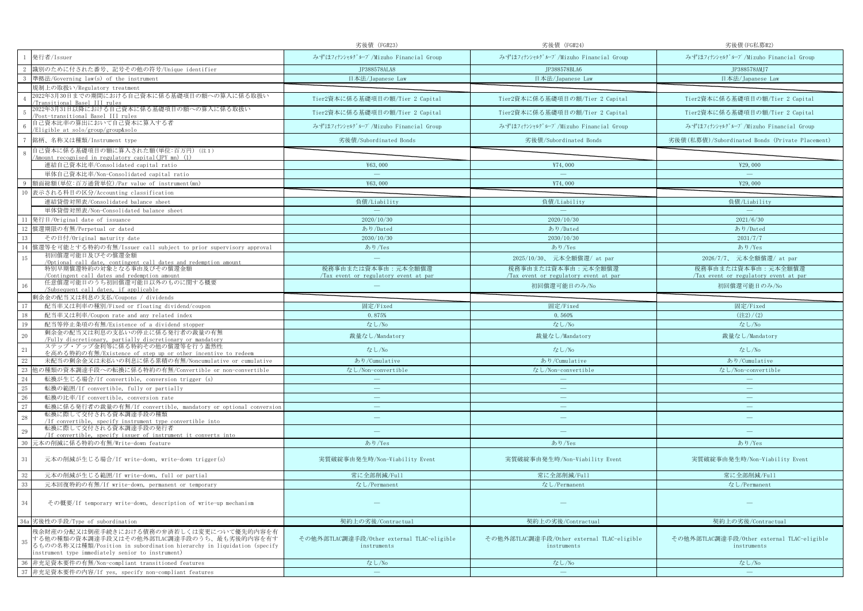|                                                                                                                                                                                                                             | 劣後債 (FG#23)                                                | 劣後債 (FG#24)                                                | 劣後債(FG私募#2)                                                |
|-----------------------------------------------------------------------------------------------------------------------------------------------------------------------------------------------------------------------------|------------------------------------------------------------|------------------------------------------------------------|------------------------------------------------------------|
| 発行者/Issuer                                                                                                                                                                                                                  | みずほフィナンシャルグループ/Mizuho Financial Group                      | みずほフィナンシャルグループ/Mizuho Financial Group                      | みずほフィナンシャルグループ/Mizuho Financial Group                      |
| 識別のために付された番号、記号その他の符号/Unique identifier                                                                                                                                                                                     | JP388578ALA8                                               | JP388578BLA6                                               | JP388578AMJ7                                               |
| 準拠法/Governing law(s) of the instrument                                                                                                                                                                                      | 日本法/Japanese Law                                           | 日本法/Japanese Law                                           | 日本法/Japanese Law                                           |
| 規制上の取扱い/Regulatory treatment                                                                                                                                                                                                |                                                            |                                                            |                                                            |
| 2022年3月30日までの期間における自己資本に係る基礎項目の額への算入に係る取扱い<br>ransitional Basel III rules                                                                                                                                                   | Tier2資本に係る基礎項目の額/Tier 2 Capital                            | Tier2資本に係る基礎項目の額/Tier 2 Capital                            | Tier2資本に係る基礎項目の額/Tier 2 Capital                            |
| 022年3月31日以降における自己資本に係る基礎項目の額への算入に係る取扱い<br>Post-transitional Basel III rules                                                                                                                                                 | Tier2資本に係る基礎項目の額/Tier 2 Capital                            | Tier2資本に係る基礎項目の額/Tier 2 Capital                            | Tier2資本に係る基礎項目の額/Tier 2 Capital                            |
| 自己資本比率の算出において自己資本に算入する者<br>Eligible at solo/group/group&solo                                                                                                                                                                | みずほフィナンシャルグループ/Mizuho Financial Group                      | みずほフィナンシャルグループ/Mizuho Financial Group                      | みずほフィナンシャルグループ/Mizuho Financial Group                      |
| 銘柄、名称又は種類/Instrument type                                                                                                                                                                                                   | 劣後債/Subordinated Bonds                                     | 劣後債/Subordinated Bonds                                     | 劣後債(私募債)/Subordinated Bonds (Private Placement)            |
| 自己資本に係る基礎項目の額に算入された額(単位:百万円)(注1)<br>Amount recognised in regulatory capital(JPY mn) (1)                                                                                                                                     |                                                            |                                                            |                                                            |
| 連結自己資本比率/Consolidated capital ratio                                                                                                                                                                                         | ¥63,000                                                    | ¥74,000                                                    | ¥29,000                                                    |
| 単体自己資本比率/Non-Consolidated capital ratio                                                                                                                                                                                     | $\overline{\phantom{m}}$                                   | $\overline{\phantom{m}}$                                   | $\overline{\phantom{m}}$                                   |
| 質面総額(単位:百万通貨単位)/Par value of instrument(mn)                                                                                                                                                                                 | ¥63,000                                                    | ¥74,000                                                    | ¥29,000                                                    |
| 10<br>表示される科目の区分/Accounting classification                                                                                                                                                                                  |                                                            |                                                            |                                                            |
| 連結貸借対照表/Consolidated balance sheet                                                                                                                                                                                          | 負債/Liability                                               | 負債/Liability                                               | 負債/Liability                                               |
| 単体貸借対照表/Non-Consolidated balance sheet                                                                                                                                                                                      | $\overline{\phantom{a}}$                                   | $\sim$                                                     | $\sim$                                                     |
| 11<br>発行日/Original date of issuance                                                                                                                                                                                         | 2020/10/30                                                 | 2020/10/30                                                 | 2021/6/30                                                  |
| 償還期限の有無/Perpetual or dated<br>12                                                                                                                                                                                            | あり/Dated                                                   | あり/Dated                                                   | あり/Dated                                                   |
| 13<br>その日付/Original maturity date                                                                                                                                                                                           | 2030/10/30                                                 | 2030/10/30                                                 | 2031/7/7                                                   |
| 賞還等を可能とする特約の有無/Issuer call subject to prior supervisory approval<br>14                                                                                                                                                      | あり/Yes                                                     | あり/Yes                                                     | あり/Yes                                                     |
| 初回償還可能日及びその償還金額<br>15<br>/Optional call date, contingent call dates and redemption amount                                                                                                                                   | $\sim$                                                     | 2025/10/30、 元本全額償還/ at par                                 | 2026/7/7、 元本全額償還/ at par                                   |
| 特別早期償還特約の対象となる事由及びその償還金額<br>Contingent call dates and redemption amount                                                                                                                                                     | 税務事由または資本事由:元本全額償還<br>Tax event or regulatory event at par | 税務事由または資本事由:元本全額償還<br>Tax event or regulatory event at par | 税務事由または資本事由:元本全額償還<br>Tax event or regulatory event at par |
| 任意償還可能日のうち初回償還可能日以外のものに関する概要<br>16<br>/Subsequent call dates, if applicable                                                                                                                                                 |                                                            | 初回償還可能日のみ/No                                               | 初回償還可能日のみ/No                                               |
| 剰余金の配当又は利息の支払/Coupons / dividends                                                                                                                                                                                           |                                                            |                                                            |                                                            |
| 17<br>配当率又は利率の種別/Fixed or floating dividend/coupon                                                                                                                                                                          | 固定/Fixed                                                   | 固定/Fixed                                                   | 固定/Fixed                                                   |
| 18<br>配当率又は利率/Coupon rate and any related index                                                                                                                                                                             | 0.875%                                                     | 0.560%                                                     | (22)/(2)                                                   |
| 19<br>配当等停止条項の有無/Existence of a dividend stopper                                                                                                                                                                            | なし/No                                                      | なし/No                                                      | なし/No                                                      |
| 剰余金の配当又は利息の支払いの停止に係る発行者の裁量の有無<br>20                                                                                                                                                                                         | 裁量なし/Mandatory                                             | 裁量なし/Mandatory                                             | 裁量なし/Mandatory                                             |
| /Fully discretionary, partially discretionary or mandatory<br>ステップ・アップ金利等に係る特約その他の償還等を行う蓋然性<br>21                                                                                                                           | なし/No                                                      | なし/No                                                      | なし/No                                                      |
| を高める特約の有無/Existence of step up or other incentive to redeem                                                                                                                                                                 |                                                            |                                                            |                                                            |
| 22<br>未配当の剰余金又は未払いの利息に係る累積の有無/Noncumulative or cumulative                                                                                                                                                                   | あり/Cumulative                                              | あり/Cumulative                                              | あり/Cumulative                                              |
| 23<br>』の種類の資本調達手段への転換に係る特約の有無/Convertible or non-convertible                                                                                                                                                                | なし/Non-convertible                                         | なし/Non-convertible                                         | なし/Non-convertible                                         |
| 24<br>転換が生じる場合/If convertible, conversion trigger (s)                                                                                                                                                                       | $\overline{\phantom{a}}$<br>$\overline{\phantom{a}}$       | $\overline{\phantom{a}}$                                   | $\overline{\phantom{a}}$                                   |
| $25\,$<br>転換の範囲/If convertible, fully or partially<br>26<br>転換の比率/If convertible, conversion rate                                                                                                                           | سن                                                         | $\equiv$                                                   | $\overline{\phantom{a}}$                                   |
| 27<br>転換に係る発行者の裁量の有無/If convertible, mandatory or optional conversion                                                                                                                                                       | $\overline{\phantom{0}}$                                   | $\qquad \qquad \longleftarrow$                             | $\overline{\phantom{0}}$                                   |
| 転換に際して交付される資本調達手段の種類<br>28                                                                                                                                                                                                  | ÷                                                          | $\overline{\phantom{m}}$                                   | $\sim$                                                     |
| /If convertible, specify instrument type convertible into                                                                                                                                                                   |                                                            |                                                            |                                                            |
| 転換に際して交付される資本調達手段の発行者<br>29<br>/If convertible, specify issuer of instrument it converts into                                                                                                                               |                                                            |                                                            |                                                            |
| 30<br>元本の削減に係る特約の有無/Write-down feature                                                                                                                                                                                      | あり/Yes                                                     | あり/Yes                                                     | あり/Yes                                                     |
| 31<br>元本の削減が生じる場合/If write-down, write-down trigger(s)                                                                                                                                                                      | 実質破綻事由発生時/Non-Viability Event                              | 実質破綻事由発生時/Non-Viability Event                              | 実質破綻事由発生時/Non-Viability Event                              |
| 32<br>元本の削減が生じる範囲/If write-down, full or partial                                                                                                                                                                            | 常に全部削減/Full                                                | 常に全部削減/Full                                                | 常に全部削減/Full                                                |
| $33\,$<br>元本回復特約の有無/If write-down, permanent or temporary                                                                                                                                                                   | なし/Permanent                                               | なし/Permanent                                               | なし/Permanent                                               |
|                                                                                                                                                                                                                             |                                                            |                                                            |                                                            |
| 34<br>その概要/If temporary write-down, description of write-up mechanism                                                                                                                                                       |                                                            |                                                            |                                                            |
| 34a 劣後性の手段/Type of subordination                                                                                                                                                                                            | 契約上の劣後/Contractual                                         | 契約上の劣後/Contractual                                         | 契約上の劣後/Contractual                                         |
| 残余財産の分配又は倒産手続きにおける債務の弁済若しくは変更について優先的内容を有<br>する他の種類の資本調達手段又はその他外部TLAC調達手段のうち、最も劣後的内容を有す<br>35<br>るものの名称又は種類/Position in subordination hierarchy in liquidation (specify<br>instrument type immediately senior to instrument) | その他外部TLAC調達手段/Other external TLAC-eligible<br>instruments  | その他外部TLAC調達手段/Other external TLAC-eligible<br>instruments  | その他外部TLAC調達手段/Other external TLAC-eligible<br>instruments  |
| 非充足資本要件の有無/Non-compliant transitioned features<br>36                                                                                                                                                                        | なし/No                                                      | なし/No                                                      | なし/No                                                      |
| 37 非充足資本要件の内容/If yes, specify non-compliant features                                                                                                                                                                        | $\sim$                                                     | $\overline{\phantom{m}}$                                   | $\equiv$                                                   |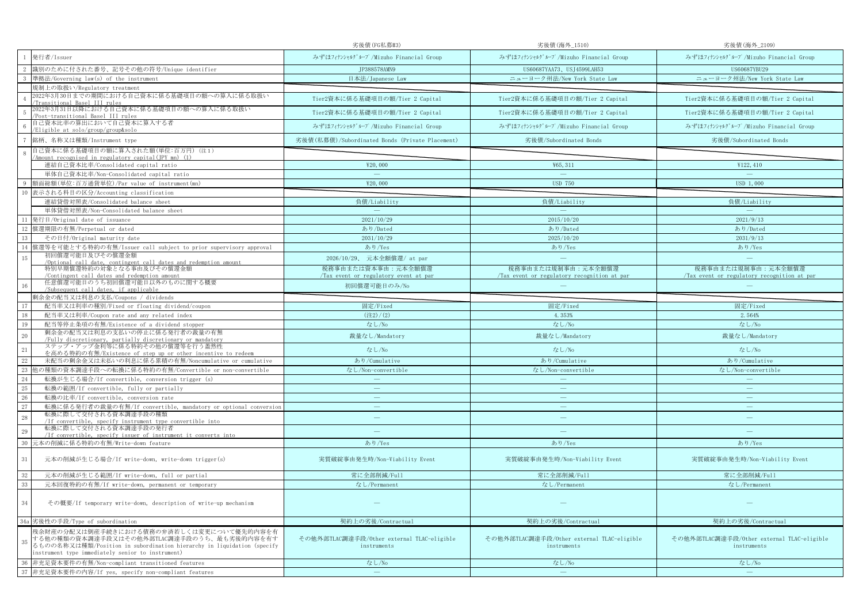|                                                                                                                                                                                                                             | 劣後債(FG私募#3)                                               | 劣後債(海外_1510)                                              | 劣後債(海外_2109)                                              |
|-----------------------------------------------------------------------------------------------------------------------------------------------------------------------------------------------------------------------------|-----------------------------------------------------------|-----------------------------------------------------------|-----------------------------------------------------------|
| 発行者/Issuer                                                                                                                                                                                                                  | みずほフィナンシャルグループ/Mizuho Financial Group                     | みずほフィナンシャルグループ/Mizuho Financial Group                     | みずほフィナンシャルグループ/Mizuho Financial Group                     |
| 識別のために付された番号、記号その他の符号/Unique identifier                                                                                                                                                                                     | JP388578AMN9                                              | US60687YAA73、USJ4599LAH53                                 | US60687YBU29                                              |
| 準拠法/Governing law(s) of the instrument                                                                                                                                                                                      | 日本法/Japanese Law                                          | ニューヨーク州法/New York State Law                               | ニューヨーク州法/New York State Law                               |
| 規制上の取扱い/Regulatory treatment                                                                                                                                                                                                |                                                           |                                                           |                                                           |
| 2022年3月30日までの期間における自己資本に係る基礎項目の額への算入に係る取扱い<br>Transitional Basel III rules                                                                                                                                                  | Tier2資本に係る基礎項目の額/Tier 2 Capital                           | Tier2資本に係る基礎項目の額/Tier 2 Capital                           | Tier2資本に係る基礎項目の額/Tier 2 Capital                           |
| 2022年3月31日以降における自己資本に係る基礎項目の額への算入に係る取扱い<br>Post-transitional Basel III rules                                                                                                                                                | Tier2資本に係る基礎項目の額/Tier 2 Capital                           | Tier2資本に係る基礎項目の額/Tier 2 Capital                           | Tier2資本に係る基礎項目の額/Tier 2 Capital                           |
| 自己資本比率の算出において自己資本に算入する者<br>/Eligible at solo/group/group&solo                                                                                                                                                               | みずほフィナンシャルグループ/Mizuho Financial Group                     | みずほフィナンシャルグループ/Mizuho Financial Group                     | みずほフィナンシャルグループ/Mizuho Financial Group                     |
| 銘柄、名称又は種類/Instrument type                                                                                                                                                                                                   | 劣後債(私募債)/Subordinated Bonds (Private Placement)           | 劣後債/Subordinated Bonds                                    | 劣後債/Subordinated Bonds                                    |
| 自己資本に係る基礎項目の額に算入された額(単位:百万円)(注1)<br>-8                                                                                                                                                                                      |                                                           |                                                           |                                                           |
| Amount recognised in regulatory capital(JPY mn) (1)<br>連結自己資本比率/Consolidated capital ratio                                                                                                                                  | ¥20,000                                                   | ¥65, 311                                                  | ¥122, 410                                                 |
| 単体自己資本比率/Non-Consolidated capital ratio                                                                                                                                                                                     | $\sim$                                                    | $\sim$                                                    | $\equiv$                                                  |
| 額面総額(単位:百万通貨単位)/Par value of instrument(mn)                                                                                                                                                                                 | ¥20,000                                                   | <b>USD 750</b>                                            | USD 1,000                                                 |
| 表示される科目の区分/Accounting classification<br>10                                                                                                                                                                                  |                                                           |                                                           |                                                           |
| 連結貸借対照表/Consolidated balance sheet                                                                                                                                                                                          | 負債/Liability                                              | 負債/Liability                                              | 負債/Liability                                              |
| 単体貸借対照表/Non-Consolidated balance sheet                                                                                                                                                                                      | $\sim$                                                    | $\sim$                                                    | $\sim$                                                    |
| 11<br>発行日/Original date of issuance                                                                                                                                                                                         | 2021/10/29                                                | 2015/10/20                                                | 2021/9/13                                                 |
| 12 償還期限の有無/Perpetual or dated                                                                                                                                                                                               | あり/Dated                                                  | あり/Dated                                                  | あり/Dated                                                  |
| 13<br>その日付/Original maturity date                                                                                                                                                                                           | 2031/10/29                                                | 2025/10/20                                                | 2031/9/13                                                 |
| 償還等を可能とする特約の有無/Issuer call subject to prior supervisory approval<br>14                                                                                                                                                      | あり/Yes                                                    | あり/Yes                                                    | あり/Yes                                                    |
| 初回償還可能日及びその償還金額<br>15                                                                                                                                                                                                       | 2026/10/29、 元本全額償還/ at par                                | $\frac{1}{2}$                                             | $\equiv$                                                  |
| /Optional call date, contingent call dates and redemption amount<br>特別早期償還特約の対象となる事由及びその償還金額                                                                                                                                | 税務事由または資本事由:元本全額償還                                        | 税務事由または規制事由:元本全額償還                                        | 税務事由または規制事由:元本全額償還                                        |
| Contingent call dates and redemption amount                                                                                                                                                                                 | Tax event or regulatory event at par                      | Tax event or regulatory recognition at par                | Tax event or regulatory recognition at par                |
| 任意償還可能日のうち初回償還可能日以外のものに関する概要<br>/Subsequent call dates, if applicable                                                                                                                                                       | 初回償還可能日のみ/No                                              |                                                           |                                                           |
| 剰余金の配当又は利息の支払/Coupons / dividends                                                                                                                                                                                           |                                                           |                                                           |                                                           |
| 配当率又は利率の種別/Fixed or floating dividend/coupon<br>17                                                                                                                                                                          | 固定/Fixed                                                  | 固定/Fixed                                                  | 固定/Fixed                                                  |
| 18<br>配当率又は利率/Coupon rate and any related index                                                                                                                                                                             | (22)/(2)                                                  | 4.353%                                                    | 2.564%                                                    |
| 19<br>配当等停止条項の有無/Existence of a dividend stopper                                                                                                                                                                            | なし/No                                                     | なし/No                                                     | なし/No                                                     |
| 剰余金の配当又は利息の支払いの停止に係る発行者の裁量の有無<br>20                                                                                                                                                                                         | 裁量なし/Mandatory                                            | 裁量なし/Mandatory                                            | 裁量なし/Mandatory                                            |
| Fully discretionary, partially discretionary or mandatory<br>ステップ・アップ金利等に係る特約その他の償還等を行う蓋然性<br>21<br>を高める特約の有無/Existence of step up or other incentive to redeem                                                             | なし/No                                                     | なし/No                                                     | なし/No                                                     |
| 22<br>未配当の剰余金又は未払いの利息に係る累積の有無/Noncumulative or cumulative                                                                                                                                                                   | あり/Cumulative                                             | あり/Cumulative                                             | あり/Cumulative                                             |
| 23<br>他の種類の資本調達手段への転換に係る特約の有無/Convertible or non-convertible                                                                                                                                                                | なし/Non-convertible                                        | なし/Non-convertible                                        | なし/Non-convertible                                        |
| 24<br>転換が生じる場合/If convertible, conversion trigger (s)                                                                                                                                                                       | $\sim$                                                    |                                                           | $\sim$                                                    |
| 25<br>転換の範囲/If convertible, fully or partially                                                                                                                                                                              | $\equiv$                                                  | $\qquad \qquad =$                                         | $\qquad \qquad -$                                         |
| 26<br>転換の比率/If convertible, conversion rate                                                                                                                                                                                 |                                                           |                                                           | $\equiv$                                                  |
| 27<br>転換に係る発行者の裁量の有無/If convertible, mandatory or optional conversion                                                                                                                                                       | $\overline{\phantom{m}}$                                  | $\overline{\phantom{m}}$                                  | $\overline{\phantom{m}}$                                  |
| 転換に際して交付される資本調達手段の種類<br>28<br>/If convertible, specify instrument type convertible into                                                                                                                                     | $\overline{\phantom{a}}$                                  | $\frac{1}{2}$                                             | $\overline{\phantom{m}}$                                  |
| 転換に際して交付される資本調達手段の発行者<br>29<br>/If convertible, specify issuer of instrument it converts into                                                                                                                               | $\overline{\phantom{a}}$                                  | $=$                                                       |                                                           |
| 30<br> 元本の削減に係る特約の有無/Write-down feature                                                                                                                                                                                     | あり/Yes                                                    | あり/Yes                                                    | あり/Yes                                                    |
|                                                                                                                                                                                                                             |                                                           |                                                           |                                                           |
| 31<br>元本の削減が生じる場合/If write-down, write-down trigger(s)                                                                                                                                                                      | 実質破綻事由発生時/Non-Viability Event                             | 実質破綻事由発生時/Non-Viability Event                             | 実質破綻事由発生時/Non-Viability Event                             |
| $32\,$<br>元本の削減が生じる範囲/If write-down, full or partial                                                                                                                                                                        | 常に全部削減/Full                                               | 常に全部削減/Full                                               | 常に全部削減/Full                                               |
| 33<br>元本回復特約の有無/If write-down, permanent or temporary                                                                                                                                                                       | なし/Permanent                                              | なし/Permanent                                              | なし/Permanent                                              |
| 34<br>その概要/If temporary write-down, description of write-up mechanism                                                                                                                                                       |                                                           |                                                           |                                                           |
| 34a 劣後性の手段/Type of subordination                                                                                                                                                                                            | 契約上の劣後/Contractual                                        | 契約上の劣後/Contractual                                        | 契約上の劣後/Contractual                                        |
| 残余財産の分配又は倒産手続きにおける債務の弁済若しくは変更について優先的内容を有<br>する他の種類の資本調達手段又はその他外部TLAC調達手段のうち、最も劣後的内容を有す<br>35<br>るものの名称又は種類/Position in subordination hierarchy in liquidation (specify<br>instrument type immediately senior to instrument) | その他外部TLAC調達手段/Other external TLAC-eligible<br>instruments | その他外部TLAC調達手段/Other external TLAC-eligible<br>instruments | その他外部TLAC調達手段/Other external TLAC-eligible<br>instruments |
| 非充足資本要件の有無/Non-compliant transitioned features<br>36                                                                                                                                                                        | なし/No                                                     | なし/No                                                     | なし/No                                                     |
| 37 非充足資本要件の内容/If yes, specify non-compliant features                                                                                                                                                                        | $\sim$                                                    | $\sim$                                                    | $\equiv$                                                  |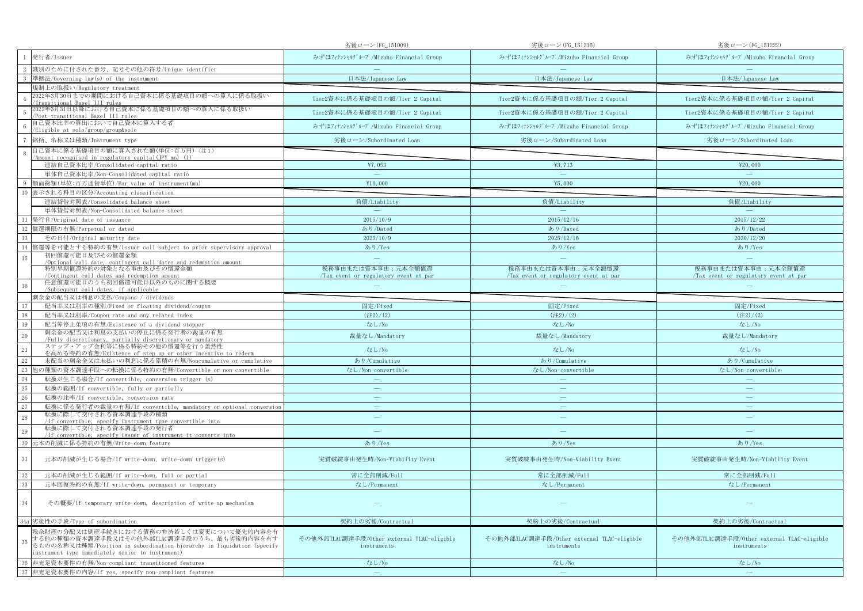|                                                                                                                                                                                                                             | 劣後ローン(FG_151009)                                          | 劣後ローン(FG_151216)                                          | 劣後ローン(FG_151222)                                          |
|-----------------------------------------------------------------------------------------------------------------------------------------------------------------------------------------------------------------------------|-----------------------------------------------------------|-----------------------------------------------------------|-----------------------------------------------------------|
| 発行者/Issuer                                                                                                                                                                                                                  | みずほフィナンシャルグループ/Mizuho Financial Group                     | みずほフィナンシャルグループ/Mizuho Financial Group                     | みずほフィナンシャルグループ/Mizuho Financial Group                     |
| 識別のために付された番号、記号その他の符号/Unique identifier                                                                                                                                                                                     |                                                           |                                                           |                                                           |
| 準拠法/Governing law(s) of the instrument                                                                                                                                                                                      | 日本法/Japanese Law                                          | 日本法/Japanese Law                                          | 日本法/Japanese Law                                          |
| 規制上の取扱い/Regulatory treatment                                                                                                                                                                                                |                                                           |                                                           |                                                           |
| 2022年3月30日までの期間における自己資本に係る基礎項目の額への算入に係る取扱い<br>Transitional Basel III rules                                                                                                                                                  | Tier2資本に係る基礎項目の額/Tier 2 Capital                           | Tier2資本に係る基礎項目の額/Tier 2 Capital                           | Tier2資本に係る基礎項目の額/Tier 2 Capital                           |
| 2022年3月31日以降における自己資本に係る基礎項目の額への算入に係る取扱い<br>Post-transitional Basel III rules                                                                                                                                                | Tier2資本に係る基礎項目の額/Tier 2 Capital                           | Tier2資本に係る基礎項目の額/Tier 2 Capital                           | Tier2資本に係る基礎項目の額/Tier 2 Capital                           |
| 自己資本比率の算出において自己資本に算入する者<br>/Eligible at solo/group/group&solo                                                                                                                                                               | みずほフィナンシャルグループ/Mizuho Financial Group                     | みずほフィナンシャルグループ/Mizuho Financial Group                     | みずほフィナンシャルグループ/Mizuho Financial Group                     |
| 銘柄、名称又は種類/Instrument type                                                                                                                                                                                                   | 劣後ローン/Subordinated Loan                                   | 劣後ローン/Subordinated Loan                                   | 劣後ローン/Subordinated Loan                                   |
| 自己資本に係る基礎項目の額に算入された額(単位:百万円)(注1)<br>-8                                                                                                                                                                                      |                                                           |                                                           |                                                           |
| Amount recognised in regulatory capital(JPY mn) (1)<br>連結自己資本比率/Consolidated capital ratio                                                                                                                                  | ¥7.053                                                    | ¥3.713                                                    | ¥20,000                                                   |
| 単体自己資本比率/Non-Consolidated capital ratio                                                                                                                                                                                     | $\hspace{0.1cm}$                                          | $\sim$                                                    | $\equiv$                                                  |
| 額面総額(単位:百万通貨単位)/Par value of instrument(mn)                                                                                                                                                                                 | ¥10,000                                                   | ¥5,000                                                    | ¥20,000                                                   |
| 表示される科目の区分/Accounting classification<br>10                                                                                                                                                                                  |                                                           |                                                           |                                                           |
| 連結貸借対照表/Consolidated balance sheet                                                                                                                                                                                          | 負債/Liability                                              | 負債/Liability                                              | 負債/Liability                                              |
| 単体貸借対照表/Non-Consolidated balance sheet                                                                                                                                                                                      | $\overline{\phantom{a}}$                                  | $\sim$                                                    | $\sim$                                                    |
| 発行日/Original date of issuance<br>11                                                                                                                                                                                         | 2015/10/9                                                 | 2015/12/16                                                | 2015/12/22                                                |
| 12 償還期限の有無/Perpetual or dated                                                                                                                                                                                               | あり/Dated                                                  | あり/Dated                                                  | あり/Dated                                                  |
| 13<br>その日付/Original maturity date                                                                                                                                                                                           | 2025/10/9                                                 | 2025/12/16                                                | 2030/12/20                                                |
| 償還等を可能とする特約の有無/Issuer call subject to prior supervisory approval<br>14                                                                                                                                                      | あり/Yes                                                    | あり/Yes                                                    | あり/Yes                                                    |
| 初回償還可能日及びその償還金額<br>15                                                                                                                                                                                                       | $\equiv$                                                  | $\frac{1}{2}$                                             | $\equiv$                                                  |
| /Optional call date, contingent call dates and redemption amount<br>特別早期償還特約の対象となる事由及びその償還金額                                                                                                                                | 税務事由または資本事由:元本全額償還                                        | 税務事由または資本事由:元本全額償還                                        | 税務事由または資本事由:元本全額償還                                        |
| Contingent call dates and redemption amount                                                                                                                                                                                 | Tax event or regulatory event at par                      | Tax event or regulatory event at par                      | Tax event or regulatory event at par                      |
| 任意償還可能日のうち初回償還可能日以外のものに関する概要<br>/Subsequent call dates, if applicable                                                                                                                                                       |                                                           |                                                           |                                                           |
| 剰余金の配当又は利息の支払/Coupons / dividends                                                                                                                                                                                           |                                                           |                                                           |                                                           |
| 配当率又は利率の種別/Fixed or floating dividend/coupon<br>17                                                                                                                                                                          | 固定/Fixed                                                  | 固定/Fixed                                                  | 固定/Fixed                                                  |
| 18<br>配当率又は利率/Coupon rate and any related index                                                                                                                                                                             | (22)/(2)                                                  | (22)/(2)                                                  | (22)/(2)                                                  |
| 19<br>配当等停止条項の有無/Existence of a dividend stopper                                                                                                                                                                            | なし/No                                                     | なし/No                                                     | なし/No                                                     |
| 剰余金の配当又は利息の支払いの停止に係る発行者の裁量の有無<br>20                                                                                                                                                                                         | 裁量なし/Mandatory                                            | 裁量なし/Mandatory                                            | 裁量なし/Mandatory                                            |
| Fully discretionary, partially discretionary or mandatory<br>ステップ・アップ金利等に係る特約その他の償還等を行う蓋然性<br>21                                                                                                                            | なし/No                                                     | なし/No                                                     | なし/No                                                     |
| を高める特約の有無/Existence of step up or other incentive to redeem<br>22<br>未配当の剰余金又は未払いの利息に係る累積の有無/Noncumulative or cumulative                                                                                                    | あり/Cumulative                                             | あり/Cumulative                                             | あり/Cumulative                                             |
| 23<br>也の種類の資本調達手段への転換に係る特約の有無/Convertible or non-convertible                                                                                                                                                                | なし/Non-convertible                                        | なし/Non-convertible                                        | なし/Non-convertible                                        |
| 24<br>転換が生じる場合/If convertible, conversion trigger (s)                                                                                                                                                                       | $\sim$                                                    |                                                           | $\sim$                                                    |
| 25<br>転換の範囲/If convertible, fully or partially                                                                                                                                                                              | $\overline{\phantom{m}}$                                  | $\qquad \qquad =$                                         | $\qquad \qquad -$                                         |
| 26<br>転換の比率/If convertible, conversion rate                                                                                                                                                                                 | $\equiv$                                                  | $\equiv$                                                  | $\equiv$                                                  |
| 27<br>転換に係る発行者の裁量の有無/If convertible, mandatory or optional conversion                                                                                                                                                       | $\overline{\phantom{m}}$                                  | $\overline{\phantom{m}}$                                  | $\overline{\phantom{m}}$                                  |
| 転換に際して交付される資本調達手段の種類<br>28<br>/If convertible, specify instrument type convertible into                                                                                                                                     | $\overline{\phantom{a}}$                                  | $\frac{1}{2}$                                             | $\overline{\phantom{m}}$                                  |
| 転換に際して交付される資本調達手段の発行者<br>29                                                                                                                                                                                                 | $\overline{\phantom{a}}$                                  | $=$                                                       |                                                           |
| /If convertible, specify issuer of instrument it converts into<br>30<br> 元本の削減に係る特約の有無/Write-down feature                                                                                                                   | あり/Yes                                                    | あり/Yes                                                    | あり/Yes                                                    |
|                                                                                                                                                                                                                             |                                                           |                                                           |                                                           |
| 31<br>元本の削減が生じる場合/If write-down, write-down trigger(s)                                                                                                                                                                      | 実質破綻事由発生時/Non-Viability Event                             | 実質破綻事由発生時/Non-Viability Event                             | 実質破綻事由発生時/Non-Viability Event                             |
| $32\,$<br>元本の削減が生じる範囲/If write-down, full or partial                                                                                                                                                                        | 常に全部削減/Full                                               | 常に全部削減/Full                                               | 常に全部削減/Full                                               |
| 33<br>元本回復特約の有無/If write-down, permanent or temporary                                                                                                                                                                       | なし/Permanent                                              | なし/Permanent                                              | なし/Permanent                                              |
| 34<br>その概要/If temporary write-down, description of write-up mechanism                                                                                                                                                       |                                                           |                                                           |                                                           |
| 34a 劣後性の手段/Type of subordination                                                                                                                                                                                            | 契約上の劣後/Contractual                                        | 契約上の劣後/Contractual                                        | 契約上の劣後/Contractual                                        |
| 残余財産の分配又は倒産手続きにおける債務の弁済若しくは変更について優先的内容を有<br>する他の種類の資本調達手段又はその他外部TLAC調達手段のうち、最も劣後的内容を有す<br>35<br>るものの名称又は種類/Position in subordination hierarchy in liquidation (specify<br>instrument type immediately senior to instrument) | その他外部TLAC調達手段/Other external TLAC-eligible<br>instruments | その他外部TLAC調達手段/Other external TLAC-eligible<br>instruments | その他外部TLAC調達手段/Other external TLAC-eligible<br>instruments |
| 非充足資本要件の有無/Non-compliant transitioned features<br>36                                                                                                                                                                        | なし/No                                                     | なし/No                                                     | なし/No                                                     |
| 37 非充足資本要件の内容/If yes, specify non-compliant features                                                                                                                                                                        | $\sim$                                                    | $\sim$                                                    | $\equiv$                                                  |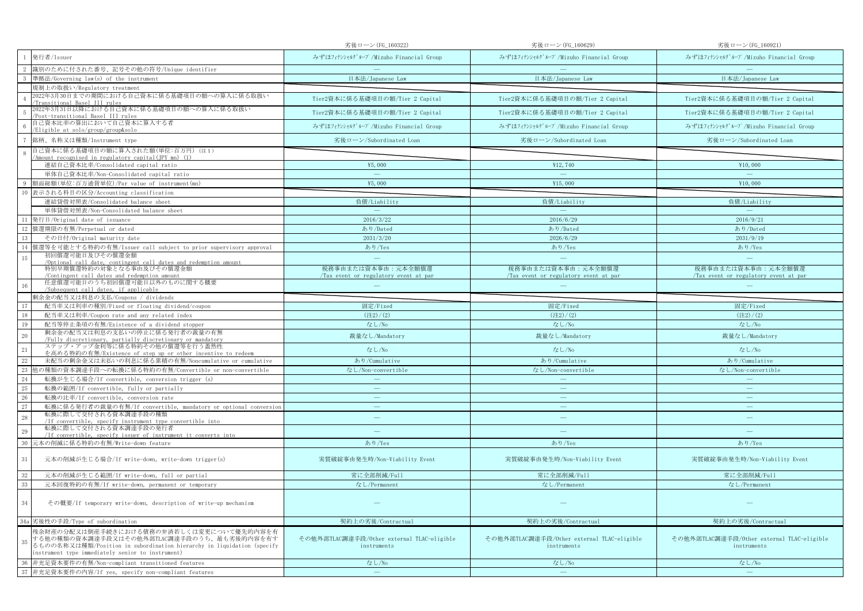|                                                                                                                                                                                                                             | 劣後ローン(FG_160322)                                          | 劣後ローン(FG_160629)                                          | 劣後ローン(FG_160921)                                          |
|-----------------------------------------------------------------------------------------------------------------------------------------------------------------------------------------------------------------------------|-----------------------------------------------------------|-----------------------------------------------------------|-----------------------------------------------------------|
| 発行者/Issuer                                                                                                                                                                                                                  | みずほフィナンシャルグループ/Mizuho Financial Group                     | みずほフィナンシャルグループ/Mizuho Financial Group                     | みずほフィナンシャルグループ/Mizuho Financial Group                     |
| 識別のために付された番号、記号その他の符号/Unique identifier                                                                                                                                                                                     |                                                           |                                                           |                                                           |
| 準拠法/Governing law(s) of the instrument                                                                                                                                                                                      | 日本法/Japanese Law                                          | 日本法/Japanese Law                                          | 日本法/Japanese Law                                          |
| 見制上の取扱い/Regulatory treatment                                                                                                                                                                                                |                                                           |                                                           |                                                           |
| 2022年3月30日までの期間における自己資本に係る基礎項目の額への算入に係る取扱い<br><u>Fransitional Basel III rules</u>                                                                                                                                           | Tier2資本に係る基礎項目の額/Tier 2 Capital                           | Tier2資本に係る基礎項目の額/Tier 2 Capital                           | Tier2資本に係る基礎項目の額/Tier 2 Capital                           |
| 2022年3月31日以降における自己資本に係る基礎項目の額への算入に係る取扱い<br>Post-transitional Basel III rules                                                                                                                                                | Tier2資本に係る基礎項目の額/Tier 2 Capital                           | Tier2資本に係る基礎項目の額/Tier 2 Capital                           | Tier2資本に係る基礎項目の額/Tier 2 Capital                           |
| 自己資本比率の算出において自己資本に算入する者<br>Eligible at solo/group/group&solo                                                                                                                                                                | みずほフィナンシャルグループ/Mizuho Financial Group                     | みずほフィナンシャルグループ/Mizuho Financial Group                     | みずほフィナンシャルグループ/Mizuho Financial Group                     |
| 銘柄、名称又は種類/Instrument type                                                                                                                                                                                                   | 劣後ローン/Subordinated Loan                                   | 劣後ローン/Subordinated Loan                                   | 劣後ローン/Subordinated Loan                                   |
| 自己資本に係る基礎項目の額に算入された額(単位:百万円)(注1)<br>Amount recognised in regulatory capital(JPY mn) (1)                                                                                                                                     |                                                           |                                                           |                                                           |
| 連結自己資本比率/Consolidated capital ratio                                                                                                                                                                                         | ¥5,000                                                    | ¥12,740                                                   | ¥10,000                                                   |
| 単体自己資本比率/Non-Consolidated capital ratio                                                                                                                                                                                     | $\overline{\phantom{a}}$                                  | $\sim$                                                    | $\equiv$                                                  |
| 頁面総額(単位:百万通貨単位)/Par value of instrument(mn)                                                                                                                                                                                 | ¥5,000                                                    | ¥15,000                                                   | ¥10,000                                                   |
| 表示される科目の区分/Accounting classification<br>10                                                                                                                                                                                  |                                                           |                                                           |                                                           |
| 連結貸借対照表/Consolidated balance sheet                                                                                                                                                                                          | 負債/Liability                                              | 負債/Liability                                              | 負債/Liability                                              |
| 単体貸借対照表/Non-Consolidated balance sheet                                                                                                                                                                                      | $\sim$                                                    | $\sim$                                                    | <b>Contract Contract Contract</b>                         |
| 11<br>発行日/Original date of issuance                                                                                                                                                                                         | 2016/3/22                                                 | 2016/6/29                                                 | 2016/9/21                                                 |
| 12<br>償還期限の有無/Perpetual or dated                                                                                                                                                                                            | あり/Dated                                                  | あり/Dated                                                  | あり/Dated                                                  |
| 13<br>その日付/Original maturity date                                                                                                                                                                                           | 2031/3/20                                                 | 2026/6/29                                                 | 2031/9/19                                                 |
| 償還等を可能とする特約の有無/Issuer call subject to prior supervisory approval<br>14                                                                                                                                                      | あり/Yes                                                    | あり/Yes                                                    | あり/Yes                                                    |
| 初回償還可能日及びその償還金額<br>15                                                                                                                                                                                                       | $\equiv$                                                  | $\equiv$                                                  | $\equiv$                                                  |
| /Optional call date, contingent call dates and redemption amount<br>特別早期償還特約の対象となる事由及びその償還金額                                                                                                                                | 税務事由または資本事由:元本全額償還                                        | 税務事由または資本事由:元本全額償還                                        | 税務事由または資本事由:元本全額償還                                        |
| Contingent call dates and redemption amount<br>任意償還可能日のうち初回償還可能日以外のものに関する概要<br>16                                                                                                                                           | Tax event or regulatory event at par                      | Tax event or regulatory event at par                      | Tax event or regulatory event at par                      |
| /Subsequent call dates, if applicable                                                                                                                                                                                       |                                                           |                                                           |                                                           |
| 剰余金の配当又は利息の支払/Coupons / dividends                                                                                                                                                                                           |                                                           |                                                           |                                                           |
| 17<br>配当率又は利率の種別/Fixed or floating dividend/coupon                                                                                                                                                                          | 固定/Fixed                                                  | 固定/Fixed                                                  | 固定/Fixed                                                  |
| 18<br>配当率又は利率/Coupon rate and any related index                                                                                                                                                                             | $(\pm 2) / (2)$                                           | (22)/(2)                                                  | (22)/(2)                                                  |
| 19<br>配当等停止条項の有無/Existence of a dividend stopper<br>剰余金の配当又は利息の支払いの停止に係る発行者の裁量の有無                                                                                                                                           | なし/No                                                     | なし/No                                                     | なし/No                                                     |
| 20<br>/Fully discretionary, partially discretionary or mandatory                                                                                                                                                            | 裁量なし/Mandatory                                            | 裁量なし/Mandatory                                            | 裁量なし/Mandatory                                            |
| ステップ・アップ金利等に係る特約その他の償還等を行う蓋然性<br>21<br>を高める特約の有無/Existence of step up or other incentive to redeem                                                                                                                          | なし/No                                                     | なし/No                                                     | なし/No                                                     |
| 22<br>未配当の剰余金又は未払いの利息に係る累積の有無/Noncumulative or cumulative                                                                                                                                                                   | あり/Cumulative                                             | あり/Cumulative                                             | あり/Cumulative                                             |
| 23<br>』の種類の資本調達手段への転換に係る特約の有無/Convertible or non-convertible                                                                                                                                                                | なし/Non-convertible                                        | なし/Non-convertible                                        | なし/Non-convertible                                        |
| 24<br>転換が生じる場合/If convertible, conversion trigger (s)                                                                                                                                                                       | $\equiv$                                                  |                                                           |                                                           |
| 25<br>転換の範囲/If convertible, fully or partially                                                                                                                                                                              | $\equiv$                                                  |                                                           | $\overline{\phantom{m}}$                                  |
| 26<br>転換の比率/If convertible, conversion rate                                                                                                                                                                                 |                                                           |                                                           | $\frac{1}{2}$                                             |
| $27\,$<br>転換に係る発行者の裁量の有無/If convertible, mandatory or optional conversion                                                                                                                                                   | $\qquad \qquad =$                                         | $\qquad \qquad \longleftarrow$                            | $\overline{\phantom{m}}$                                  |
| 転換に際して交付される資本調達手段の種類<br>28<br>/If convertible, specify instrument type convertible into                                                                                                                                     | $\overline{\phantom{m}}$                                  | ÷.                                                        | $\overline{\phantom{m}}$                                  |
| 転換に際して交付される資本調達手段の発行者<br>29<br>/If convertible, specify issuer of instrument it converts into                                                                                                                               | ÷                                                         | $\overline{\phantom{m}}$                                  |                                                           |
| 30<br>元本の削減に係る特約の有無/Write-down feature                                                                                                                                                                                      | あり/Yes                                                    | あり/Yes                                                    | あり/Yes                                                    |
| 31<br>元本の削減が生じる場合/If write-down, write-down trigger(s)                                                                                                                                                                      | 実質破綻事由発生時/Non-Viability Event                             | 実質破綻事由発生時/Non-Viability Event                             | 実質破綻事由発生時/Non-Viability Event                             |
| 32<br>元本の削減が生じる範囲/If write-down, full or partial                                                                                                                                                                            | 常に全部削減/Full                                               | 常に全部削減/Full                                               | 常に全部削減/Full                                               |
| 33<br>元本回復特約の有無/If write-down, permanent or temporary                                                                                                                                                                       | なし/Permanent                                              | なし/Permanent                                              | なし/Permanent                                              |
| 34<br>その概要/If temporary write-down, description of write-up mechanism                                                                                                                                                       |                                                           |                                                           |                                                           |
| 34a 劣後性の手段/Type of subordination                                                                                                                                                                                            | 契約上の劣後/Contractual                                        | 契約上の劣後/Contractual                                        | 契約上の劣後/Contractual                                        |
| 残余財産の分配又は倒産手続きにおける債務の弁済若しくは変更について優先的内容を有<br>する他の種類の資本調達手段又はその他外部TLAC調達手段のうち、最も劣後的内容を有す<br>35<br>るものの名称又は種類/Position in subordination hierarchy in liquidation (specify<br>instrument type immediately senior to instrument) | その他外部TLAC調達手段/Other external TLAC-eligible<br>instruments | その他外部TLAC調達手段/Other external TLAC-eligible<br>instruments | その他外部TLAC調達手段/Other external TLAC-eligible<br>instruments |
| 36<br>非充足資本要件の有無/Non-compliant transitioned features                                                                                                                                                                        | なし/No                                                     | なし/No                                                     | なし/No                                                     |
| 37 非充足資本要件の内容/If yes, specify non-compliant features                                                                                                                                                                        | $\sim$                                                    | $\overline{\phantom{a}}$                                  | $\equiv$                                                  |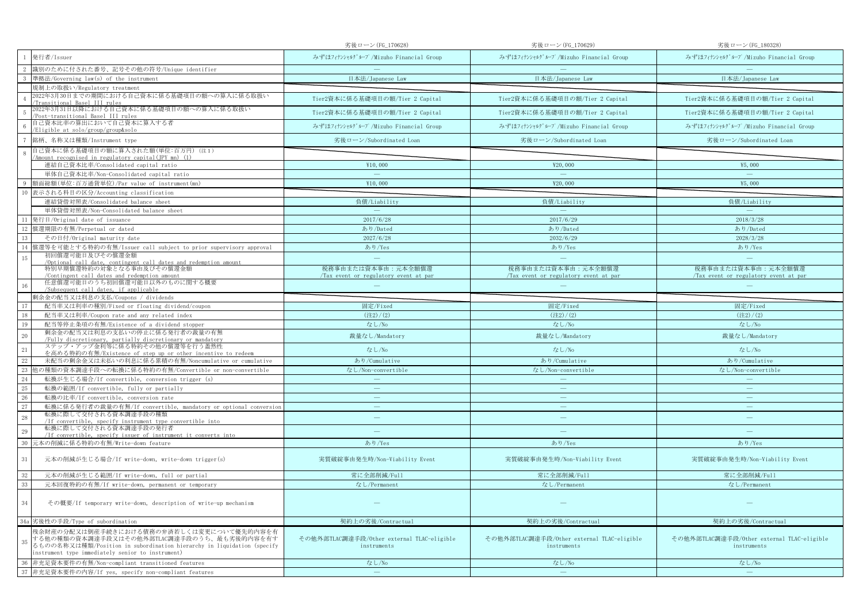|                                                                                                                                                                                                                             | 劣後ローン(FG_170628)                                          | 劣後ローン(FG_170629)                                          | 劣後ローン(FG_180328)                                          |
|-----------------------------------------------------------------------------------------------------------------------------------------------------------------------------------------------------------------------------|-----------------------------------------------------------|-----------------------------------------------------------|-----------------------------------------------------------|
| 発行者/Issuer                                                                                                                                                                                                                  | みずほフィナンシャルグループ/Mizuho Financial Group                     | みずほフィナンシャルグループ/Mizuho Financial Group                     | みずほフィナンシャルグループ/Mizuho Financial Group                     |
| 識別のために付された番号、記号その他の符号/Unique identifier                                                                                                                                                                                     |                                                           |                                                           |                                                           |
| 準拠法/Governing law(s) of the instrument                                                                                                                                                                                      | 日本法/Japanese Law                                          | 日本法/Japanese Law                                          | 日本法/Japanese Law                                          |
| 規制上の取扱い/Regulatory treatment                                                                                                                                                                                                |                                                           |                                                           |                                                           |
| 2022年3月30日までの期間における自己資本に係る基礎項目の額への算入に係る取扱い<br>Transitional Basel III rules                                                                                                                                                  | Tier2資本に係る基礎項目の額/Tier 2 Capital                           | Tier2資本に係る基礎項目の額/Tier 2 Capital                           | Tier2資本に係る基礎項目の額/Tier 2 Capital                           |
| 2022年3月31日以降における自己資本に係る基礎項目の額への算入に係る取扱い<br>Post-transitional Basel III rules                                                                                                                                                | Tier2資本に係る基礎項目の額/Tier 2 Capital                           | Tier2資本に係る基礎項目の額/Tier 2 Capital                           | Tier2資本に係る基礎項目の額/Tier 2 Capital                           |
| 自己資本比率の算出において自己資本に算入する者<br>/Eligible at solo/group/group&solo                                                                                                                                                               | みずほフィナンシャルグループ/Mizuho Financial Group                     | みずほフィナンシャルグループ/Mizuho Financial Group                     | みずほフィナンシャルグループ/Mizuho Financial Group                     |
| 銘柄、名称又は種類/Instrument type                                                                                                                                                                                                   | 劣後ローン/Subordinated Loan                                   | 劣後ローン/Subordinated Loan                                   | 劣後ローン/Subordinated Loan                                   |
| 自己資本に係る基礎項目の額に算入された額(単位:百万円)(注1)<br>-8<br>Amount recognised in regulatory capital(JPY mn) (1)                                                                                                                               |                                                           |                                                           |                                                           |
| 連結自己資本比率/Consolidated capital ratio                                                                                                                                                                                         | ¥10,000                                                   | ¥20,000                                                   | ¥5,000                                                    |
| 単体自己資本比率/Non-Consolidated capital ratio                                                                                                                                                                                     | $\hspace{0.1cm}$                                          | $\sim$                                                    | $\equiv$                                                  |
| 額面総額(単位:百万通貨単位)/Par value of instrument(mn)                                                                                                                                                                                 | ¥10,000                                                   | ¥20,000                                                   | ¥5,000                                                    |
| 表示される科目の区分/Accounting classification<br>10                                                                                                                                                                                  |                                                           |                                                           |                                                           |
| 連結貸借対照表/Consolidated balance sheet                                                                                                                                                                                          | 負債/Liability                                              | 負債/Liability                                              | 負債/Liability                                              |
| 単体貸借対照表/Non-Consolidated balance sheet                                                                                                                                                                                      | $\overline{\phantom{a}}$                                  | المستدر                                                   | $\sim$                                                    |
| 発行日/Original date of issuance<br>11                                                                                                                                                                                         | 2017/6/28                                                 | 2017/6/29                                                 | 2018/3/28                                                 |
| 12 償還期限の有無/Perpetual or dated                                                                                                                                                                                               | あり/Dated                                                  | あり/Dated                                                  | あり/Dated                                                  |
| 13<br>その日付/Original maturity date                                                                                                                                                                                           | 2027/6/28                                                 | 2032/6/29                                                 | 2028/3/28                                                 |
| 償還等を可能とする特約の有無/Issuer call subject to prior supervisory approval<br>14                                                                                                                                                      | あり/Yes                                                    | あり/Yes                                                    | あり/Yes                                                    |
| 初回償還可能日及びその償還金額<br>15                                                                                                                                                                                                       | $\equiv$                                                  | $\frac{1}{2}$                                             | $\equiv$                                                  |
| /Optional call date, contingent call dates and redemption amount<br>特別早期償還特約の対象となる事由及びその償還金額                                                                                                                                | 税務事由または資本事由:元本全額償還                                        | 税務事由または資本事由:元本全額償還                                        | 税務事由または資本事由:元本全額償還                                        |
| Contingent call dates and redemption amount                                                                                                                                                                                 | Tax event or regulatory event at par                      | Tax event or regulatory event at par                      | Tax event or regulatory event at par                      |
| 任意償還可能日のうち初回償還可能日以外のものに関する概要<br>/Subsequent call dates, if applicable                                                                                                                                                       |                                                           |                                                           |                                                           |
| 剰余金の配当又は利息の支払/Coupons / dividends                                                                                                                                                                                           |                                                           |                                                           |                                                           |
| 配当率又は利率の種別/Fixed or floating dividend/coupon<br>17                                                                                                                                                                          | 固定/Fixed                                                  | 固定/Fixed                                                  | 固定/Fixed                                                  |
| 18<br>配当率又は利率/Coupon rate and any related index                                                                                                                                                                             | (22)/(2)                                                  | (22)/(2)                                                  | (22)/(2)                                                  |
| 19<br>配当等停止条項の有無/Existence of a dividend stopper                                                                                                                                                                            | なし/No                                                     | なし/No                                                     | なし/No                                                     |
| 剰余金の配当又は利息の支払いの停止に係る発行者の裁量の有無<br>20                                                                                                                                                                                         | 裁量なし/Mandatory                                            | 裁量なし/Mandatory                                            | 裁量なし/Mandatory                                            |
| Fully discretionary, partially discretionary or mandatory<br>ステップ・アップ金利等に係る特約その他の償還等を行う蓋然性<br>21                                                                                                                            | なし/No                                                     | なし/No                                                     | なし/No                                                     |
| を高める特約の有無/Existence of step up or other incentive to redeem<br>22<br>未配当の剰余金又は未払いの利息に係る累積の有無/Noncumulative or cumulative                                                                                                    | あり/Cumulative                                             | あり/Cumulative                                             | あり/Cumulative                                             |
| 23<br>也の種類の資本調達手段への転換に係る特約の有無/Convertible or non-convertible                                                                                                                                                                | なし/Non-convertible                                        | なし/Non-convertible                                        | なし/Non-convertible                                        |
| 24<br>転換が生じる場合/If convertible, conversion trigger (s)                                                                                                                                                                       | $\sim$                                                    |                                                           | $\sim$                                                    |
| 25<br>転換の範囲/If convertible, fully or partially                                                                                                                                                                              | $\overline{\phantom{m}}$                                  | $\qquad \qquad =$                                         | $\qquad \qquad -$                                         |
| 26<br>転換の比率/If convertible, conversion rate                                                                                                                                                                                 | $\equiv$                                                  | $\equiv$                                                  | $\equiv$                                                  |
| 27<br>転換に係る発行者の裁量の有無/If convertible, mandatory or optional conversion                                                                                                                                                       | $\overline{\phantom{m}}$                                  | $\overline{\phantom{m}}$                                  | $\overline{\phantom{m}}$                                  |
| 転換に際して交付される資本調達手段の種類<br>28<br>/If convertible, specify instrument type convertible into                                                                                                                                     | $\overline{\phantom{a}}$                                  | $\frac{1}{2}$                                             | $\overline{\phantom{m}}$                                  |
| 転換に際して交付される資本調達手段の発行者<br>29                                                                                                                                                                                                 | $\overline{\phantom{a}}$                                  | $=$                                                       |                                                           |
| /If convertible, specify issuer of instrument it converts into<br>30<br> 元本の削減に係る特約の有無/Write-down feature                                                                                                                   | あり/Yes                                                    | あり/Yes                                                    | あり/Yes                                                    |
|                                                                                                                                                                                                                             |                                                           |                                                           |                                                           |
| 31<br>元本の削減が生じる場合/If write-down, write-down trigger(s)                                                                                                                                                                      | 実質破綻事由発生時/Non-Viability Event                             | 実質破綻事由発生時/Non-Viability Event                             | 実質破綻事由発生時/Non-Viability Event                             |
| $32\,$<br>元本の削減が生じる範囲/If write-down, full or partial                                                                                                                                                                        | 常に全部削減/Full                                               | 常に全部削減/Full                                               | 常に全部削減/Full                                               |
| 33<br>元本回復特約の有無/If write-down, permanent or temporary                                                                                                                                                                       | なし/Permanent                                              | なし/Permanent                                              | なし/Permanent                                              |
| 34<br>その概要/If temporary write-down, description of write-up mechanism                                                                                                                                                       |                                                           |                                                           |                                                           |
| 34a 劣後性の手段/Type of subordination                                                                                                                                                                                            | 契約上の劣後/Contractual                                        | 契約上の劣後/Contractual                                        | 契約上の劣後/Contractual                                        |
| 残余財産の分配又は倒産手続きにおける債務の弁済若しくは変更について優先的内容を有<br>する他の種類の資本調達手段又はその他外部TLAC調達手段のうち、最も劣後的内容を有す<br>35<br>るものの名称又は種類/Position in subordination hierarchy in liquidation (specify<br>instrument type immediately senior to instrument) | その他外部TLAC調達手段/Other external TLAC-eligible<br>instruments | その他外部TLAC調達手段/Other external TLAC-eligible<br>instruments | その他外部TLAC調達手段/Other external TLAC-eligible<br>instruments |
| 非充足資本要件の有無/Non-compliant transitioned features<br>36                                                                                                                                                                        | なし/No                                                     | なし/No                                                     | なし/No                                                     |
| 37 非充足資本要件の内容/If yes, specify non-compliant features                                                                                                                                                                        | $\sim$                                                    | $\sim$                                                    | $\equiv$                                                  |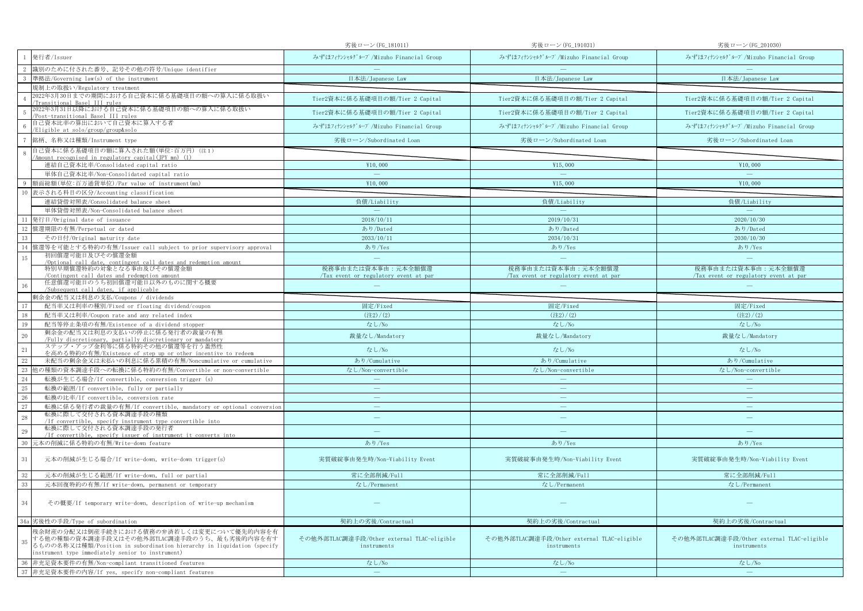|                                                                                                                                                                                                                             | 劣後ローン(FG_181011)                                           | 劣後ローン(FG_191031)                                           | 劣後ローン(FG_201030)                                           |
|-----------------------------------------------------------------------------------------------------------------------------------------------------------------------------------------------------------------------------|------------------------------------------------------------|------------------------------------------------------------|------------------------------------------------------------|
| 発行者/Issuer                                                                                                                                                                                                                  | みずほフィナンシャルグループ/Mizuho Financial Group                      | みずほフィナンシャルグループ/Mizuho Financial Group                      | みずほフィナンシャルグループ/Mizuho Financial Group                      |
| 識別のために付された番号、記号その他の符号/Unique identifier                                                                                                                                                                                     |                                                            |                                                            |                                                            |
| 準拠法/Governing law(s) of the instrument                                                                                                                                                                                      | 日本法/Japanese Law                                           | 日本法/Japanese Law                                           | 日本法/Japanese Law                                           |
| 規制上の取扱い/Regulatory treatment                                                                                                                                                                                                |                                                            |                                                            |                                                            |
| 2022年3月30日までの期間における自己資本に係る基礎項目の額への算入に係る取扱い<br>Transitional Basel III rules                                                                                                                                                  | Tier2資本に係る基礎項目の額/Tier 2 Capital                            | Tier2資本に係る基礎項目の額/Tier 2 Capital                            | Tier2資本に係る基礎項目の額/Tier 2 Capital                            |
| 2022年3月31日以降における自己資本に係る基礎項目の額への算入に係る取扱い<br>Post-transitional Basel III rules                                                                                                                                                | Tier2資本に係る基礎項目の額/Tier 2 Capital                            | Tier2資本に係る基礎項目の額/Tier 2 Capital                            | Tier2資本に係る基礎項目の額/Tier 2 Capital                            |
| 自己資本比率の算出において自己資本に算入する者<br>/Eligible at solo/group/group&solo                                                                                                                                                               | みずほフィナンシャルグループ/Mizuho Financial Group                      | みずほフィナンシャルグループ/Mizuho Financial Group                      | みずほフィナンシャルグループ/Mizuho Financial Group                      |
| 銘柄、名称又は種類/Instrument type                                                                                                                                                                                                   | 劣後ローン/Subordinated Loan                                    | 劣後ローン/Subordinated Loan                                    | 劣後ローン/Subordinated Loan                                    |
| 自己資本に係る基礎項目の額に算入された額(単位:百万円)(注1)<br>-8<br>Amount recognised in regulatory capital(JPY mn) (1)                                                                                                                               |                                                            |                                                            |                                                            |
| 連結自己資本比率/Consolidated capital ratio                                                                                                                                                                                         | ¥10,000                                                    | ¥15,000                                                    | ¥10,000                                                    |
| 単体自己資本比率/Non-Consolidated capital ratio                                                                                                                                                                                     | $\hspace{0.1cm}$                                           | $\sim$                                                     | $\equiv$                                                   |
| 額面総額(単位:百万通貨単位)/Par value of instrument(mn)                                                                                                                                                                                 | ¥10,000                                                    | ¥15,000                                                    | ¥10,000                                                    |
| 表示される科目の区分/Accounting classification<br>10                                                                                                                                                                                  |                                                            |                                                            |                                                            |
| 連結貸借対照表/Consolidated balance sheet                                                                                                                                                                                          | 負債/Liability                                               | 負債/Liability                                               | 負債/Liability                                               |
| 単体貸借対照表/Non-Consolidated balance sheet                                                                                                                                                                                      | $\sim$                                                     | $\sim$                                                     | $\sim$                                                     |
| 発行日/Original date of issuance<br>11                                                                                                                                                                                         | 2018/10/11                                                 | 2019/10/31                                                 | 2020/10/30                                                 |
| 12 償還期限の有無/Perpetual or dated                                                                                                                                                                                               | あり/Dated                                                   | あり/Dated                                                   | あり/Dated                                                   |
| 13<br>その日付/Original maturity date                                                                                                                                                                                           | 2033/10/11                                                 | 2034/10/31                                                 | 2030/10/30                                                 |
| 償還等を可能とする特約の有無/Issuer call subject to prior supervisory approval<br>14                                                                                                                                                      | あり/Yes                                                     | あり/Yes                                                     | あり/Yes                                                     |
| 初回償還可能日及びその償還金額<br>15                                                                                                                                                                                                       | $\equiv$                                                   | $\frac{1}{2}$                                              | $\equiv$                                                   |
| /Optional call date, contingent call dates and redemption amount                                                                                                                                                            |                                                            |                                                            |                                                            |
| 特別早期償還特約の対象となる事由及びその償還金額<br>Contingent call dates and redemption amount                                                                                                                                                     | 税務事由または資本事由:元本全額償還<br>Tax event or regulatory event at par | 税務事由または資本事由:元本全額償還<br>Tax event or regulatory event at par | 税務事由または資本事由:元本全額償還<br>Tax event or regulatory event at par |
| 任意償還可能日のうち初回償還可能日以外のものに関する概要                                                                                                                                                                                                |                                                            |                                                            |                                                            |
| /Subsequent call dates, if applicable                                                                                                                                                                                       |                                                            |                                                            |                                                            |
| 剰余金の配当又は利息の支払/Coupons / dividends                                                                                                                                                                                           |                                                            |                                                            |                                                            |
| 配当率又は利率の種別/Fixed or floating dividend/coupon<br>17                                                                                                                                                                          | 固定/Fixed                                                   | 固定/Fixed                                                   | 固定/Fixed                                                   |
| 18<br>配当率又は利率/Coupon rate and any related index                                                                                                                                                                             | (22)/(2)                                                   | (22)/(2)                                                   | (22)/(2)                                                   |
| 19<br>配当等停止条項の有無/Existence of a dividend stopper<br>剰余金の配当又は利息の支払いの停止に係る発行者の裁量の有無                                                                                                                                           | なし/No                                                      | なし/No                                                      | なし/No                                                      |
| 20<br>Fully discretionary, partially discretionary or mandatory                                                                                                                                                             | 裁量なし/Mandatory                                             | 裁量なし/Mandatory                                             | 裁量なし/Mandatory                                             |
| ステップ・アップ金利等に係る特約その他の償還等を行う蓋然性<br>21<br>を高める特約の有無/Existence of step up or other incentive to redeem                                                                                                                          | なし/No                                                      | なし/No                                                      | なし/No                                                      |
| 22<br>未配当の剰余金又は未払いの利息に係る累積の有無/Noncumulative or cumulative                                                                                                                                                                   | あり/Cumulative                                              | あり/Cumulative                                              | あり/Cumulative                                              |
| 23<br>也の種類の資本調達手段への転換に係る特約の有無/Convertible or non-convertible                                                                                                                                                                | なし/Non-convertible                                         | なし/Non-convertible                                         | なし/Non-convertible                                         |
| 24<br>転換が生じる場合/If convertible, conversion trigger (s)                                                                                                                                                                       | $\sim$                                                     |                                                            | $\sim$                                                     |
| 25<br>転換の範囲/If convertible, fully or partially                                                                                                                                                                              | $\overline{\phantom{m}}$                                   | $\qquad \qquad =$                                          | $\qquad \qquad -$                                          |
| 26<br>転換の比率/If convertible, conversion rate                                                                                                                                                                                 |                                                            | $\equiv$                                                   | $\equiv$                                                   |
| 27<br>転換に係る発行者の裁量の有無/If convertible, mandatory or optional conversion                                                                                                                                                       | $\overline{\phantom{m}}$                                   | $\qquad \qquad \longleftarrow$                             | $\overline{\phantom{m}}$                                   |
| 転換に際して交付される資本調達手段の種類<br>28<br>/If convertible, specify instrument type convertible into                                                                                                                                     | $\overline{\phantom{a}}$                                   | $\frac{1}{2}$                                              | $\overline{\phantom{m}}$                                   |
| 転換に際して交付される資本調達手段の発行者<br>29<br>/If convertible, specify issuer of instrument it converts into                                                                                                                               | $\overline{\phantom{a}}$                                   | $=$                                                        |                                                            |
| 30<br> 元本の削減に係る特約の有無/Write-down feature                                                                                                                                                                                     | あり/Yes                                                     | あり/Yes                                                     | あり/Yes                                                     |
| 31<br>元本の削減が生じる場合/If write-down, write-down trigger(s)                                                                                                                                                                      | 実質破綻事由発生時/Non-Viability Event                              | 実質破綻事由発生時/Non-Viability Event                              | 実質破綻事由発生時/Non-Viability Event                              |
|                                                                                                                                                                                                                             |                                                            |                                                            |                                                            |
| $32\,$<br>元本の削減が生じる範囲/If write-down, full or partial                                                                                                                                                                        | 常に全部削減/Full                                                | 常に全部削減/Full                                                | 常に全部削減/Full                                                |
| 33<br>元本回復特約の有無/If write-down, permanent or temporary                                                                                                                                                                       | なし/Permanent                                               | なし/Permanent                                               | なし/Permanent                                               |
| 34<br>その概要/If temporary write-down, description of write-up mechanism                                                                                                                                                       |                                                            |                                                            |                                                            |
| 34a 劣後性の手段/Type of subordination                                                                                                                                                                                            | 契約上の劣後/Contractual                                         | 契約上の劣後/Contractual                                         | 契約上の劣後/Contractual                                         |
| 残余財産の分配又は倒産手続きにおける債務の弁済若しくは変更について優先的内容を有<br>する他の種類の資本調達手段又はその他外部TLAC調達手段のうち、最も劣後的内容を有す<br>35<br>るものの名称又は種類/Position in subordination hierarchy in liquidation (specify<br>instrument type immediately senior to instrument) | その他外部TLAC調達手段/Other external TLAC-eligible<br>instruments  | その他外部TLAC調達手段/Other external TLAC-eligible<br>instruments  | その他外部TLAC調達手段/Other external TLAC-eligible<br>instruments  |
| 非充足資本要件の有無/Non-compliant transitioned features<br>36                                                                                                                                                                        | なし/No                                                      | なし/No                                                      | なし/No                                                      |
| 37 非充足資本要件の内容/If yes, specify non-compliant features                                                                                                                                                                        | $\sim$                                                     | $\sim$                                                     | $\equiv$                                                   |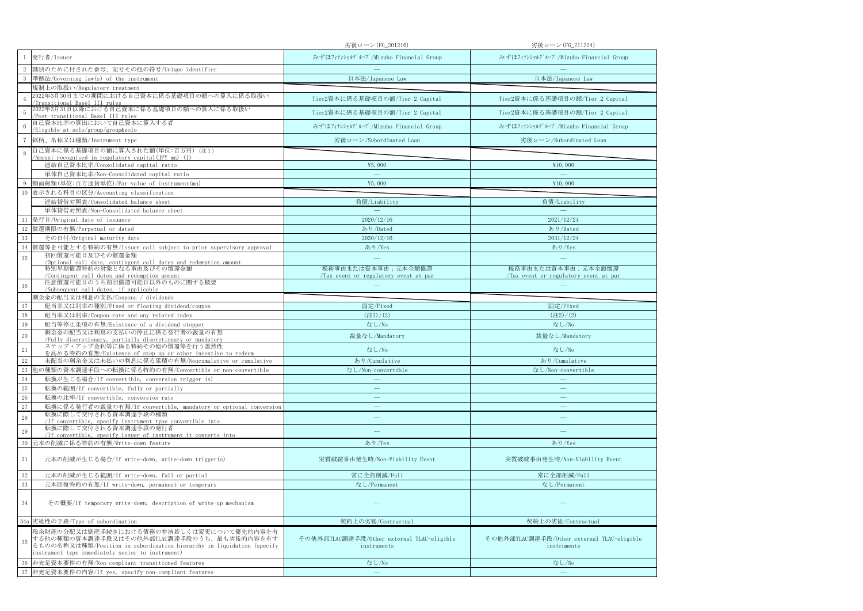|                |                                                                                                                                                                                                                       | 劣後ローン(FG_201216)                                          | 劣後ローン(FG_211224)                                          |
|----------------|-----------------------------------------------------------------------------------------------------------------------------------------------------------------------------------------------------------------------|-----------------------------------------------------------|-----------------------------------------------------------|
|                | 発行者/Issuer                                                                                                                                                                                                            | みずほフィナンシャルグループ/Mizuho Financial Group                     | みずほフィナンシャルグループ/Mizuho Financial Group                     |
|                | 識別のために付された番号、記号その他の符号/Unique identifier                                                                                                                                                                               |                                                           |                                                           |
| 3              | 準拠法/Governing law(s) of the instrument                                                                                                                                                                                | 日本法/Japanese Law                                          | 日本法/Japanese Law                                          |
|                | 規制上の取扱い/Regulatory treatment                                                                                                                                                                                          |                                                           |                                                           |
| $\overline{4}$ | 2022年3月30日までの期間における自己資本に係る基礎項目の額への算入に係る取扱い<br>/Transitional Basel III rules<br>2022年3月31日以降における自己資本に係る基礎項目の額への算入に係る取扱い                                                                                                | Tier2資本に係る基礎項目の額/Tier 2 Capital                           | Tier2資本に係る基礎項目の額/Tier 2 Capital                           |
| $\sqrt{5}$     | /Post-transitional Basel III rules                                                                                                                                                                                    | Tier2資本に係る基礎項目の額/Tier 2 Capital                           | Tier2資本に係る基礎項目の額/Tier 2 Capital                           |
| $\,6\,$        | 自己資本比率の算出において自己資本に算入する者<br>Eligible at solo/group/group&solo                                                                                                                                                          | みずほフィナンシャルグループ/Mizuho Financial Group                     | みずほフィナンシャルグループ/Mizuho Financial Group                     |
| $\tau$         | 銘柄、名称又は種類/Instrument type                                                                                                                                                                                             | 劣後ローン/Subordinated Loan                                   | 劣後ローン/Subordinated Loan                                   |
| $\,8\,$        | 自己資本に係る基礎項目の額に算入された額(単位:百万円) (注1)<br>/Amount recognised in regulatory capital(JPY mn) (1)                                                                                                                             |                                                           |                                                           |
|                | 連結自己資本比率/Consolidated capital ratio                                                                                                                                                                                   | ¥5,000                                                    | ¥10,000                                                   |
|                | 単体自己資本比率/Non-Consolidated capital ratio                                                                                                                                                                               | $\sim$                                                    | $\sim$                                                    |
| 9              | 額面総額(単位:百万通貨単位)/Par value of instrument(mn)                                                                                                                                                                           | ¥5,000                                                    | ¥10,000                                                   |
|                | 10 表示される科目の区分/Accounting classification                                                                                                                                                                               |                                                           |                                                           |
|                | 連結貸借対照表/Consolidated balance sheet                                                                                                                                                                                    | 負債/Liability                                              | 負債/Liability                                              |
|                | 単体貸借対照表/Non-Consolidated balance sheet                                                                                                                                                                                | $\sim$                                                    |                                                           |
| 11             | 発行日/Original date of issuance                                                                                                                                                                                         | 2020/12/16                                                | 2021/12/24                                                |
| 12             | 償還期限の有無/Perpetual or dated                                                                                                                                                                                            | あり/Dated                                                  | あり/Dated                                                  |
| 13             | その日付/Original maturity date                                                                                                                                                                                           | 2030/12/16                                                | 2031/12/24                                                |
| 14             | 償還等を可能とする特約の有無/Issuer call subject to prior supervisory approval                                                                                                                                                      | あり/Yes                                                    | あり/Yes                                                    |
| 15             | 初回償還可能日及びその償還金額                                                                                                                                                                                                       |                                                           |                                                           |
|                | /Optional call date, contingent call dates and redemption amount<br>特別早期償還特約の対象となる事由及びその償還金額                                                                                                                          | 税務事由または資本事由:元本全額償還                                        | 税務事由または資本事由:元本全額償還                                        |
| 16             | /Contingent call dates and redemption amount<br>任意償還可能日のうち初回償還可能日以外のものに関する概要<br>/Subsequent call dates, if applicable                                                                                                 | Tax event or regulatory event at par                      | Tax event or regulatory event at par                      |
|                | 剰余金の配当又は利息の支払/Coupons / dividends                                                                                                                                                                                     |                                                           |                                                           |
| 17             | 配当率又は利率の種別/Fixed or floating dividend/coupon                                                                                                                                                                          | 固定/Fixed                                                  | 固定/Fixed                                                  |
| $18\,$         | 配当率又は利率/Coupon rate and any related index                                                                                                                                                                             | $(\pm 2)/(2)$                                             | $(\pm 2)/(2)$                                             |
| $19\,$         | 配当等停止条項の有無/Existence of a dividend stopper                                                                                                                                                                            | なし/No                                                     | なし/No                                                     |
| $20\,$         | 剰余金の配当又は利息の支払いの停止に係る発行者の裁量の有無                                                                                                                                                                                         | 裁量なし/Mandatory                                            | 裁量なし/Mandatory                                            |
|                | /Fully discretionary, partially discretionary or mandatory<br>ステップ・アップ金利等に係る特約その他の償還等を行う蓋然性                                                                                                                           |                                                           |                                                           |
| $21\,$         | を高める特約の有無/Existence of step up or other incentive to redeem                                                                                                                                                           | なし/No                                                     | なし/No                                                     |
| 22             | 未配当の剰余金又は未払いの利息に係る累積の有無/Noncumulative or cumulative                                                                                                                                                                   | あり/Cumulative                                             | あり/Cumulative                                             |
| 23             | 他の種類の資本調達手段への転換に係る特約の有無/Convertible or non-convertible                                                                                                                                                                | なし/Non-convertible                                        | なし/Non-convertible                                        |
| $\rm 24$       | 転換が生じる場合/If convertible, conversion trigger (s)                                                                                                                                                                       | $\equiv$                                                  | $\overline{\phantom{a}}$                                  |
| $25\,$         | 転換の範囲/If convertible, fully or partially                                                                                                                                                                              | $\equiv$                                                  | $\equiv$                                                  |
| $26\,$         | 転換の比率/If convertible, conversion rate                                                                                                                                                                                 | $\equiv$                                                  | $\equiv$                                                  |
| 27             | 転換に係る発行者の裁量の有無/If convertible, mandatory or optional conversion<br>転換に際して交付される資本調達手段の種類                                                                                                                               | $\equiv$                                                  |                                                           |
| 28             | /If convertible, specify instrument type convertible into                                                                                                                                                             | $\qquad \qquad \longleftarrow$                            |                                                           |
| 29             | 転換に際して交付される資本調達手段の発行者<br>/If convertible, specify issuer of instrument it converts into                                                                                                                               |                                                           |                                                           |
| 30             | 元本の削減に係る特約の有無/Write-down feature                                                                                                                                                                                      | あり/Yes                                                    | あり/Yes                                                    |
| $31\,$         | 元本の削減が生じる場合/If write-down, write-down trigger(s)                                                                                                                                                                      | 実質破綻事由発生時/Non-Viability Event                             | 実質破綻事由発生時/Non-Viability Event                             |
| $32\,$         | 元本の削減が生じる範囲/If write-down, full or partial                                                                                                                                                                            | 常に全部削減/Full                                               | 常に全部削減/Full                                               |
| 33             | 元本回復特約の有無/If write-down, permanent or temporary                                                                                                                                                                       | なし/Permanent                                              | なし/Permanent                                              |
| 34             | その概要/If temporary write-down, description of write-up mechanism                                                                                                                                                       |                                                           |                                                           |
|                | 34a 劣後性の手段/Type of subordination                                                                                                                                                                                      | 契約上の劣後/Contractual                                        | 契約上の劣後/Contractual                                        |
| 35             | 残余財産の分配又は倒産手続きにおける債務の弁済若しくは変更について優先的内容を有<br>する他の種類の資本調達手段又はその他外部TLAC調達手段のうち、最も劣後的内容を有す<br>るものの名称又は種類/Position in subordination hierarchy in liquidation (specify<br>instrument type immediately senior to instrument) | その他外部TLAC調達手段/Other external TLAC-eligible<br>instruments | その他外部TLAC調達手段/Other external TLAC-eligible<br>instruments |
| 36             | 非充足資本要件の有無/Non-compliant transitioned features                                                                                                                                                                        | なし/No                                                     | なし/No                                                     |
| 37             | 非充足資本要件の内容/If yes, specify non-compliant features                                                                                                                                                                     | $\overline{\phantom{m}}$                                  |                                                           |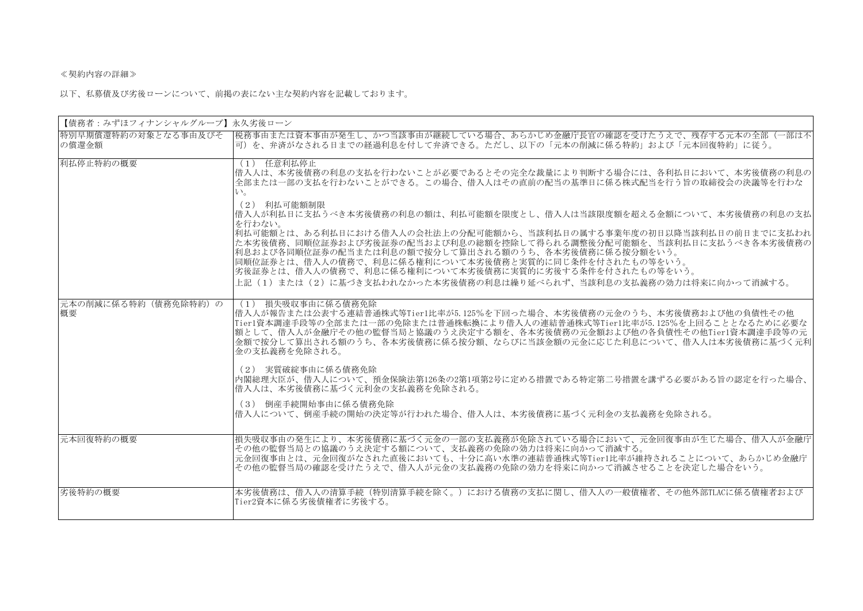## ≪契約内容の詳細≫

以下、私募債及び劣後ローンについて、前掲の表にない主な契約内容を記載しております。

| 【債務者:みずほフィナンシャルグループ】永久劣後ローン  |                                                                                                                                                                                                                                                                                                                                                                                                                                                                                                                                                                                                                                                                               |  |  |
|------------------------------|-------------------------------------------------------------------------------------------------------------------------------------------------------------------------------------------------------------------------------------------------------------------------------------------------------------------------------------------------------------------------------------------------------------------------------------------------------------------------------------------------------------------------------------------------------------------------------------------------------------------------------------------------------------------------------|--|--|
| 特別早期償還特約の対象となる事由及びそ<br>の償還金額 | 税務事由または資本事由が発生し、かつ当該事由が継続している場合、あらかじめ金融庁長官の確認を受けたうえで、残存する元本の全部(一部は不<br> 可)を、弁済がなされる日までの経過利息を付して弁済できる。ただし、以下の「元本の削減に係る特約」および「元本回復特約」に従う。                                                                                                                                                                                                                                                                                                                                                                                                                                                                                                                                       |  |  |
| 利払停止特約の概要                    | (1) 任意利払停止<br> 借入人は、本劣後債務の利息の支払を行わないことが必要であるとその完全な裁量により判断する場合には、各利払日において、本劣後債務の利息の<br> 全部または一部の支払を行わないことができる。この場合、借入人はその直前の配当の基準日に係る株式配当を行う旨の取締役会の決議等を行わな<br>$V_{\alpha}$<br>(2) 利払可能額制限<br> 借入人が利払日に支払うべき本劣後債務の利息の額は、利払可能額を限度とし、借入人は当該限度額を超える金額について、本劣後債務の利息の支払<br>を行わない。<br> 利払可能額とは、ある利払日における借入人の会社法上の分配可能額から、当該利払日の属する事業年度の初日以降当該利払日の前日までに支払われ<br>た本劣後債務、同順位証券および劣後証券の配当および利息の総額を控除して得られる調整後分配可能額を、当該利払日に支払うべき各本劣後債務の<br> 利息および各同順位証券の配当または利息の額で按分して算出される額のうち、各本劣後債務に係る按分額をいう。<br> 同順位証券とは、借入人の債務で、利息に係る権利について本劣後債務と実質的に同じ条件を付されたもの等をいう。<br> 劣後証券とは、借入人の債務で、利息に係る権利について本劣後債務に実質的に劣後する条件を付されたもの等をいう。<br> 上記(1)または(2)に基づき支払われなかった本劣後債務の利息は繰り延べられず、当該利息の支払義務の効力は将来に向かって消滅する。 |  |  |
| 元本の削減に係る特約(債務免除特約)の <br>概要   | (1) 損失吸収事由に係る債務免除<br> 借入人が報告または公表する連結普通株式等Tier1比率が5.125%を下回った場合、本劣後債務の元金のうち、本劣後債務および他の負債性その他<br> Tier1資本調達手段等の全部または一部の免除または普通株転換により借入人の連結普通株式等Tier1比率が5.125%を上回ることとなるために必要な<br> 額として、借入人が金融庁その他の監督当局と協議のうえ決定する額を、各本劣後債務の元金額および他の各負債性その他Tier1資本調達手段等の元<br> 金額で按分して算出される額のうち、各本劣後債務に係る按分額、ならびに当該金額の元金に応じた利息について、借入人は本劣後債務に基づく元利 <br>金の支払義務を免除される。<br>(2) 実質破綻事由に係る債務免除<br> 内閣総理大臣が、借入人について、預金保険法第126条の2第1項第2号に定める措置である特定第二号措置を講ずる必要がある旨の認定を行った場合、<br> 借入人は、本劣後債務に基づく元利金の支払義務を免除される。<br>(3) 倒産手続開始事由に係る債務免除<br> 借入人について、倒産手続の開始の決定等が行われた場合、借入人は、本劣後債務に基づく元利金の支払義務を免除される。                                                                                                         |  |  |
| 元本回復特約の概要                    | 損失吸収事由の発生により、本劣後債務に基づく元金の一部の支払義務が免除されている場合において、元金回復事由が生じた場合、借入人が金融庁<br>その他の監督当局との協議のうえ決定する額について、支払義務の免除の効力は将来に向かって消滅する。<br> 元金回復事由とは、元金回復がなされた直後においても、十分に高い水準の連結普通株式等Tier1比率が維持されることについて、あらかじめ金融庁<br> その他の監督当局の確認を受けたうえで、借入人が元金の支払義務の免除の効力を将来に向かって消滅させることを決定した場合をいう。                                                                                                                                                                                                                                                                                                                                                                                                          |  |  |
| 劣後特約の概要                      | 本劣後債務は、借入人の清算手続(特別清算手続を除く。)における債務の支払に関し、借入人の一般債権者、その他外部TLACに係る債権者および<br>Tier2資本に係る劣後債権者に劣後する。                                                                                                                                                                                                                                                                                                                                                                                                                                                                                                                                                                                 |  |  |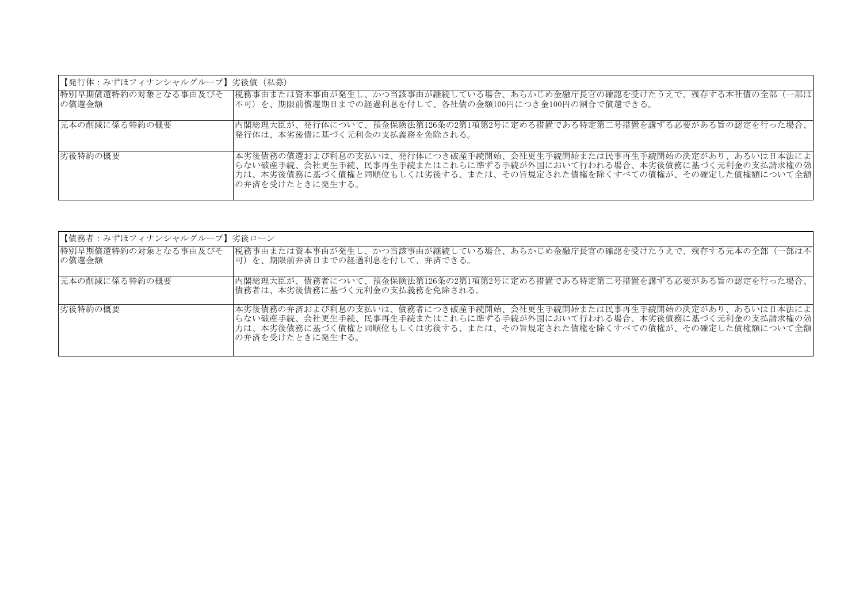| 【発行体:みずほフィナンシャルグループ】劣後倩(私募) |                                                                                                                                                                                                                                           |
|-----------------------------|-------------------------------------------------------------------------------------------------------------------------------------------------------------------------------------------------------------------------------------------|
| の償還金額                       | 特別早期償還特約の対象となる事由及びそ  税務事由または資本事由が発生し、かつ当該事由が継続している場合、あらかじめ金融庁長官の確認を受けたうえで、残存する本社債の全部(一部は <br> 不可)を、期限前償還期日までの経過利息を付して、各社債の金額100円につき金100円の割合で償還できる。                                                                                        |
| 元本の削減に係る特約の概要               | 内閣総理大臣が、発行体について、預金保険法第126条の2第1項第2号に定める措置である特定第二号措置を講ずる必要がある旨の認定を行った場合、<br> 発行体は、本劣後債に基づく元利金の支払義務を免除される。                                                                                                                                   |
| 劣後特約の概要                     | 本劣後債務の償還および利息の支払いは、発行体につき破産手続開始、会社更生手続開始または民事再生手続開始の決定があり、あるいは日本法によ <br> らない破産手続、会社更生手続、民事再生手続またはこれらに準ずる手続が外国において行われる場合、本劣後債務に基づく元利金の支払請求権の効 <br> 力は、本劣後債務に基づく債権と同順位もしくは劣後する、または、その旨規定された債権を除くすべての債権が、その確定した債権額について全額 <br>の弁済を受けたときに発生する。 |

| 【債務者:みずほフィナンシャルグループ】劣後ローン |                                                                                                                                                                                                                                          |
|---------------------------|------------------------------------------------------------------------------------------------------------------------------------------------------------------------------------------------------------------------------------------|
| の償還金額                     | 特別早期償還特約の対象となる事由及びそ  税務事由または資本事由が発生し、かつ当該事由が継続している場合、あらかじめ金融庁長官の確認を受けたうえで、残存する元本の全部(一部は不<br> 可)を、期限前弁済日までの経過利息を付して、弁済できる。                                                                                                                |
| 元本の削減に係る特約の概要             | 内閣総理大臣が、債務者について、預金保険法第126条の2第1項第2号に定める措置である特定第二号措置を講ずる必要がある旨の認定を行った場合、<br> 債務者は、本劣後債務に基づく元利金の支払義務を免除される。                                                                                                                                 |
| 劣後特約の概要                   | 本劣後債務の弁済および利息の支払いは、債務者につき破産手続開始、会社更生手続開始または民事再生手続開始の決定があり、あるいは日本法によ<br> らない破産手続、会社更生手続、民事再生手続またはこれらに準ずる手続が外国において行われる場合、本劣後債務に基づく元利金の支払請求権の効 <br> 力は、本劣後債務に基づく債権と同順位もしくは劣後する、または、その旨規定された債権を除くすべての債権が、その確定した債権額について全額 <br>の弁済を受けたときに発生する。 |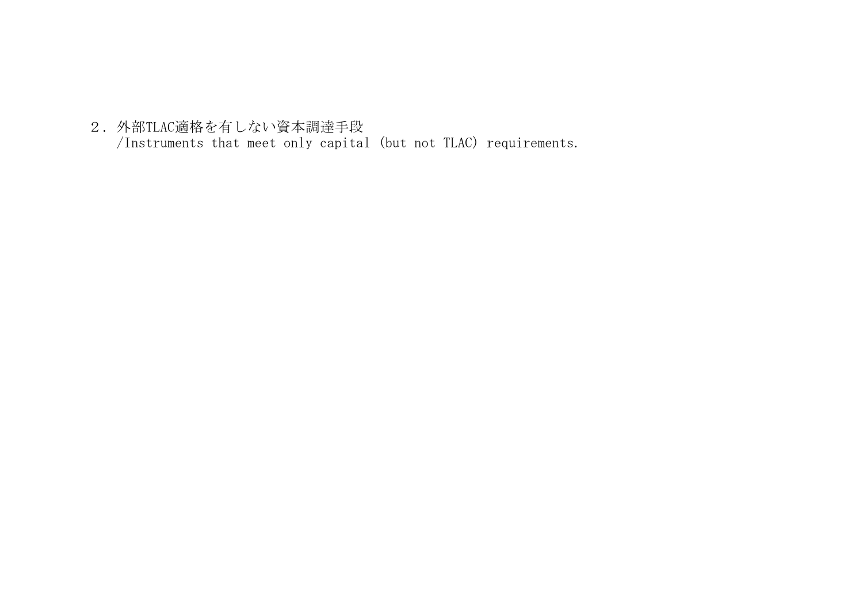2.外部TLAC適格を有しない資本調達手段

/Instruments that meet only capital (but not TLAC) requirements.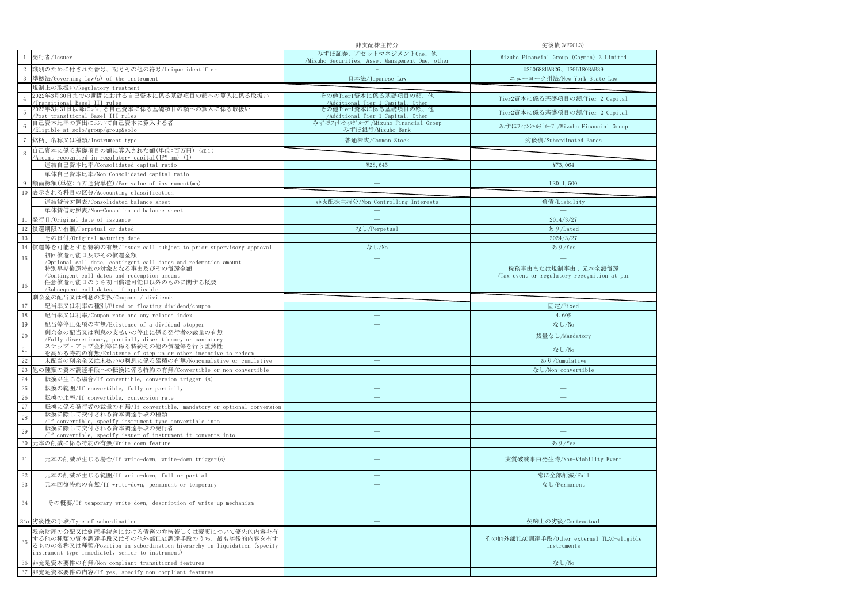|                                         |                                                                                                                                                                                                                       | 非支配株主持分                                                                  | 劣後債(MFGCL3)                                                      |
|-----------------------------------------|-----------------------------------------------------------------------------------------------------------------------------------------------------------------------------------------------------------------------|--------------------------------------------------------------------------|------------------------------------------------------------------|
| $\mathbf{1}$                            | 発行者/Issuer                                                                                                                                                                                                            | みずほ証券、アセットマネジメントOne、他<br>/Mizuho Securities, Asset Management One, other | Mizuho Financial Group (Cayman) 3 Limited                        |
| $\,2\,$                                 | 識別のために付された番号、記号その他の符号/Unique identifier                                                                                                                                                                               |                                                                          | US60688UAB26、USG6180BAB39                                        |
| $3-1$                                   | 準拠法/Governing law(s) of the instrument                                                                                                                                                                                | 日本法/Japanese Law                                                         | ニューヨーク州法/New York State Law                                      |
|                                         | 規制上の取扱い/Regulatory treatment                                                                                                                                                                                          |                                                                          |                                                                  |
| $\overline{A}$                          | 2022年3月30日までの期間における自己資本に係る基礎項目の額への算入に係る取扱い<br>Transitional Basel III rules                                                                                                                                            | その他Tier1資本に係る基礎項目の額、他<br>/Additional Tier 1 Capital, Other               | Tier2資本に係る基礎項目の額/Tier 2 Capital                                  |
| 5                                       | 2022年3月31日以降における自己資本に係る基礎項目の額への算入に係る取扱い<br>/Post-transitional Basel III rules                                                                                                                                         | その他Tier1資本に係る基礎項目の額、他<br>/Additional Tier 1 Capital, Other               | Tier2資本に係る基礎項目の額/Tier 2 Capital                                  |
| 6                                       | 自己資本比率の算出において自己資本に算入する者<br>Eligible at solo/group/group&solo                                                                                                                                                          | みずほフィナンシャルグループ/Mizuho Financial Group<br>みずほ銀行/Mizuho Bank               | みずほフィナンシャルグループ/Mizuho Financial Group                            |
| $\tau$                                  | 銘柄、名称又は種類/Instrument type                                                                                                                                                                                             | 普通株式/Common Stock                                                        | 劣後債/Subordinated Bonds                                           |
| 8                                       | 自己資本に係る基礎項目の額に算入された額(単位:百万円) (注1)<br>/Amount recognised in regulatory capital(JPY mn) (1)                                                                                                                             |                                                                          |                                                                  |
|                                         | 連結自己資本比率/Consolidated capital ratio                                                                                                                                                                                   | ¥28,645                                                                  | ¥73,064                                                          |
|                                         | 単体自己資本比率/Non-Consolidated capital ratio                                                                                                                                                                               | $\equiv$                                                                 | $\equiv$                                                         |
| 9                                       | 額面総額(単位:百万通貨単位)/Par value of instrument(mn)                                                                                                                                                                           |                                                                          | USD 1,500                                                        |
|                                         | 10 表示される科目の区分/Accounting classification                                                                                                                                                                               |                                                                          |                                                                  |
|                                         | 連結貸借対照表/Consolidated balance sheet                                                                                                                                                                                    | 非支配株主持分/Non-Controlling Interests                                        | 負債/Liability                                                     |
|                                         | 単体貸借対照表/Non-Consolidated balance sheet                                                                                                                                                                                | $\sim$                                                                   | $\equiv$                                                         |
|                                         | 11 発行日/Original date of issuance                                                                                                                                                                                      |                                                                          | 2014/3/27                                                        |
|                                         | 12 償還期限の有無/Perpetual or dated                                                                                                                                                                                         | なし/Perpetual                                                             | あり/Dated                                                         |
| 13                                      | その日付/Original maturity date                                                                                                                                                                                           | $\equiv$                                                                 | 2024/3/27                                                        |
| 14                                      | 償還等を可能とする特約の有無/Issuer call subject to prior supervisory approval                                                                                                                                                      | なし/No                                                                    | あり/Yes                                                           |
| $15\,$                                  | 初回償還可能日及びその償還金額<br>/Optional call date, contingent call dates and redemption amount                                                                                                                                   |                                                                          |                                                                  |
|                                         | 特別早期償還特約の対象となる事由及びその償還金額<br>Contingent call dates and redemption amount                                                                                                                                               |                                                                          | 税務事由または規制事由:元本全額償還<br>Tax event or regulatory recognition at par |
| 16                                      | 任意償還可能日のうち初回償還可能日以外のものに関する概要<br>/Subsequent call dates, if applicable                                                                                                                                                 | $\equiv$                                                                 |                                                                  |
|                                         | 剰余金の配当又は利息の支払/Coupons / dividends                                                                                                                                                                                     |                                                                          |                                                                  |
| 17                                      | 配当率又は利率の種別/Fixed or floating dividend/coupon                                                                                                                                                                          |                                                                          | 固定/Fixed                                                         |
| $18\,$                                  | 配当率又は利率/Coupon rate and any related index                                                                                                                                                                             | ÷,                                                                       | 4.60%                                                            |
| 19                                      | 配当等停止条項の有無/Existence of a dividend stopper                                                                                                                                                                            | $\equiv$                                                                 | なし/No                                                            |
| $20\,$                                  | 剰余金の配当又は利息の支払いの停止に係る発行者の裁量の有無<br>/Fully discretionary, partially discretionary or mandatory                                                                                                                           | $\overline{\phantom{a}}$                                                 | 裁量なし/Mandatory                                                   |
| $21\,$                                  | ステップ・アップ金利等に係る特約その他の償還等を行う蓋然性<br>を高める特約の有無/Existence of step up or other incentive to redeem                                                                                                                          | $\overline{\phantom{0}}$                                                 | なし/No                                                            |
| $\begin{array}{c} 22 \\ 23 \end{array}$ | 未配当の剰余金又は未払いの利息に係る累積の有無/Noncumulative or cumulative                                                                                                                                                                   | $\frac{1}{2}$                                                            | あり/Cumulative                                                    |
|                                         | 他の種類の資本調達手段への転換に係る特約の有無/Convertible or non-convertible                                                                                                                                                                |                                                                          | なし/Non-convertible                                               |
| $\sqrt{24}$                             | 転換が生じる場合/If convertible, conversion trigger (s)                                                                                                                                                                       | ÷                                                                        | $\equiv$                                                         |
| 25                                      | 転換の範囲/If convertible, fully or partially                                                                                                                                                                              | $\equiv$                                                                 | $\sim$                                                           |
| $26\,$                                  | 転換の比率/If convertible, conversion rate                                                                                                                                                                                 | $\frac{1}{2}$                                                            | $\overline{\phantom{m}}$                                         |
| $27\,$                                  | 転換に係る発行者の裁量の有無/If convertible, mandatory or optional conversion                                                                                                                                                       |                                                                          |                                                                  |
| $\sqrt{28}$                             | 転換に際して交付される資本調達手段の種類<br>If convertible, specify instrument type convertible into                                                                                                                                      | $\equiv$                                                                 |                                                                  |
| 29                                      | 転換に際して交付される資本調達手段の発行者<br>/If convertible, specify issuer of instrument it converts into                                                                                                                               |                                                                          |                                                                  |
| 30 <sup>1</sup>                         | 元本の削減に係る特約の有無/Write-down feature                                                                                                                                                                                      |                                                                          | あり/Yes                                                           |
| 31                                      | 元本の削減が生じる場合/If write-down, write-down trigger(s)                                                                                                                                                                      | $\equiv$                                                                 | 実質破綻事由発生時/Non-Viability Event                                    |
| 32                                      | 元本の削減が生じる範囲/If write-down, full or partial                                                                                                                                                                            | ÷.                                                                       | 常に全部削減/Full                                                      |
| $33\,$                                  | 元本回復特約の有無/If write-down, permanent or temporary                                                                                                                                                                       | L.                                                                       | なし/Permanent                                                     |
| 34                                      | その概要/If temporary write-down, description of write-up mechanism                                                                                                                                                       |                                                                          |                                                                  |
|                                         | 34a 劣後性の手段/Type of subordination                                                                                                                                                                                      |                                                                          | 契約上の劣後/Contractual                                               |
| 35                                      | 残余財産の分配又は倒産手続きにおける債務の弁済若しくは変更について優先的内容を有<br>する他の種類の資本調達手段又はその他外部TLAC調達手段のうち、最も劣後的内容を有す<br>るものの名称又は種類/Position in subordination hierarchy in liquidation (specify<br>instrument type immediately senior to instrument) |                                                                          | その他外部TLAC調達手段/Other external TLAC-eligible<br>instruments        |
| 36                                      | 非充足資本要件の有無/Non-compliant transitioned features                                                                                                                                                                        |                                                                          | なし/No                                                            |
|                                         | 37 非充足資本要件の内容/If yes, specify non-compliant features                                                                                                                                                                  | ш.                                                                       | $\overline{\phantom{a}}$                                         |